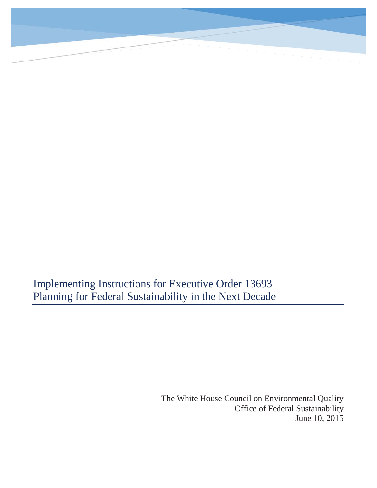

Implementing Instructions for Executive Order 13693 Planning for Federal Sustainability in the Next Decade

> The White House Council on Environmental Quality Office of Federal Sustainability June 10, 2015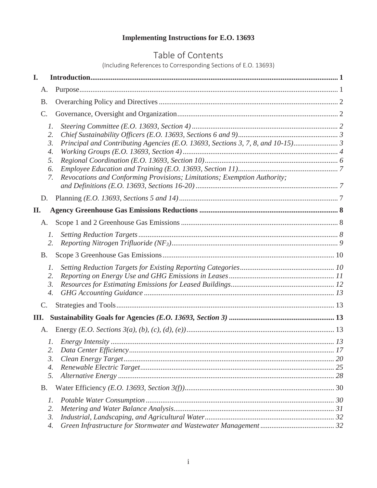# **Implementing Instructions for E.O. 13693**

# Table of Contents

(Including References to Corresponding Sections of E.O. 13693)

| I.               |                                                                               |  |
|------------------|-------------------------------------------------------------------------------|--|
| A.               |                                                                               |  |
| <b>B.</b>        |                                                                               |  |
| C.               |                                                                               |  |
| $\mathcal{I}$ .  |                                                                               |  |
| 2.               |                                                                               |  |
| $\mathfrak{Z}$ . | Principal and Contributing Agencies (E.O. 13693, Sections 3, 7, 8, and 10-15) |  |
| 4.               |                                                                               |  |
| 5.               |                                                                               |  |
| 6.               |                                                                               |  |
| 7.               | Revocations and Conforming Provisions; Limitations; Exemption Authority;      |  |
|                  |                                                                               |  |
| D.               |                                                                               |  |
| П.               |                                                                               |  |
| A.               |                                                                               |  |
| 1.               |                                                                               |  |
| 2.               |                                                                               |  |
| <b>B.</b>        |                                                                               |  |
| $\mathcal{I}$ .  |                                                                               |  |
| 2.               |                                                                               |  |
| $\mathfrak{Z}$ . |                                                                               |  |
| 4.               |                                                                               |  |
| $\mathsf{C}$ .   |                                                                               |  |
| Ш.               |                                                                               |  |
| A.               |                                                                               |  |
|                  |                                                                               |  |
| 2.               |                                                                               |  |
| 3.               |                                                                               |  |
| 4.               |                                                                               |  |
| 5.               |                                                                               |  |
| <b>B.</b>        |                                                                               |  |
| 1.               |                                                                               |  |
| 2.               |                                                                               |  |
| $\mathfrak{Z}$ . |                                                                               |  |
| 4.               |                                                                               |  |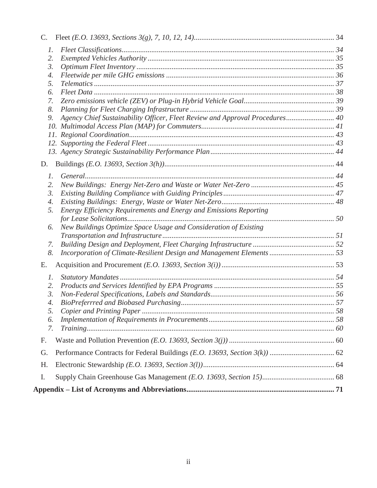| $\mathbf{C}$ .   |                                                                              |  |
|------------------|------------------------------------------------------------------------------|--|
| 1.               |                                                                              |  |
| 2.               |                                                                              |  |
| 3.               |                                                                              |  |
| 4.               |                                                                              |  |
| 5.               |                                                                              |  |
| 6.               |                                                                              |  |
| 7.               |                                                                              |  |
| 8.               |                                                                              |  |
| 9.               | Agency Chief Sustainability Officer, Fleet Review and Approval Procedures 40 |  |
|                  | 10.                                                                          |  |
|                  |                                                                              |  |
|                  |                                                                              |  |
|                  |                                                                              |  |
| D.               |                                                                              |  |
| $\mathcal{I}$ .  |                                                                              |  |
| 2.               |                                                                              |  |
| 3.               |                                                                              |  |
| 4.               |                                                                              |  |
| 5.               | Energy Efficiency Requirements and Energy and Emissions Reporting            |  |
|                  |                                                                              |  |
| 6.               | New Buildings Optimize Space Usage and Consideration of Existing             |  |
|                  |                                                                              |  |
| 7.               |                                                                              |  |
| 8.               |                                                                              |  |
| Е.               |                                                                              |  |
| 1.               |                                                                              |  |
| 2.               |                                                                              |  |
| $\mathfrak{Z}$ . |                                                                              |  |
| 4.               |                                                                              |  |
| 5.               |                                                                              |  |
| 6.               |                                                                              |  |
| 7.               |                                                                              |  |
| F.               |                                                                              |  |
| G.               |                                                                              |  |
| H.               |                                                                              |  |
| Ι.               |                                                                              |  |
|                  |                                                                              |  |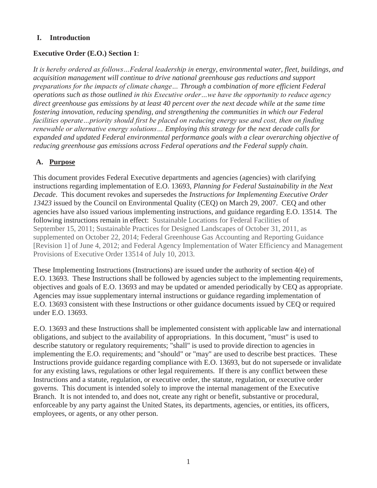### **I. Introduction**

#### **Executive Order (E.O.) Section 1**:

I<sup>*t*</sup> is hereby ordered as follows...Federal leadership in energy, environmental water, fleet, buildings, and *acquisition management will continue to drive national greenhouse gas reductions and support preparations for the impacts of climate change… Through a combination of more efficient Federal operations such as those outlined in this Executive order…we have the opportunity to reduce agency direct greenhouse gas emissions by at least 40 percent over the next decade while at the same time fostering innovation, reducing spending, and strengthening the communities in which our Federal facilities operate…priority should first be placed on reducing energy use and cost, then on finding renewable or alternative energy solutions… Employing this strategy for the next decade calls for expanded and updated Federal environmental performance goals with a clear overarching objective of reducing greenhouse gas emissions across Federal operations and the Federal supply chain.*

# **A. Purpose**

This document provides Federal Executive departments and agencies (agencies) with clarifying instructions regarding implementation of E.O. 13693, *Planning for Federal Sustainability in the Next Decade*. This document revokes and supersedes the *Instructions for Implementing Executive Order 13423* issued by the Council on Environmental Quality (CEQ) on March 29, 2007. CEQ and other agencies have also issued various implementing instructions, and guidance regarding E.O. 13514. The following instructions remain in effect: Sustainable Locations for Federal Facilities of September 15, 2011; Sustainable Practices for Designed Landscapes of October 31, 2011, as supplemented on October 22, 2014; Federal Greenhouse Gas Accounting and Reporting Guidance [Revision 1] of June 4, 2012; and Federal Agency Implementation of Water Efficiency and Management Provisions of Executive Order 13514 of July 10, 2013.

These Implementing Instructions (Instructions) are issued under the authority of section  $4(e)$  of E.O. 13693. These Instructions shall be followed by agencies subject to the implementing requirements, objectives and goals of E.O. 13693 and may be updated or amended periodically by CEQ as appropriate. Agencies may issue supplementary internal instructions or guidance regarding implementation of E.O. 13693 consistent with these Instructions or other guidance documents issued by CEQ or required under E.O. 13693.

E.O. 13693 and these Instructions shall be implemented consistent with applicable law and international obligations, and subject to the availability of appropriations. In this document, "must" is used to describe statutory or regulatory requirements; "shall" is used to provide direction to agencies in implementing the E.O. requirements; and "should" or "may" are used to describe best practices. These Instructions provide guidance regarding compliance with E.O. 13693, but do not supersede or invalidate for any existing laws, regulations or other legal requirements. If there is any conflict between these Instructions and a statute, regulation, or executive order, the statute, regulation, or executive order governs. This document is intended solely to improve the internal management of the Executive Branch. It is not intended to, and does not, create any right or benefit, substantive or procedural, enforceable by any party against the United States, its departments, agencies, or entities, its officers, employees, or agents, or any other person.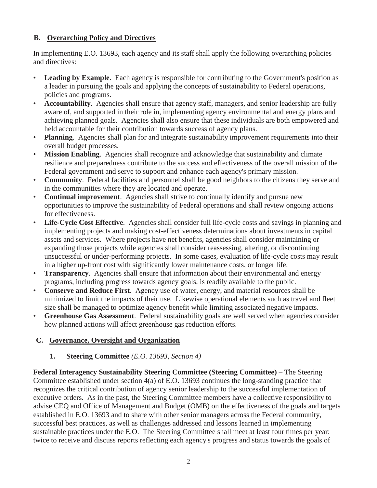# **B. Overarching Policy and Directives**

In implementing E.O. 13693, each agency and its staff shall apply the following overarching policies and directives:

- **Leading by Example.** Each agency is responsible for contributing to the Government's position as a leader in pursuing the goals and applying the concepts of sustainability to Federal operations, policies and programs.
- **Accountability**. Agencies shall ensure that agency staff, managers, and senior leadership are fully aware of, and supported in their role in, implementing agency environmental and energy plans and achieving planned goals. Agencies shall also ensure that these individuals are both empowered and held accountable for their contribution towards success of agency plans.
- **Planning**. Agencies shall plan for and integrate sustainability improvement requirements into their overall budget processes.
- **Mission Enabling**. Agencies shall recognize and acknowledge that sustainability and climate resilience and preparedness contribute to the success and effectiveness of the overall mission of the Federal government and serve to support and enhance each agency's primary mission.
- **Community**. Federal facilities and personnel shall be good neighbors to the citizens they serve and in the communities where they are located and operate.
- **Continual improvement**. Agencies shall strive to continually identify and pursue new opportunities to improve the sustainability of Federal operations and shall review ongoing actions for effectiveness.
- **Life-Cycle Cost Effective**. Agencies shall consider full life-cycle costs and savings in planning and implementing projects and making cost-effectiveness determinations about investments in capital assets and services. Where projects have net benefits, agencies shall consider maintaining or expanding those projects while agencies shall consider reassessing, altering, or discontinuing unsuccessful or under-performing projects. In some cases, evaluation of life-cycle costs may result in a higher up-front cost with significantly lower maintenance costs, or longer life.
- **Transparency.** Agencies shall ensure that information about their environmental and energy programs, including progress towards agency goals, is readily available to the public.
- **Conserve and Reduce First**. Agency use of water, energy, and material resources shall be minimized to limit the impacts of their use. Likewise operational elements such as travel and fleet size shall be managed to optimize agency benefit while limiting associated negative impacts.
- **Greenhouse Gas Assessment**. Federal sustainability goals are well served when agencies consider how planned actions will affect greenhouse gas reduction efforts.

# **C. Governance, Oversight and Organization**

# **1. Steering Committee** *(E.O. 13693, Section 4)*

**Federal Interagency Sustainability Steering Committee (Steering Committee)** – The Steering Committee established under section 4(a) of E.O. 13693 continues the long-standing practice that recognizes the critical contribution of agency senior leadership to the successful implementation of executive orders. As in the past, the Steering Committee members have a collective responsibility to advise CEQ and Office of Management and Budget (OMB) on the effectiveness of the goals and targets established in E.O. 13693 and to share with other senior managers across the Federal community, successful best practices, as well as challenges addressed and lessons learned in implementing sustainable practices under the E.O. The Steering Committee shall meet at least four times per year: twice to receive and discuss reports reflecting each agency's progress and status towards the goals of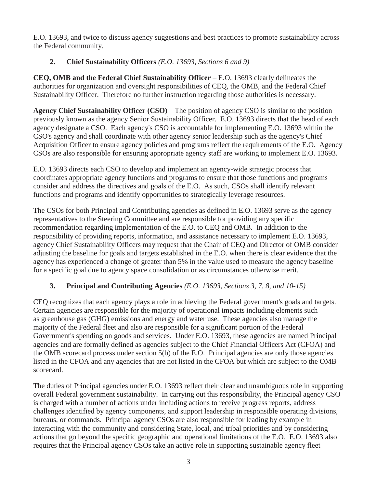E.O. 13693, and twice to discuss agency suggestions and best practices to promote sustainability across the Federal community.

# **2. Chief Sustainability Officers** *(E.O. 13693, Sections 6 and 9)*

**CEQ, OMB and the Federal Chief Sustainability Officer** – E.O. 13693 clearly delineates the authorities for organization and oversight responsibilities of CEQ, the OMB, and the Federal Chief Sustainability Officer. Therefore no further instruction regarding those authorities is necessary.

**Agency Chief Sustainability Officer (CSO)** – The position of agency CSO is similar to the position previously known as the agency Senior Sustainability Officer. E.O. 13693 directs that the head of each agency designate a CSO. Each agency's CSO is accountable for implementing E.O. 13693 within the CSO's agency and shall coordinate with other agency senior leadership such as the agency's Chief Acquisition Officer to ensure agency policies and programs reflect the requirements of the E.O. Agency CSOs are also responsible for ensuring appropriate agency staff are working to implement E.O. 13693.

E.O. 13693 directs each CSO to develop and implement an agency-wide strategic process that coordinates appropriate agency functions and programs to ensure that those functions and programs consider and address the directives and goals of the E.O. As such, CSOs shall identify relevant functions and programs and identify opportunities to strategically leverage resources.

The CSOs for both Principal and Contributing agencies as defined in E.O. 13693 serve as the agency representatives to the Steering Committee and are responsible for providing any specific recommendation regarding implementation of the E.O. to CEQ and OMB. In addition to the responsibility of providing reports, information, and assistance necessary to implement E.O. 13693, agency Chief Sustainability Officers may request that the Chair of CEQ and Director of OMB consider adjusting the baseline for goals and targets established in the E.O. when there is clear evidence that the agency has experienced a change of greater than 5% in the value used to measure the agency baseline for a specific goal due to agency space consolidation or as circumstances otherwise merit.

# **3. Principal and Contributing Agencies** *(E.O. 13693, Sections 3, 7, 8, and 10-15)*

CEQ recognizes that each agency plays a role in achieving the Federal government's goals and targets. Certain agencies are responsible for the majority of operational impacts including elements such as greenhouse gas (GHG) emissions and energy and water use. These agencies also manage the majority of the Federal fleet and also are responsible for a significant portion of the Federal Government's spending on goods and services. Under E.O. 13693, these agencies are named Principal agencies and are formally defined as agencies subject to the Chief Financial Officers Act (CFOA) and the OMB scorecard process under section 5(b) of the E.O. Principal agencies are only those agencies listed in the CFOA and any agencies that are not listed in the CFOA but which are subject to the OMB scorecard.

The duties of Principal agencies under E.O. 13693 reflect their clear and unambiguous role in supporting overall Federal government sustainability. In carrying out this responsibility, the Principal agency CSO is charged with a number of actions under including actions to receive progress reports, address challenges identified by agency components, and support leadership in responsible operating divisions, bureaus, or commands. Principal agency CSOs are also responsible for leading by example in interacting with the community and considering State, local, and tribal priorities and by considering actions that go beyond the specific geographic and operational limitations of the E.O. E.O. 13693 also requires that the Principal agency CSOs take an active role in supporting sustainable agency fleet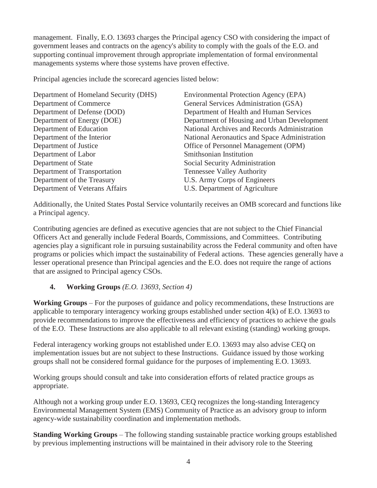management. Finally, E.O. 13693 charges the Principal agency CSO with considering the impact of government leases and contracts on the agency's ability to comply with the goals of the E.O. and supporting continual improvement through appropriate implementation of formal environmental managements systems where those systems have proven effective.

Principal agencies include the scorecard agencies listed below:

| Department of Homeland Security (DHS) | Environmental Protection Agency (EPA)         |
|---------------------------------------|-----------------------------------------------|
| Department of Commerce                | General Services Administration (GSA)         |
| Department of Defense (DOD)           | Department of Health and Human Services       |
| Department of Energy (DOE)            | Department of Housing and Urban Development   |
| Department of Education               | National Archives and Records Administration  |
| Department of the Interior            | National Aeronautics and Space Administration |
| Department of Justice                 | Office of Personnel Management (OPM)          |
| Department of Labor                   | Smithsonian Institution                       |
| Department of State                   | Social Security Administration                |
| Department of Transportation          | <b>Tennessee Valley Authority</b>             |
| Department of the Treasury            | U.S. Army Corps of Engineers                  |
| Department of Veterans Affairs        | U.S. Department of Agriculture                |
|                                       |                                               |

Additionally, the United States Postal Service voluntarily receives an OMB scorecard and functions like a Principal agency.

Contributing agencies are defined as executive agencies that are not subject to the Chief Financial Officers Act and generally include Federal Boards, Commissions, and Committees. Contributing agencies play a significant role in pursuing sustainability across the Federal community and often have programs or policies which impact the sustainability of Federal actions. These agencies generally have a lesser operational presence than Principal agencies and the E.O. does not require the range of actions that are assigned to Principal agency CSOs.

# **4. Working Groups** *(E.O. 13693, Section 4)*

**Working Groups** – For the purposes of guidance and policy recommendations, these Instructions are applicable to temporary interagency working groups established under section 4(k) of E.O. 13693 to provide recommendations to improve the effectiveness and efficiency of practices to achieve the goals of the E.O. These Instructions are also applicable to all relevant existing (standing) working groups.

Federal interagency working groups not established under E.O. 13693 may also advise CEQ on implementation issues but are not subject to these Instructions. Guidance issued by those working groups shall not be considered formal guidance for the purposes of implementing E.O. 13693.

Working groups should consult and take into consideration efforts of related practice groups as appropriate.

Although not a working group under E.O. 13693, CEQ recognizes the long-standing Interagency Environmental Management System (EMS) Community of Practice as an advisory group to inform agency-wide sustainability coordination and implementation methods.

**Standing Working Groups** – The following standing sustainable practice working groups established by previous implementing instructions will be maintained in their advisory role to the Steering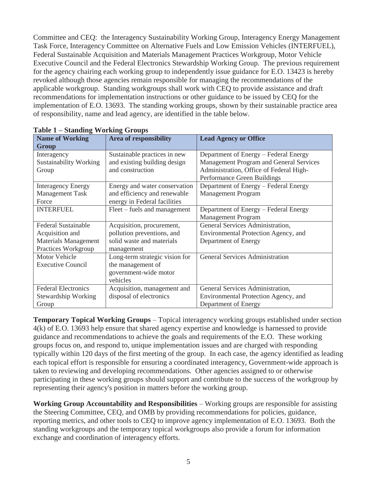Committee and CEQ: the Interagency Sustainability Working Group, Interagency Energy Management Task Force, Interagency Committee on Alternative Fuels and Low Emission Vehicles (INTERFUEL), Federal Sustainable Acquisition and Materials Management Practices Workgroup, Motor Vehicle Executive Council and the Federal Electronics Stewardship Working Group. The previous requirement for the agency chairing each working group to independently issue guidance for E.O. 13423 is hereby revoked although those agencies remain responsible for managing the recommendations of the applicable workgroup. Standing workgroups shall work with CEQ to provide assistance and draft recommendations for implementation instructions or other guidance to be issued by CEQ for the implementation of E.O. 13693. The standing working groups, shown by their sustainable practice area of responsibility, name and lead agency, are identified in the table below.

| <b>Name of Working</b>        | <b>Area of responsibility</b>  | <b>Lead Agency or Office</b>            |
|-------------------------------|--------------------------------|-----------------------------------------|
| Group                         |                                |                                         |
| Interagency                   | Sustainable practices in new   | Department of Energy – Federal Energy   |
| <b>Sustainability Working</b> | and existing building design   | Management Program and General Services |
| Group                         | and construction               | Administration, Office of Federal High- |
|                               |                                | Performance Green Buildings             |
| <b>Interagency Energy</b>     | Energy and water conservation  | Department of Energy - Federal Energy   |
| <b>Management Task</b>        | and efficiency and renewable   | <b>Management Program</b>               |
| Force                         | energy in Federal facilities   |                                         |
| <b>INTERFUEL</b>              | Fleet – fuels and management   | Department of Energy – Federal Energy   |
|                               |                                | <b>Management Program</b>               |
| <b>Federal Sustainable</b>    | Acquisition, procurement,      | General Services Administration,        |
| Acquisition and               | pollution preventions, and     | Environmental Protection Agency, and    |
| <b>Materials Management</b>   | solid waste and materials      | Department of Energy                    |
| Practices Workgroup           | management                     |                                         |
| <b>Motor Vehicle</b>          | Long-term strategic vision for | <b>General Services Administration</b>  |
| <b>Executive Council</b>      | the management of              |                                         |
|                               | government-wide motor          |                                         |
|                               | vehicles                       |                                         |
| <b>Federal Electronics</b>    | Acquisition, management and    | General Services Administration,        |
| Stewardship Working           | disposal of electronics        | Environmental Protection Agency, and    |
| Group                         |                                | Department of Energy                    |

| <b>Table 1 - Standing Working Groups</b> |  |
|------------------------------------------|--|
|                                          |  |

**Temporary Topical Working Groups** – Topical interagency working groups established under section 4(k) of E.O. 13693 help ensure that shared agency expertise and knowledge is harnessed to provide guidance and recommendations to achieve the goals and requirements of the E.O. These working groups focus on, and respond to, unique implementation issues and are charged with responding typically within 120 days of the first meeting of the group. In each case, the agency identified as leading each topical effort is responsible for ensuring a coordinated interagency, Government-wide approach is taken to reviewing and developing recommendations. Other agencies assigned to or otherwise participating in these working groups should support and contribute to the success of the workgroup by representing their agency's position in matters before the working group.

**Working Group Accountability and Responsibilities** – Working groups are responsible for assisting the Steering Committee, CEQ, and OMB by providing recommendations for policies, guidance, reporting metrics, and other tools to CEQ to improve agency implementation of E.O. 13693. Both the standing workgroups and the temporary topical workgroups also provide a forum for information exchange and coordination of interagency efforts.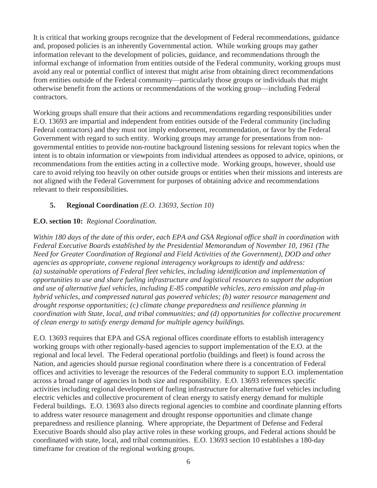It is critical that working groups recognize that the development of Federal recommendations, guidance and, proposed policies is an inherently Governmental action. While working groups may gather information relevant to the development of policies, guidance, and recommendations through the informal exchange of information from entities outside of the Federal community, working groups must avoid any real or potential conflict of interest that might arise from obtaining direct recommendations from entities outside of the Federal community—particularly those groups or individuals that might otherwise benefit from the actions or recommendations of the working group—including Federal contractors.

Working groups shall ensure that their actions and recommendations regarding responsibilities under E.O. 13693 are impartial and independent from entities outside of the Federal community (including Federal contractors) and they must not imply endorsement, recommendation, or favor by the Federal Government with regard to such entity. Working groups may arrange for presentations from nongovernmental entities to provide non-routine background listening sessions for relevant topics when the intent is to obtain information or viewpoints from individual attendees as opposed to advice, opinions, or recommendations from the entities acting in a collective mode. Working groups, however, should use care to avoid relying too heavily on other outside groups or entities when their missions and interests are not aligned with the Federal Government for purposes of obtaining advice and recommendations relevant to their responsibilities.

#### **5. Regional Coordination** *(E.O. 13693, Section 10)*

#### **E.O. section 10:** *Regional Coordination.*

*Within 180 days of the date of this order, each EPA and GSA Regional office shall in coordination with Federal Executive Boards established by the Presidential Memorandum of November 10, 1961 (The Need for Greater Coordination of Regional and Field Activities of the Government), DOD and other agencies as appropriate, convene regional interagency workgroups to identify and address: (a) sustainable operations of Federal fleet vehicles, including identification and implementation of opportunities to use and share fueling infrastructure and logistical resources to support the adoption and use of alternative fuel vehicles, including E-85 compatible vehicles, zero emission and plug-in hybrid vehicles, and compressed natural gas powered vehicles; (b) water resource management and drought response opportunities; (c) climate change preparedness and resilience planning in coordination with State, local, and tribal communities; and (d) opportunities for collective procurement of clean energy to satisfy energy demand for multiple agency buildings.*

E.O. 13693 requires that EPA and GSA regional offices coordinate efforts to establish interagency working groups with other regionally-based agencies to support implementation of the E.O. at the regional and local level. The Federal operational portfolio (buildings and fleet) is found across the Nation, and agencies should pursue regional coordination where there is a concentration of Federal offices and activities to leverage the resources of the Federal community to support E.O. implementation across a broad range of agencies in both size and responsibility. E.O. 13693 references specific activities including regional development of fueling infrastructure for alternative fuel vehicles including electric vehicles and collective procurement of clean energy to satisfy energy demand for multiple Federal buildings. E.O. 13693 also directs regional agencies to combine and coordinate planning efforts to address water resource management and drought response opportunities and climate change preparedness and resilience planning. Where appropriate, the Department of Defense and Federal Executive Boards should also play active roles in these working groups, and Federal actions should be coordinated with state, local, and tribal communities. E.O. 13693 section 10 establishes a 180-day timeframe for creation of the regional working groups.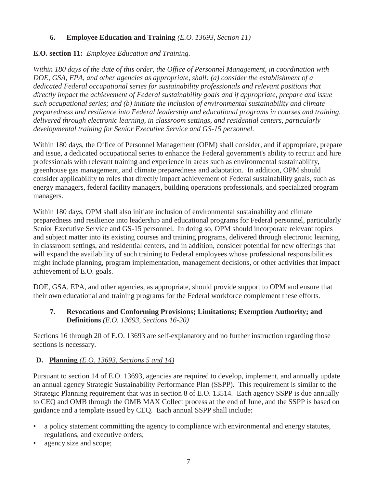# **6. Employee Education and Training** *(E.O. 13693, Section 11)*

# **E.O. section 11:** *Employee Education and Training.*

*Within 180 days of the date of this order, the Office of Personnel Management, in coordination with DOE, GSA, EPA, and other agencies as appropriate, shall: (a) consider the establishment of a dedicated Federal occupational series for sustainability professionals and relevant positions that directly impact the achievement of Federal sustainability goals and if appropriate, prepare and issue such occupational series; and (b) initiate the inclusion of environmental sustainability and climate preparedness and resilience into Federal leadership and educational programs in courses and training, delivered through electronic learning, in classroom settings, and residential centers, particularly developmental training for Senior Executive Service and GS-15 personnel.*

Within 180 days, the Office of Personnel Management (OPM) shall consider, and if appropriate, prepare and issue, a dedicated occupational series to enhance the Federal government's ability to recruit and hire professionals with relevant training and experience in areas such as environmental sustainability, greenhouse gas management, and climate preparedness and adaptation. In addition, OPM should consider applicability to roles that directly impact achievement of Federal sustainability goals, such as energy managers, federal facility managers, building operations professionals, and specialized program managers.

Within 180 days, OPM shall also initiate inclusion of environmental sustainability and climate preparedness and resilience into leadership and educational programs for Federal personnel, particularly Senior Executive Service and GS-15 personnel. In doing so, OPM should incorporate relevant topics and subject matter into its existing courses and training programs, delivered through electronic learning, in classroom settings, and residential centers, and in addition, consider potential for new offerings that will expand the availability of such training to Federal employees whose professional responsibilities might include planning, program implementation, management decisions, or other activities that impact achievement of E.O. goals.

DOE, GSA, EPA, and other agencies, as appropriate, should provide support to OPM and ensure that their own educational and training programs for the Federal workforce complement these efforts.

### **7. Revocations and Conforming Provisions; Limitations; Exemption Authority; and Definitions** *(E.O. 13693, Sections 16-20)*

Sections 16 through 20 of E.O. 13693 are self-explanatory and no further instruction regarding those sections is necessary.

# **D. Planning** *(E.O. 13693, Sections 5 and 14)*

Pursuant to section 14 of E.O. 13693, agencies are required to develop, implement, and annually update an annual agency Strategic Sustainability Performance Plan (SSPP). This requirement is similar to the Strategic Planning requirement that was in section 8 of E.O. 13514. Each agency SSPP is due annually to CEQ and OMB through the OMB MAX Collect process at the end of June, and the SSPP is based on guidance and a template issued by CEQ. Each annual SSPP shall include:

- a policy statement committing the agency to compliance with environmental and energy statutes, regulations, and executive orders;
- agency size and scope;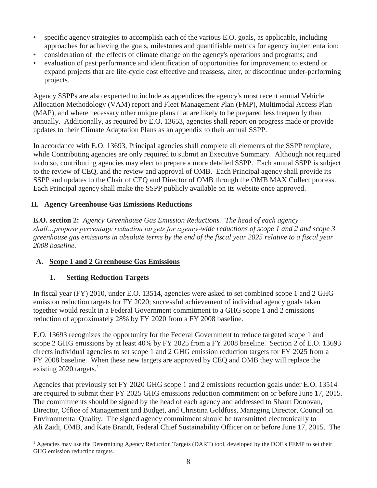- specific agency strategies to accomplish each of the various E.O. goals, as applicable, including approaches for achieving the goals, milestones and quantifiable metrics for agency implementation;
- consideration of the effects of climate change on the agency's operations and programs; and
- evaluation of past performance and identification of opportunities for improvement to extend or expand projects that are life-cycle cost effective and reassess, alter, or discontinue under-performing projects.

Agency SSPPs are also expected to include as appendices the agency's most recent annual Vehicle Allocation Methodology (VAM) report and Fleet Management Plan (FMP), Multimodal Access Plan (MAP), and where necessary other unique plans that are likely to be prepared less frequently than annually. Additionally, as required by E.O. 13653, agencies shall report on progress made or provide updates to their Climate Adaptation Plans as an appendix to their annual SSPP.

In accordance with E.O. 13693, Principal agencies shall complete all elements of the SSPP template, while Contributing agencies are only required to submit an Executive Summary. Although not required to do so, contributing agencies may elect to prepare a more detailed SSPP. Each annual SSPP is subject to the review of CEQ, and the review and approval of OMB. Each Principal agency shall provide its SSPP and updates to the Chair of CEQ and Director of OMB through the OMB MAX Collect process. Each Principal agency shall make the SSPP publicly available on its website once approved.

# **II. Agency Greenhouse Gas Emissions Reductions**

**E.O. section 2:** *Agency Greenhouse Gas Emission Reductions. The head of each agency shall…propose percentage reduction targets for agency-wide reductions of scope 1 and 2 and scope 3 greenhouse gas emissions in absolute terms by the end of the fiscal year 2025 relative to a fiscal year 2008 baseline.*

# **A. Scope 1 and 2 Greenhouse Gas Emissions**

# **1. Setting Reduction Targets**

In fiscal year (FY) 2010, under E.O. 13514, agencies were asked to set combined scope 1 and 2 GHG emission reduction targets for FY 2020; successful achievement of individual agency goals taken together would result in a Federal Government commitment to a GHG scope 1 and 2 emissions reduction of approximately 28% by FY 2020 from a FY 2008 baseline.

E.O. 13693 recognizes the opportunity for the Federal Government to reduce targeted scope 1 and scope 2 GHG emissions by at least 40% by FY 2025 from a FY 2008 baseline. Section 2 of E.O. 13693 directs individual agencies to set scope 1 and 2 GHG emission reduction targets for FY 2025 from a FY 2008 baseline. When these new targets are approved by CEQ and OMB they will replace the existing 2020 targets. $<sup>1</sup>$ </sup>

Agencies that previously set FY 2020 GHG scope 1 and 2 emissions reduction goals under E.O. 13514 are required to submit their FY 2025 GHG emissions reduction commitment on or before June 17, 2015. The commitments should be signed by the head of each agency and addressed to Shaun Donovan, Director, Office of Management and Budget, and Christina Goldfuss, Managing Director, Council on Environmental Quality. The signed agency commitment should be transmitted electronically to Ali Zaidi, OMB, and Kate Brandt, Federal Chief Sustainability Officer on or before June 17, 2015. The

 $\overline{a}$ <sup>1</sup> Agencies may use the Determining Agency Reduction Targets (DART) tool, developed by the DOE's FEMP to set their GHG emission reduction targets.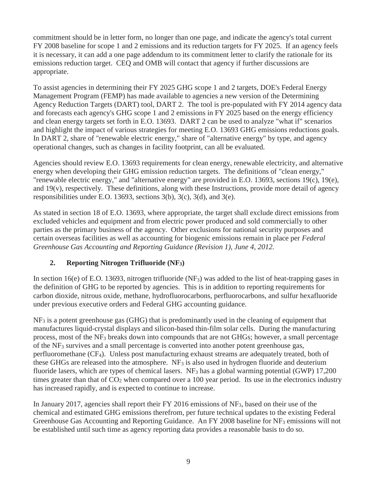commitment should be in letter form, no longer than one page, and indicate the agency's total current FY 2008 baseline for scope 1 and 2 emissions and its reduction targets for FY 2025. If an agency feels it is necessary, it can add a one page addendum to its commitment letter to clarify the rationale for its emissions reduction target. CEQ and OMB will contact that agency if further discussions are appropriate.

To assist agencies in determining their FY 2025 GHG scope 1 and 2 targets, DOE's Federal Energy Management Program (FEMP) has made available to agencies a new version of the Determining Agency Reduction Targets (DART) tool, DART 2. The tool is pre-populated with FY 2014 agency data and forecasts each agency's GHG scope 1 and 2 emissions in FY 2025 based on the energy efficiency and clean energy targets set forth in E.O. 13693. DART 2 can be used to analyze "what if" scenarios and highlight the impact of various strategies for meeting E.O. 13693 GHG emissions reductions goals. In DART 2, share of "renewable electric energy," share of "alternative energy" by type, and agency operational changes, such as changes in facility footprint, can all be evaluated.

Agencies should review E.O. 13693 requirements for clean energy, renewable electricity, and alternative energy when developing their GHG emission reduction targets. The definitions of "clean energy," "renewable electric energy," and "alternative energy" are provided in E.O. 13693, sections 19(c), 19(e), and  $19(v)$ , respectively. These definitions, along with these Instructions, provide more detail of agency responsibilities under E.O. 13693, sections 3(b), 3(c), 3(d), and 3(e).

As stated in section 18 of E.O. 13693, where appropriate, the target shall exclude direct emissions from excluded vehicles and equipment and from electric power produced and sold commercially to other parties as the primary business of the agency. Other exclusions for national security purposes and certain overseas facilities as well as accounting for biogenic emissions remain in place per *Federal Greenhouse Gas Accounting and Reporting Guidance (Revision 1), June 4, 2012.*

# **2. Reporting Nitrogen Trifluoride (NF3)**

In section 16(e) of E.O. 13693, nitrogen trifluoride (NF<sub>3</sub>) was added to the list of heat-trapping gases in the definition of GHG to be reported by agencies. This is in addition to reporting requirements for carbon dioxide, nitrous oxide, methane, hydrofluorocarbons, perfluorocarbons, and sulfur hexafluoride under previous executive orders and Federal GHG accounting guidance.

 $NF_3$  is a potent greenhouse gas (GHG) that is predominantly used in the cleaning of equipment that manufactures liquid-crystal displays and silicon-based thin-film solar cells. During the manufacturing process, most of the NF3 breaks down into compounds that are not GHGs; however, a small percentage of the NF3 survives and a small percentage is converted into another potent greenhouse gas, perfluoromethane (CF4). Unless post manufacturing exhaust streams are adequately treated, both of these GHGs are released into the atmosphere.  $NF_3$  is also used in hydrogen fluoride and deuterium fluoride lasers, which are types of chemical lasers. NF<sub>3</sub> has a global warming potential (GWP) 17,200 times greater than that of  $CO<sub>2</sub>$  when compared over a 100 year period. Its use in the electronics industry has increased rapidly, and is expected to continue to increase.

In January 2017, agencies shall report their FY 2016 emissions of NF3, based on their use of the chemical and estimated GHG emissions therefrom, per future technical updates to the existing Federal Greenhouse Gas Accounting and Reporting Guidance. An FY 2008 baseline for  $NF_3$  emissions will not be established until such time as agency reporting data provides a reasonable basis to do so.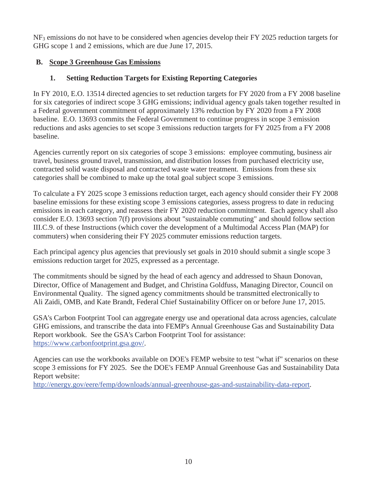NF3 emissions do not have to be considered when agencies develop their FY 2025 reduction targets for GHG scope 1 and 2 emissions, which are due June 17, 2015.

### **B. Scope 3 Greenhouse Gas Emissions**

# **1. Setting Reduction Targets for Existing Reporting Categories**

In FY 2010, E.O. 13514 directed agencies to set reduction targets for FY 2020 from a FY 2008 baseline for six categories of indirect scope 3 GHG emissions; individual agency goals taken together resulted in a Federal government commitment of approximately 13% reduction by FY 2020 from a FY 2008 baseline. E.O. 13693 commits the Federal Government to continue progress in scope 3 emission reductions and asks agencies to set scope 3 emissions reduction targets for FY 2025 from a FY 2008 baseline.

Agencies currently report on six categories of scope 3 emissions: employee commuting, business air travel, business ground travel, transmission, and distribution losses from purchased electricity use, contracted solid waste disposal and contracted waste water treatment. Emissions from these six categories shall be combined to make up the total goal subject scope 3 emissions.

To calculate a FY 2025 scope 3 emissions reduction target, each agency should consider their FY 2008 baseline emissions for these existing scope 3 emissions categories, assess progress to date in reducing emissions in each category, and reassess their FY 2020 reduction commitment. Each agency shall also consider E.O. 13693 section 7(f) provisions about "sustainable commuting" and should follow section III.C.9. of these Instructions (which cover the development of a Multimodal Access Plan (MAP) for commuters) when considering their FY 2025 commuter emissions reduction targets.

Each principal agency plus agencies that previously set goals in 2010 should submit a single scope 3 emissions reduction target for 2025, expressed as a percentage.

The commitments should be signed by the head of each agency and addressed to Shaun Donovan, Director, Office of Management and Budget, and Christina Goldfuss, Managing Director, Council on Environmental Quality. The signed agency commitments should be transmitted electronically to Ali Zaidi, OMB, and Kate Brandt, Federal Chief Sustainability Officer on or before June 17, 2015.

GSA's Carbon Footprint Tool can aggregate energy use and operational data across agencies, calculate GHG emissions, and transcribe the data into FEMP's Annual Greenhouse Gas and Sustainability Data Report workbook. See the GSA's Carbon Footprint Tool for assistance: https://www.carbonfootprint.gsa.gov/.

Agencies can use the workbooks available on DOE's FEMP website to test "what if" scenarios on these scope 3 emissions for FY 2025. See the DOE's FEMP Annual Greenhouse Gas and Sustainability Data Report website:

http://energy.gov/eere/femp/downloads/annual-greenhouse-gas-and-sustainability-data-report.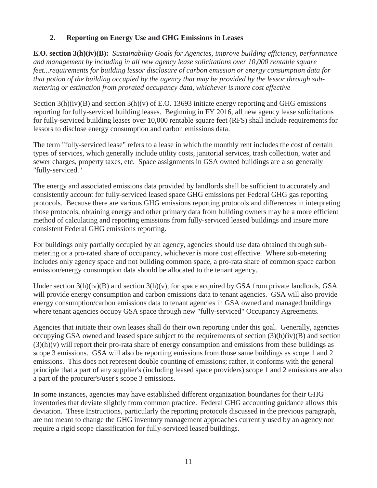### **2. Reporting on Energy Use and GHG Emissions in Leases**

**E.O. section 3(h)(iv)(B):** *Sustainability Goals for Agencies, improve building efficiency, performance and management by including in all new agency lease solicitations over 10,000 rentable square feet...requirements for building lessor disclosure of carbon emission or energy consumption data for that potion of the building occupied by the agency that may be provided by the lessor through submetering or estimation from prorated occupancy data, whichever is more cost effective*

Section  $3(h)(iv)(B)$  and section  $3(h)(v)$  of E.O. 13693 initiate energy reporting and GHG emissions reporting for fully-serviced building leases. Beginning in FY 2016, all new agency lease solicitations for fully-serviced building leases over 10,000 rentable square feet (RFS) shall include requirements for lessors to disclose energy consumption and carbon emissions data.

The term "fully-serviced lease" refers to a lease in which the monthly rent includes the cost of certain types of services, which generally include utility costs, janitorial services, trash collection, water and sewer charges, property taxes, etc. Space assignments in GSA owned buildings are also generally "fully-serviced."

The energy and associated emissions data provided by landlords shall be sufficient to accurately and consistently account for fully-serviced leased space GHG emissions per Federal GHG gas reporting protocols. Because there are various GHG emissions reporting protocols and differences in interpreting those protocols, obtaining energy and other primary data from building owners may be a more efficient method of calculating and reporting emissions from fully-serviced leased buildings and insure more consistent Federal GHG emissions reporting.

For buildings only partially occupied by an agency, agencies should use data obtained through submetering or a pro-rated share of occupancy, whichever is more cost effective. Where sub-metering includes only agency space and not building common space, a pro-rata share of common space carbon emission/energy consumption data should be allocated to the tenant agency.

Under section  $3(h)(iv)(B)$  and section  $3(h)(v)$ , for space acquired by GSA from private landlords, GSA will provide energy consumption and carbon emissions data to tenant agencies. GSA will also provide energy consumption/carbon emissions data to tenant agencies in GSA owned and managed buildings where tenant agencies occupy GSA space through new "fully-serviced" Occupancy Agreements.

Agencies that initiate their own leases shall do their own reporting under this goal. Generally, agencies occupying GSA owned and leased space subject to the requirements of section (3)(h)(iv)(B) and section  $(3)(h)(v)$  will report their pro-rata share of energy consumption and emissions from these buildings as scope 3 emissions. GSA will also be reporting emissions from those same buildings as scope 1 and 2 emissions. This does not represent double counting of emissions; rather, it conforms with the general principle that a part of any supplier's (including leased space providers) scope 1 and 2 emissions are also a part of the procurer's/user's scope 3 emissions.

In some instances, agencies may have established different organization boundaries for their GHG inventories that deviate slightly from common practice. Federal GHG accounting guidance allows this deviation. These Instructions, particularly the reporting protocols discussed in the previous paragraph, are not meant to change the GHG inventory management approaches currently used by an agency nor require a rigid scope classification for fully-serviced leased buildings.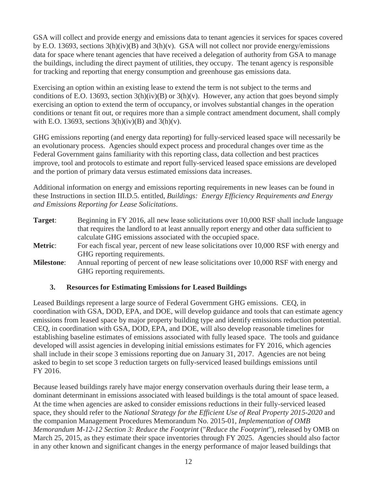GSA will collect and provide energy and emissions data to tenant agencies it services for spaces covered by E.O. 13693, sections  $3(h)(iv)(B)$  and  $3(h)(v)$ . GSA will not collect nor provide energy/emissions data for space where tenant agencies that have received a delegation of authority from GSA to manage the buildings, including the direct payment of utilities, they occupy. The tenant agency is responsible for tracking and reporting that energy consumption and greenhouse gas emissions data.

Exercising an option within an existing lease to extend the term is not subject to the terms and conditions of E.O. 13693, section  $3(h)(iv)(B)$  or  $3(h)(v)$ . However, any action that goes beyond simply exercising an option to extend the term of occupancy, or involves substantial changes in the operation conditions or tenant fit out, or requires more than a simple contract amendment document, shall comply with E.O. 13693, sections  $3(h)(iv)(B)$  and  $3(h)(v)$ .

GHG emissions reporting (and energy data reporting) for fully-serviced leased space will necessarily be an evolutionary process. Agencies should expect process and procedural changes over time as the Federal Government gains familiarity with this reporting class, data collection and best practices improve, tool and protocols to estimate and report fully-serviced leased space emissions are developed and the portion of primary data versus estimated emissions data increases.

Additional information on energy and emissions reporting requirements in new leases can be found in these Instructions in section III.D.5. entitled, *Buildings: Energy Efficiency Requirements and Energy and Emissions Reporting for Lease Solicitations*.

**Target**: Beginning in FY 2016, all new lease solicitations over 10,000 RSF shall include language that requires the landlord to at least annually report energy and other data sufficient to calculate GHG emissions associated with the occupied space. **Metric:** For each fiscal year, percent of new lease solicitations over 10,000 RSF with energy and GHG reporting requirements. **Milestone:** Annual reporting of percent of new lease solicitations over 10,000 RSF with energy and GHG reporting requirements.

#### **3. Resources for Estimating Emissions for Leased Buildings**

Leased Buildings represent a large source of Federal Government GHG emissions. CEQ, in coordination with GSA, DOD, EPA, and DOE, will develop guidance and tools that can estimate agency emissions from leased space by major property building type and identify emissions reduction potential. CEQ, in coordination with GSA, DOD, EPA, and DOE, will also develop reasonable timelines for establishing baseline estimates of emissions associated with fully leased space. The tools and guidance developed will assist agencies in developing initial emissions estimates for FY 2016, which agencies shall include in their scope 3 emissions reporting due on January 31, 2017. Agencies are not being asked to begin to set scope 3 reduction targets on fully-serviced leased buildings emissions until FY 2016.

Because leased buildings rarely have major energy conservation overhauls during their lease term, a dominant determinant in emissions associated with leased buildings is the total amount of space leased. At the time when agencies are asked to consider emissions reductions in their fully-serviced leased space, they should refer to the *National Strategy for the Efficient Use of Real Property 2015-2020* and the companion Management Procedures Memorandum No. 2015-01, *Implementation of OMB Memorandum M-12-12 Section 3: Reduce the Footprint* ("*Reduce the Footprint*"), released by OMB on March 25, 2015, as they estimate their space inventories through FY 2025. Agencies should also factor in any other known and significant changes in the energy performance of major leased buildings that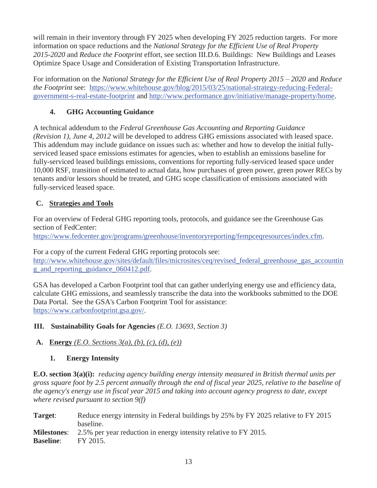will remain in their inventory through FY 2025 when developing FY 2025 reduction targets. For more information on space reductions and the *National Strategy for the Efficient Use of Real Property 2015-2020* and *Reduce the Footprint* effort, see section III.D.6. Buildings: New Buildings and Leases Optimize Space Usage and Consideration of Existing Transportation Infrastructure.

For information on the *National Strategy for the Efficient Use of Real Property 2015 – 2020* and *Reduce the Footprint* see: https://www.whitehouse.gov/blog/2015/03/25/national-strategy-reducing-Federalgovernment-s-real-estate-footprint and http://www.performance.gov/initiative/manage-property/home.

# **4. GHG Accounting Guidance**

A technical addendum to the *Federal Greenhouse Gas Accounting and Reporting Guidance (Revision 1), June 4, 2012* will be developed to address GHG emissions associated with leased space. This addendum may include guidance on issues such as: whether and how to develop the initial fullyserviced leased space emissions estimates for agencies, when to establish an emissions baseline for fully-serviced leased buildings emissions, conventions for reporting fully-serviced leased space under 10,000 RSF, transition of estimated to actual data, how purchases of green power, green power RECs by tenants and/or lessors should be treated, and GHG scope classification of emissions associated with fully-serviced leased space.

# **C. Strategies and Tools**

For an overview of Federal GHG reporting tools, protocols, and guidance see the Greenhouse Gas section of FedCenter:

https://www.fedcenter.gov/programs/greenhouse/inventoryreporting/fempceqresources/index.cfm.

For a copy of the current Federal GHG reporting protocols see: http://www.whitehouse.gov/sites/default/files/microsites/ceq/revised\_federal\_greenhouse\_gas\_accountin g\_and\_reporting\_guidance\_060412.pdf.

GSA has developed a Carbon Footprint tool that can gather underlying energy use and efficiency data, calculate GHG emissions, and seamlessly transcribe the data into the workbooks submitted to the DOE Data Portal. See the GSA's Carbon Footprint Tool for assistance: https://www.carbonfootprint.gsa.gov/.

# **III. Sustainability Goals for Agencies** *(E.O. 13693, Section 3)*

# **A. Energy** *(E.O. Sections 3(a), (b), (c), (d), (e))*

# **1. Energy Intensity**

**E.O. section 3(a)(i):** *reducing agency building energy intensity measured in British thermal units per gross square foot by 2.5 percent annually through the end of fiscal year 2025, relative to the baseline of the agency's energy use in fiscal year 2015 and taking into account agency progress to date, except where revised pursuant to section 9(f)*

Target: Reduce energy intensity in Federal buildings by 25% by FY 2025 relative to FY 2015 baseline. **Milestones**: 2.5% per year reduction in energy intensity relative to FY 2015. **Baseline**: FY 2015.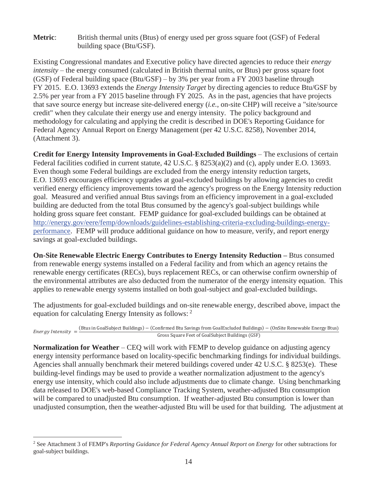**Metric:** British thermal units (Btus) of energy used per gross square foot (GSF) of Federal building space (Btu/GSF).

Existing Congressional mandates and Executive policy have directed agencies to reduce their *energy intensity* – the energy consumed (calculated in British thermal units, or Btus) per gross square foot (GSF) of Federal building space (Btu/GSF) – by 3% per year from a FY 2003 baseline through FY 2015. E.O. 13693 extends the *Energy Intensity Target* by directing agencies to reduce Btu/GSF by 2.5% per year from a FY 2015 baseline through FY 2025. As in the past, agencies that have projects that save source energy but increase site-delivered energy (*i.e.*, on-site CHP) will receive a "site/source credit" when they calculate their energy use and energy intensity. The policy background and methodology for calculating and applying the credit is described in DOE's Reporting Guidance for Federal Agency Annual Report on Energy Management (per 42 U.S.C. 8258), November 2014, (Attachment 3).

**Credit for Energy Intensity Improvements in Goal-Excluded Buildings** – The exclusions of certain Federal facilities codified in current statute, 42 U.S.C. § 8253(a)(2) and (c), apply under E.O. 13693. Even though some Federal buildings are excluded from the energy intensity reduction targets, E.O. 13693 encourages efficiency upgrades at goal-excluded buildings by allowing agencies to credit verified energy efficiency improvements toward the agency's progress on the Energy Intensity reduction goal. Measured and verified annual Btus savings from an efficiency improvement in a goal-excluded building are deducted from the total Btus consumed by the agency's goal-subject buildings while holding gross square feet constant. FEMP guidance for goal-excluded buildings can be obtained at http://energy.gov/eere/femp/downloads/guidelines-establishing-criteria-excluding-buildings-energyperformance. FEMP will produce additional guidance on how to measure, verify, and report energy savings at goal-excluded buildings.

**On-Site Renewable Electric Energy Contributes to Energy Intensity Reduction – Btus consumed** from renewable energy systems installed on a Federal facility and from which an agency retains the renewable energy certificates (RECs), buys replacement RECs, or can otherwise confirm ownership of the environmental attributes are also deducted from the numerator of the energy intensity equation. This applies to renewable energy systems installed on both goal-subject and goal-excluded buildings.

The adjustments for goal-excluded buildings and on-site renewable energy, described above, impact the equation for calculating Energy Intensity as follows:  $2^{\circ}$ 

 $Energy$  Intensity = oalSubject Buildings) – (Confirmed Btu Savings from GoalExcluded Buildings) – (OnSite Renewable Energy Btus) Gross Square Feet of GoalSubject Buildings (GSF)

**Normalization for Weather** – CEQ will work with FEMP to develop guidance on adjusting agency energy intensity performance based on locality-specific benchmarking findings for individual buildings. Agencies shall annually benchmark their metered buildings covered under 42 U.S.C. § 8253(e). These building-level findings may be used to provide a weather normalization adjustment to the agency's energy use intensity, which could also include adjustments due to climate change. Using benchmarking data released to DOE's web-based Compliance Tracking System, weather-adjusted Btu consumption will be compared to unadjusted Btu consumption. If weather-adjusted Btu consumption is lower than unadjusted consumption, then the weather-adjusted Btu will be used for that building. The adjustment at

 $\overline{a}$ 

<sup>2</sup> See Attachment 3 of FEMP's *Reporting Guidance for Federal Agency Annual Report on Energy* for other subtractions for goal-subject buildings.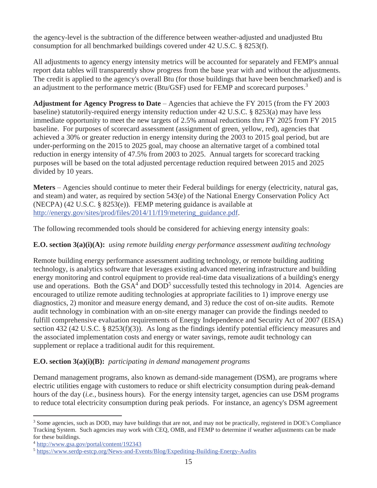the agency-level is the subtraction of the difference between weather-adjusted and unadjusted Btu consumption for all benchmarked buildings covered under 42 U.S.C. § 8253(f).

All adjustments to agency energy intensity metrics will be accounted for separately and FEMP's annual report data tables will transparently show progress from the base year with and without the adjustments. The credit is applied to the agency's overall Btu (for those buildings that have been benchmarked) and is an adjustment to the performance metric (Btu/GSF) used for FEMP and scorecard purposes.<sup>3</sup>

**Adjustment for Agency Progress to Date** – Agencies that achieve the FY 2015 (from the FY 2003 baseline) statutorily-required energy intensity reduction under 42 U.S.C. § 8253(a) may have less immediate opportunity to meet the new targets of 2.5% annual reductions thru FY 2025 from FY 2015 baseline. For purposes of scorecard assessment (assignment of green, yellow, red), agencies that achieved a 30% or greater reduction in energy intensity during the 2003 to 2015 goal period, but are under-performing on the 2015 to 2025 goal, may choose an alternative target of a combined total reduction in energy intensity of 47.5% from 2003 to 2025. Annual targets for scorecard tracking purposes will be based on the total adjusted percentage reduction required between 2015 and 2025 divided by 10 years.

**Meters** – Agencies should continue to meter their Federal buildings for energy (electricity, natural gas, and steam) and water, as required by section 543(e) of the National Energy Conservation Policy Act (NECPA) (42 U.S.C. § 8253(e)). FEMP metering guidance is available at http://energy.gov/sites/prod/files/2014/11/f19/metering\_guidance.pdf.

The following recommended tools should be considered for achieving energy intensity goals:

# **E.O. section 3(a)(i)(A):** *using remote building energy performance assessment auditing technology*

Remote building energy performance assessment auditing technology, or remote building auditing technology, is analytics software that leverages existing advanced metering infrastructure and building energy monitoring and control equipment to provide real-time data visualizations of a building's energy use and operations. Both the  $GSA<sup>4</sup>$  and  $DOD<sup>5</sup>$  successfully tested this technology in 2014. Agencies are encouraged to utilize remote auditing technologies at appropriate facilities to 1) improve energy use diagnostics, 2) monitor and measure energy demand, and 3) reduce the cost of on-site audits. Remote audit technology in combination with an on-site energy manager can provide the findings needed to fulfill comprehensive evaluation requirements of Energy Independence and Security Act of 2007 (EISA) section 432 (42 U.S.C. § 8253(f)(3)). As long as the findings identify potential efficiency measures and the associated implementation costs and energy or water savings, remote audit technology can supplement or replace a traditional audit for this requirement.

#### **E.O. section 3(a)(i)(B):** *participating in demand management programs*

Demand management programs, also known as demand-side management (DSM), are programs where electric utilities engage with customers to reduce or shift electricity consumption during peak-demand hours of the day (*i.e.*, business hours). For the energy intensity target, agencies can use DSM programs to reduce total electricity consumption during peak periods. For instance, an agency's DSM agreement

 $\overline{a}$ <sup>3</sup> Some agencies, such as DOD, may have buildings that are not, and may not be practically, registered in DOE's Compliance Tracking System. Such agencies may work with CEQ, OMB, and FEMP to determine if weather adjustments can be made for these buildings.

<sup>4</sup> http://www.gsa.gov/portal/content/192343

<sup>5</sup> https://www.serdp-estcp.org/News-and-Events/Blog/Expediting-Building-Energy-Audits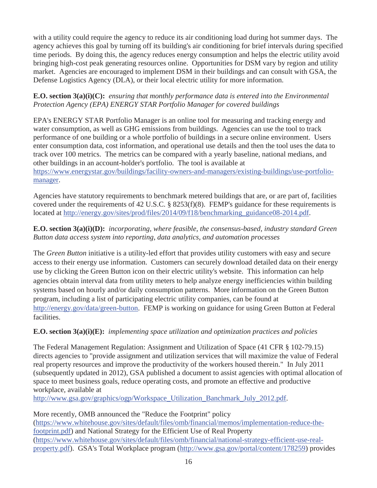with a utility could require the agency to reduce its air conditioning load during hot summer days. The agency achieves this goal by turning off its building's air conditioning for brief intervals during specified time periods. By doing this, the agency reduces energy consumption and helps the electric utility avoid bringing high-cost peak generating resources online. Opportunities for DSM vary by region and utility market. Agencies are encouraged to implement DSM in their buildings and can consult with GSA, the Defense Logistics Agency (DLA), or their local electric utility for more information.

#### **E.O. section 3(a)(i)(C):** *ensuring that monthly performance data is entered into the Environmental Protection Agency (EPA) ENERGY STAR Portfolio Manager for covered buildings*

EPA's ENERGY STAR Portfolio Manager is an online tool for measuring and tracking energy and water consumption, as well as GHG emissions from buildings. Agencies can use the tool to track performance of one building or a whole portfolio of buildings in a secure online environment. Users enter consumption data, cost information, and operational use details and then the tool uses the data to track over 100 metrics. The metrics can be compared with a yearly baseline, national medians, and other buildings in an account-holder's portfolio. The tool is available at https://www.energystar.gov/buildings/facility-owners-and-managers/existing-buildings/use-portfoliomanager.

Agencies have statutory requirements to benchmark metered buildings that are, or are part of, facilities covered under the requirements of 42 U.S.C. § 8253(f)(8). FEMP's guidance for these requirements is located at http://energy.gov/sites/prod/files/2014/09/f18/benchmarking\_guidance08-2014.pdf.

# **E.O. section 3(a)(i)(D):** *incorporating, where feasible, the consensus-based, industry standard Green Button data access system into reporting, data analytics, and automation processes*

The *Green Button* initiative is a utility-led effort that provides utility customers with easy and secure access to their energy use information. Customers can securely download detailed data on their energy use by clicking the Green Button icon on their electric utility's website. This information can help agencies obtain interval data from utility meters to help analyze energy inefficiencies within building systems based on hourly and/or daily consumption patterns. More information on the Green Button program, including a list of participating electric utility companies, can be found at http://energy.gov/data/green-button. FEMP is working on guidance for using Green Button at Federal facilities.

# **E.O. section 3(a)(i)(E):** *implementing space utilization and optimization practices and policies*

The Federal Management Regulation: Assignment and Utilization of Space (41 CFR § 102-79.15) directs agencies to "provide assignment and utilization services that will maximize the value of Federal real property resources and improve the productivity of the workers housed therein." In July 2011 (subsequently updated in 2012), GSA published a document to assist agencies with optimal allocation of space to meet business goals, reduce operating costs, and promote an effective and productive workplace, available at

http://www.gsa.gov/graphics/ogp/Workspace\_Utilization\_Banchmark\_July\_2012.pdf.

More recently, OMB announced the "Reduce the Footprint" policy (https://www.whitehouse.gov/sites/default/files/omb/financial/memos/implementation-reduce-thefootprint.pdf) and National Strategy for the Efficient Use of Real Property (https://www.whitehouse.gov/sites/default/files/omb/financial/national-strategy-efficient-use-realproperty.pdf). GSA's Total Workplace program (http://www.gsa.gov/portal/content/178259) provides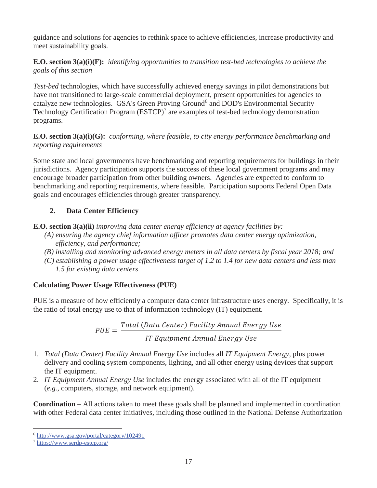guidance and solutions for agencies to rethink space to achieve efficiencies, increase productivity and meet sustainability goals.

# **E.O. section 3(a)(i)(F):** *identifying opportunities to transition test-bed technologies to achieve the goals of this section*

*Test-bed* technologies, which have successfully achieved energy savings in pilot demonstrations but have not transitioned to large-scale commercial deployment, present opportunities for agencies to catalyze new technologies. GSA's Green Proving Ground<sup>6</sup> and DOD's Environmental Security Technology Certification Program  $(ESTCP)^7$  are examples of test-bed technology demonstration programs.

### **E.O. section 3(a)(i)(G):** *conforming, where feasible, to city energy performance benchmarking and reporting requirements*

Some state and local governments have benchmarking and reporting requirements for buildings in their jurisdictions. Agency participation supports the success of these local government programs and may encourage broader participation from other building owners. Agencies are expected to conform to benchmarking and reporting requirements, where feasible. Participation supports Federal Open Data goals and encourages efficiencies through greater transparency.

# **2. Data Center Efficiency**

**E.O. section 3(a)(ii)** *improving data center energy efficiency at agency facilities by:* 

- *(A) ensuring the agency chief information officer promotes data center energy optimization, efficiency, and performance;*
- *(B) installing and monitoring advanced energy meters in all data centers by fiscal year 2018; and*
- *(C) establishing a power usage effectiveness target of 1.2 to 1.4 for new data centers and less than 1.5 for existing data centers*

# **Calculating Power Usage Effectiveness (PUE)**

PUE is a measure of how efficiently a computer data center infrastructure uses energy. Specifically, it is the ratio of total energy use to that of information technology (IT) equipment.

> $PUE =$ Total (Data Center) Facility Annual Energy Use **IT Equipment Annual Energy Use**

- 1. *Total (Data Center) Facility Annual Energy Use* includes all *IT Equipment Energy*, plus power delivery and cooling system components, lighting, and all other energy using devices that support the IT equipment.
- 2. *IT Equipment Annual Energy Use* includes the energy associated with all of the IT equipment (*e.g.*, computers, storage, and network equipment).

**Coordination** – All actions taken to meet these goals shall be planned and implemented in coordination with other Federal data center initiatives, including those outlined in the National Defense Authorization

 $\overline{a}$ 

<sup>6</sup> http://www.gsa.gov/portal/category/102491

<sup>7</sup> https://www.serdp-estcp.org/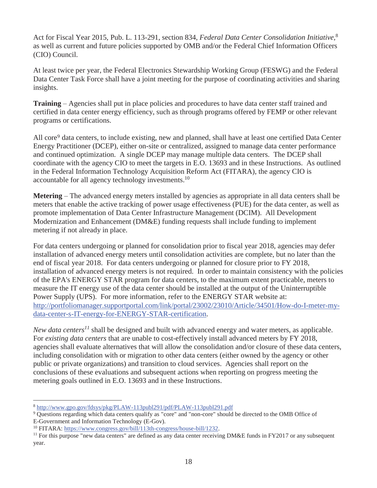Act for Fiscal Year 2015, Pub. L. 113-291, section 834, *Federal Data Center Consolidation Initiative,*<sup>8</sup> as well as current and future policies supported by OMB and/or the Federal Chief Information Officers (CIO) Council.

At least twice per year, the Federal Electronics Stewardship Working Group (FESWG) and the Federal Data Center Task Force shall have a joint meeting for the purpose of coordinating activities and sharing insights.

**Training** – Agencies shall put in place policies and procedures to have data center staff trained and certified in data center energy efficiency, such as through programs offered by FEMP or other relevant programs or certifications.

All core<sup>9</sup> data centers, to include existing, new and planned, shall have at least one certified Data Center Energy Practitioner (DCEP), either on-site or centralized, assigned to manage data center performance and continued optimization. A single DCEP may manage multiple data centers. The DCEP shall coordinate with the agency CIO to meet the targets in E.O. 13693 and in these Instructions. As outlined in the Federal Information Technology Acquisition Reform Act (FITARA), the agency CIO is accountable for all agency technology investments.<sup>10</sup>

**Metering** – The advanced energy meters installed by agencies as appropriate in all data centers shall be meters that enable the active tracking of power usage effectiveness (PUE) for the data center, as well as promote implementation of Data Center Infrastructure Management (DCIM). All Development Modernization and Enhancement (DM&E) funding requests shall include funding to implement metering if not already in place.

For data centers undergoing or planned for consolidation prior to fiscal year 2018, agencies may defer installation of advanced energy meters until consolidation activities are complete, but no later than the end of fiscal year 2018. For data centers undergoing or planned for closure prior to FY 2018, installation of advanced energy meters is not required. In order to maintain consistency with the policies of the EPA's ENERGY STAR program for data centers, to the maximum extent practicable, meters to measure the IT energy use of the data center should be installed at the output of the Uninterruptible Power Supply (UPS). For more information, refer to the ENERGY STAR website at: http://portfoliomanager.supportportal.com/link/portal/23002/23010/Article/34501/How-do-I-meter-mydata-center-s-IT-energy-for-ENERGY-STAR-certification.

*New data centers<sup>11</sup>* shall be designed and built with advanced energy and water meters, as applicable. For *existing data centers* that are unable to cost-effectively install advanced meters by FY 2018, agencies shall evaluate alternatives that will allow the consolidation and/or closure of these data centers, including consolidation with or migration to other data centers (either owned by the agency or other public or private organizations) and transition to cloud services. Agencies shall report on the conclusions of these evaluations and subsequent actions when reporting on progress meeting the metering goals outlined in E.O. 13693 and in these Instructions.

-

<sup>8</sup> http://www.gpo.gov/fdsys/pkg/PLAW-113publ291/pdf/PLAW-113publ291.pdf

<sup>&</sup>lt;sup>9</sup> Questions regarding which data centers qualify as "core" and "non-core" should be directed to the OMB Office of E-Government and Information Technology (E-Gov).<br><sup>10</sup> FITARA: https://www.congress.gov/bill/113th-congress/house-bill/1232.

<sup>&</sup>lt;sup>11</sup> For this purpose "new data centers" are defined as any data center receiving DM&E funds in FY2017 or any subsequent year.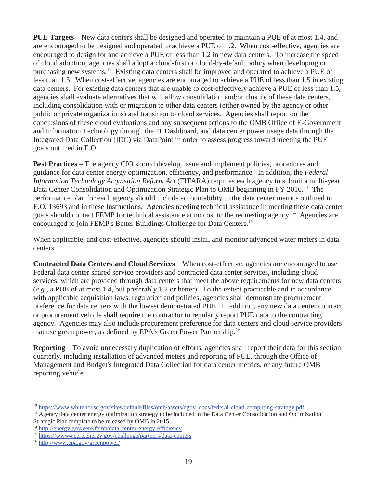**PUE Targets** – New data centers shall be designed and operated to maintain a PUE of at most 1.4, and are encouraged to be designed and operated to achieve a PUE of 1.2. When cost-effective, agencies are encouraged to design for and achieve a PUE of less than 1.2 in new data centers. To increase the speed of cloud adoption, agencies shall adopt a cloud-first or cloud-by-default policy when developing or purchasing new systems.12 Existing data centers shall be improved and operated to achieve a PUE of less than 1.5. When cost-effective, agencies are encouraged to achieve a PUE of less than 1.5 in existing data centers. For existing data centers that are unable to cost-effectively achieve a PUE of less than 1.5, agencies shall evaluate alternatives that will allow consolidation and/or closure of these data centers, including consolidation with or migration to other data centers (either owned by the agency or other public or private organizations) and transition to cloud services. Agencies shall report on the conclusions of these cloud evaluations and any subsequent actions to the OMB Office of E-Government and Information Technology through the IT Dashboard, and data center power usage data through the Integrated Data Collection (IDC) via DataPoint in order to assess progress toward meeting the PUE goals outlined in E.O.

**Best Practices** – The agency CIO should develop, issue and implement policies, procedures and guidance for data center energy optimization, efficiency, and performance. In addition, the *Federal Information Technology Acquisition Reform Act* (FITARA) requires each agency to submit a multi-year Data Center Consolidation and Optimization Strategic Plan to OMB beginning in FY 2016.<sup>13</sup> The performance plan for each agency should include accountability to the data center metrics outlined in E.O. 13693 and in these Instructions. Agencies needing technical assistance in meeting these data center goals should contact FEMP for technical assistance at no cost to the requesting agency.<sup>14</sup> Agencies are encouraged to join FEMP's Better Buildings Challenge for Data Centers.<sup>15</sup>

When applicable, and cost-effective, agencies should install and monitor advanced water meters in data centers.

**Contracted Data Centers and Cloud Services** – When cost-effective, agencies are encouraged to use Federal data center shared service providers and contracted data center services, including cloud services, which are provided through data centers that meet the above requirements for new data centers (*e.g.*, a PUE of at most 1.4, but preferably 1.2 or better). To the extent practicable and in accordance with applicable acquisition laws, regulation and policies, agencies shall demonstrate procurement preference for data centers with the lowest demonstrated PUE. In addition, any new data center contract or procurement vehicle shall require the contractor to regularly report PUE data to the contracting agency. Agencies may also include procurement preference for data centers and cloud service providers that use green power, as defined by EPA's Green Power Partnership.<sup>16</sup>

**Reporting** – To avoid unnecessary duplication of efforts, agencies shall report their data for this section quarterly, including installation of advanced meters and reporting of PUE, through the Office of Management and Budget's Integrated Data Collection for data center metrics, or any future OMB reporting vehicle.

 $\overline{a}$ 

<sup>&</sup>lt;sup>12</sup> https://www.whitehouse.gov/sites/default/files/omb/assets/egov\_docs/federal-cloud-computing-strategy.pdf

<sup>&</sup>lt;sup>13</sup> Agency data center energy optimization strategy to be included in the Data Center Consolidation and Optimization Strategic Plan template to be released by OMB in 2015.

<sup>&</sup>lt;sup>14</sup> http://energy.gov/eere/femp/data-center-energy-efficiency

<sup>15</sup> https://www4.eere.energy.gov/challenge/partners/data-centers

<sup>16</sup> http://www.epa.gov/greenpower/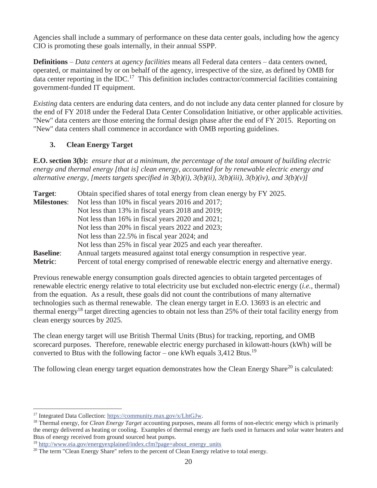Agencies shall include a summary of performance on these data center goals, including how the agency CIO is promoting these goals internally, in their annual SSPP.

**Definitions** – *Data centers* at *agency facilities* means all Federal data centers – data centers owned, operated, or maintained by or on behalf of the agency, irrespective of the size, as defined by OMB for data center reporting in the IDC.<sup>17</sup> This definition includes contractor/commercial facilities containing government-funded IT equipment.

*Existing* data centers are enduring data centers, and do not include any data center planned for closure by the end of FY 2018 under the Federal Data Center Consolidation Initiative, or other applicable activities. "New" data centers are those entering the formal design phase after the end of FY 2015. Reporting on "New" data centers shall commence in accordance with OMB reporting guidelines.

# **3. Clean Energy Target**

**E.O. section 3(b):** *ensure that at a minimum, the percentage of the total amount of building electric energy and thermal energy [that is] clean energy, accounted for by renewable electric energy and alternative energy, [meets targets specified in 3(b)(i), 3(b)(ii), 3(b)(iii), 3(b)(iv), and 3(b)(v)]* 

| Target:            | Obtain specified shares of total energy from clean energy by FY 2025.                  |
|--------------------|----------------------------------------------------------------------------------------|
| <b>Milestones:</b> | Not less than 10% in fiscal years 2016 and 2017;                                       |
|                    | Not less than 13% in fiscal years 2018 and 2019;                                       |
|                    | Not less than 16% in fiscal years 2020 and 2021;                                       |
|                    | Not less than 20% in fiscal years 2022 and 2023;                                       |
|                    | Not less than 22.5% in fiscal year 2024; and                                           |
|                    | Not less than 25% in fiscal year 2025 and each year thereafter.                        |
| <b>Baseline:</b>   | Annual targets measured against total energy consumption in respective year.           |
| Metric:            | Percent of total energy comprised of renewable electric energy and alternative energy. |

Previous renewable energy consumption goals directed agencies to obtain targeted percentages of renewable electric energy relative to total electricity use but excluded non-electric energy (*i.e.*, thermal) from the equation. As a result, these goals did not count the contributions of many alternative technologies such as thermal renewable. The clean energy target in E.O. 13693 is an electric and thermal energy<sup>18</sup> target directing agencies to obtain not less than 25% of their total facility energy from clean energy sources by 2025.

The clean energy target will use British Thermal Units (Btus) for tracking, reporting, and OMB scorecard purposes. Therefore, renewable electric energy purchased in kilowatt-hours (kWh) will be converted to Btus with the following factor – one kWh equals  $3,412$  Btus.<sup>19</sup>

The following clean energy target equation demonstrates how the Clean Energy Share<sup>20</sup> is calculated:

 $\overline{a}$ 

<sup>&</sup>lt;sup>17</sup> Integrated Data Collection: https://community.max.gov/x/LhtGJw.<br><sup>18</sup> Thermal energy, for *Clean Energy Target* accounting purposes, means all forms of non-electric energy which is primarily the energy delivered as heating or cooling. Examples of thermal energy are fuels used in furnaces and solar water heaters and Btus of energy received from ground sourced heat pumps.

<sup>&</sup>lt;sup>19</sup> http://www.eia.gov/energyexplained/index.cfm?page=about\_energy\_units

<sup>&</sup>lt;sup>20</sup> The term "Clean Energy Share" refers to the percent of Clean Energy relative to total energy.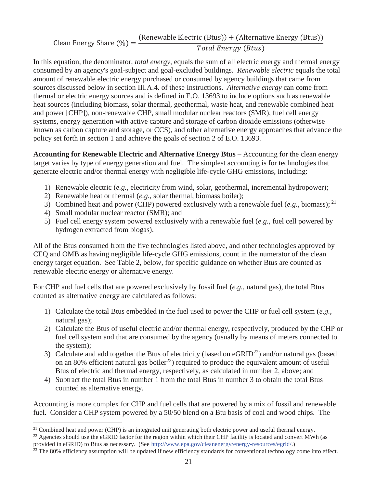Clean Energy Share  $(\%) = \frac{(Renewable Electric (Btus)) + (Alternative Energy (Btus))}{\sqrt{n} + (AtrA) + (BtrA)}$ Total Energy (Btus)

In this equation, the denominator, *total energy*, equals the sum of all electric energy and thermal energy consumed by an agency's goal-subject and goal-excluded buildings. *Renewable electric* equals the total amount of renewable electric energy purchased or consumed by agency buildings that came from sources discussed below in section III.A.4. of these Instructions. *Alternative energy* can come from thermal or electric energy sources and is defined in E.O. 13693 to include options such as renewable heat sources (including biomass, solar thermal, geothermal, waste heat, and renewable combined heat and power [CHP]), non-renewable CHP, small modular nuclear reactors (SMR), fuel cell energy systems, energy generation with active capture and storage of carbon dioxide emissions (otherwise known as carbon capture and storage, or CCS), and other alternative energy approaches that advance the policy set forth in section 1 and achieve the goals of section 2 of E.O. 13693.

**Accounting for Renewable Electric and Alternative Energy Btus –** Accounting for the clean energy target varies by type of energy generation and fuel. The simplest accounting is for technologies that generate electric and/or thermal energy with negligible life-cycle GHG emissions, including:

- 1) Renewable electric (*e.g.*, electricity from wind, solar, geothermal, incremental hydropower);
- 2) Renewable heat or thermal (*e.g.*, solar thermal, biomass boiler);
- 3) Combined heat and power (CHP) powered exclusively with a renewable fuel  $(e.g., \text{biomass})$ ;  $^{21}$
- 4) Small modular nuclear reactor (SMR); and
- 5) Fuel cell energy system powered exclusively with a renewable fuel (*e.g.*, fuel cell powered by hydrogen extracted from biogas).

All of the Btus consumed from the five technologies listed above, and other technologies approved by CEQ and OMB as having negligible life-cycle GHG emissions, count in the numerator of the clean energy target equation. See Table 2, below, for specific guidance on whether Btus are counted as renewable electric energy or alternative energy.

For CHP and fuel cells that are powered exclusively by fossil fuel (*e.g.*, natural gas), the total Btus counted as alternative energy are calculated as follows:

- 1) Calculate the total Btus embedded in the fuel used to power the CHP or fuel cell system (*e.g.*, natural gas);
- 2) Calculate the Btus of useful electric and/or thermal energy, respectively, produced by the CHP or fuel cell system and that are consumed by the agency (usually by means of meters connected to the system);
- 3) Calculate and add together the Btus of electricity (based on eGRID<sup>22</sup>) and/or natural gas (based on an 80% efficient natural gas boiler<sup>23</sup>) required to produce the equivalent amount of useful Btus of electric and thermal energy, respectively, as calculated in number 2, above; and
- 4) Subtract the total Btus in number 1 from the total Btus in number 3 to obtain the total Btus counted as alternative energy.

Accounting is more complex for CHP and fuel cells that are powered by a mix of fossil and renewable fuel. Consider a CHP system powered by a 50/50 blend on a Btu basis of coal and wood chips. The

 $\overline{a}$ <sup>21</sup> Combined heat and power (CHP) is an integrated unit generating both electric power and useful thermal energy.<br><sup>22</sup> Agencies should use the eGRID factor for the region within which their CHP facility is located and co

provided in eGRID) to Btus as necessary. (See http://www.epa.gov/cleanenergy/energy-resources/egrid/.)<br><sup>23</sup> The 80% efficiency assumption will be updated if new efficiency standards for conventional technology come into ef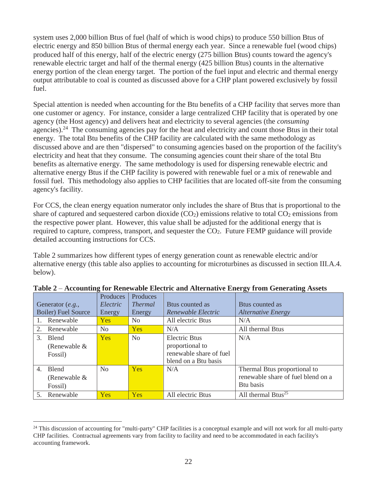system uses 2,000 billion Btus of fuel (half of which is wood chips) to produce 550 billion Btus of electric energy and 850 billion Btus of thermal energy each year. Since a renewable fuel (wood chips) produced half of this energy, half of the electric energy (275 billion Btus) counts toward the agency's renewable electric target and half of the thermal energy (425 billion Btus) counts in the alternative energy portion of the clean energy target. The portion of the fuel input and electric and thermal energy output attributable to coal is counted as discussed above for a CHP plant powered exclusively by fossil fuel.

Special attention is needed when accounting for the Btu benefits of a CHP facility that serves more than one customer or agency. For instance, consider a large centralized CHP facility that is operated by one agency (the Host agency) and delivers heat and electricity to several agencies (the *consuming*  agencies).<sup>24</sup> The consuming agencies pay for the heat and electricity and count those Btus in their total energy. The total Btu benefits of the CHP facility are calculated with the same methodology as discussed above and are then "dispersed" to consuming agencies based on the proportion of the facility's electricity and heat that they consume. The consuming agencies count their share of the total Btu benefits as alternative energy. The same methodology is used for dispersing renewable electric and alternative energy Btus if the CHP facility is powered with renewable fuel or a mix of renewable and fossil fuel. This methodology also applies to CHP facilities that are located off-site from the consuming agency's facility.

For CCS, the clean energy equation numerator only includes the share of Btus that is proportional to the share of captured and sequestered carbon dioxide  $(CO_2)$  emissions relative to total  $CO_2$  emissions from the respective power plant. However, this value shall be adjusted for the additional energy that is required to capture, compress, transport, and sequester the CO<sub>2</sub>. Future FEMP guidance will provide detailed accounting instructions for CCS.

Table 2 summarizes how different types of energy generation count as renewable electric and/or alternative energy (this table also applies to accounting for microturbines as discussed in section III.A.4. below).

|                            |                |                |                             | ັ                                  |
|----------------------------|----------------|----------------|-----------------------------|------------------------------------|
|                            | Produces       | Produces       |                             |                                    |
| Generator $(e.g.,$         | Electric       | <i>Thermal</i> | B <sub>tus</sub> counted as | B <sub>tus</sub> counted as        |
| <b>Boiler)</b> Fuel Source | Energy         | Energy         | Renewable Electric          | <i><b>Alternative Energy</b></i>   |
| 1. Renewable               | <b>Yes</b>     | N <sub>0</sub> | All electric Btus           | N/A                                |
| Renewable<br>2.            | N <sub>0</sub> | Yes            | N/A                         | All thermal Btus                   |
| 3.<br><b>Blend</b>         | Yes            | N <sub>o</sub> | <b>Electric Btus</b>        | N/A                                |
| (Renewable $&$             |                |                | proportional to             |                                    |
| Fossil)                    |                |                | renewable share of fuel     |                                    |
|                            |                |                | blend on a Btu basis        |                                    |
| <b>Blend</b><br>4.         | No             | <b>Yes</b>     | N/A                         | Thermal Btus proportional to       |
| (Renewable $&$             |                |                |                             | renewable share of fuel blend on a |
| Fossil)                    |                |                |                             | Btu basis                          |
| 5.<br>Renewable            | Yes            | <b>Yes</b>     | All electric Btus           | All thermal Btus <sup>25</sup>     |

**Table 2** – **Accounting for Renewable Electric and Alternative Energy from Generating Assets**

 $\overline{a}$ 

 $24$  This discussion of accounting for "multi-party" CHP facilities is a conceptual example and will not work for all multi-party CHP facilities. Contractual agreements vary from facility to facility and need to be accommodated in each facility's accounting framework.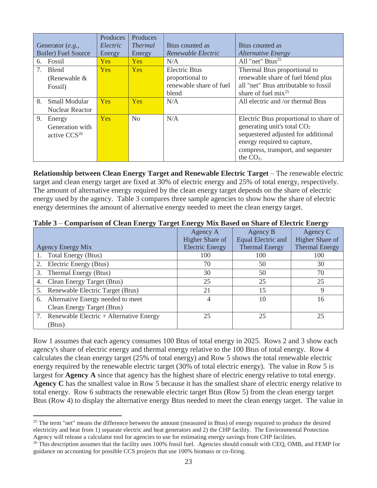|                            | Produces   | Produces       |                             |                                        |
|----------------------------|------------|----------------|-----------------------------|----------------------------------------|
| Generator $(e.g.,$         | Electric   | <i>Thermal</i> | B <sub>tus</sub> counted as | B <sub>tus</sub> counted as            |
| <b>Boiler)</b> Fuel Source | Energy     | Energy         | Renewable Electric          | <b>Alternative Energy</b>              |
| 6. Fossil                  | <b>Yes</b> | <b>Yes</b>     | N/A                         | All "net" Btus <sup>25</sup>           |
| 7.<br><b>Blend</b>         | <b>Yes</b> | <b>Yes</b>     | Electric Btus               | Thermal Btus proportional to           |
| (Renewable $&$             |            |                | proportional to             | renewable share of fuel blend plus     |
| Fossil)                    |            |                | renewable share of fuel     | all "net" Btus attributable to fossil  |
|                            |            |                | blend                       | share of fuel $mix^{25}$               |
| 8.<br><b>Small Modular</b> | <b>Yes</b> | <b>Yes</b>     | N/A                         | All electric and /or thermal Btus      |
| <b>Nuclear Reactor</b>     |            |                |                             |                                        |
| 9.<br>Energy               | <b>Yes</b> | N <sub>0</sub> | N/A                         | Electric Btus proportional to share of |
| Generation with            |            |                |                             | generating unit's total $CO2$          |
| active $CCS26$             |            |                |                             | sequestered adjusted for additional    |
|                            |            |                |                             | energy required to capture,            |
|                            |            |                |                             | compress, transport, and sequester     |
|                            |            |                |                             | the $CO2$ .                            |

**Relationship between Clean Energy Target and Renewable Electric Target** – The renewable electric target and clean energy target are fixed at 30% of electric energy and 25% of total energy, respectively. The amount of alternative energy required by the clean energy target depends on the share of electric energy used by the agency. Table 3 compares three sample agencies to show how the share of electric energy determines the amount of alternative energy needed to meet the clean energy target.

| Table 3 – Comparison of Clean Energy Target Energy Mix Based on Share of Electric Energy |  |  |  |  |  |  |
|------------------------------------------------------------------------------------------|--|--|--|--|--|--|

|                                            | Agency A               | Agency B              | Agency C              |
|--------------------------------------------|------------------------|-----------------------|-----------------------|
|                                            | Higher Share of        | Equal Electric and    | Higher Share of       |
| <b>Agency Energy Mix</b>                   | <b>Electric Energy</b> | <b>Thermal Energy</b> | <b>Thermal Energy</b> |
| 1. Total Energy (Btus)                     | 100                    | 100                   | 100                   |
| 2. Electric Energy (Btus)                  | 70                     | 50                    | 30                    |
| 3. Thermal Energy (Btus)                   | 30                     | 50                    | 70                    |
| 4. Clean Energy Target (Btus)              | 25                     | 25                    | 25                    |
| 5. Renewable Electric Target (Btus)        | 21                     | 15                    | 9                     |
| 6. Alternative Energy needed to meet       | 4                      | 10                    | 16                    |
| Clean Energy Target (Btus)                 |                        |                       |                       |
| 7. Renewable Electric + Alternative Energy | 25                     | 25                    | 25                    |
| (Btus)                                     |                        |                       |                       |

Row 1 assumes that each agency consumes 100 Btus of total energy in 2025. Rows 2 and 3 show each agency's share of electric energy and thermal energy relative to the 100 Btus of total energy. Row 4 calculates the clean energy target (25% of total energy) and Row 5 shows the total renewable electric energy required by the renewable electric target (30% of total electric energy). The value in Row 5 is largest for **Agency A** since that agency has the highest share of electric energy relative to total energy. **Agency C** has the smallest value in Row 5 because it has the smallest share of electric energy relative to total energy. Row 6 subtracts the renewable electric target Btus (Row 5) from the clean energy target Btus (Row 4) to display the alternative energy Btus needed to meet the clean energy target. The value in

 $\overline{a}$ <sup>25</sup> The term "net" means the difference between the amount (measured in Btus) of energy required to produce the desired electricity and heat from 1) separate electric and heat generators and 2) the CHP facility. The Environmental Protection Agency will release a calculator tool for agencies to use for estimating energy savings from CHP faci

<sup>&</sup>lt;sup>26</sup> This description assumes that the facility uses 100% fossil fuel. Agencies should consult with CEQ, OMB, and FEMP for guidance on accounting for possible CCS projects that use 100% biomass or co-firing.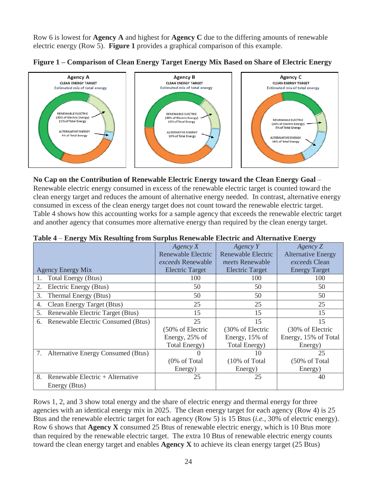Row 6 is lowest for **Agency A** and highest for **Agency C** due to the differing amounts of renewable electric energy (Row 5). **Figure 1** provides a graphical comparison of this example.





#### **No Cap on the Contribution of Renewable Electric Energy toward the Clean Energy Goal** –

Renewable electric energy consumed in excess of the renewable electric target is counted toward the clean energy target and reduces the amount of alternative energy needed. In contrast, alternative energy consumed in excess of the clean energy target does not count toward the renewable electric target. Table 4 shows how this accounting works for a sample agency that exceeds the renewable electric target and another agency that consumes more alternative energy than required by the clean energy target.

|    |                                       | $A$ gency $X$             | $A$ gency Y               | Agency Z                  |
|----|---------------------------------------|---------------------------|---------------------------|---------------------------|
|    |                                       | <b>Renewable Electric</b> | <b>Renewable Electric</b> | <b>Alternative Energy</b> |
|    |                                       | <i>exceeds</i> Renewable  | <i>meets</i> Renewable    | exceeds Clean             |
|    | <b>Agency Energy Mix</b>              | <b>Electric Target</b>    | <b>Electric Target</b>    | <b>Energy Target</b>      |
|    | <b>Total Energy (Btus)</b>            | 100                       | 100                       | 100                       |
| 2. | Electric Energy (Btus)                | 50                        | 50                        | 50                        |
| 3. | Thermal Energy (Btus)                 | 50                        | 50                        | 50                        |
| 4. | Clean Energy Target (Btus)            | 25                        | 25                        | 25                        |
| 5. | Renewable Electric Target (Btus)      | 15                        | 15                        | 15                        |
|    | 6. Renewable Electric Consumed (Btus) | 25                        | 15                        | 15                        |
|    |                                       | (50% of Electric          | (30% of Electric          | (30% of Electric          |
|    |                                       | Energy, 25% of            | Energy, 15% of            | Energy, 15% of Total      |
|    |                                       | Total Energy)             | Total Energy)             | Energy)                   |
|    | 7. Alternative Energy Consumed (Btus) |                           | 10                        | 25                        |
|    |                                       | (0% of Total              | (10% of Total             | (50% of Total             |
|    |                                       | Energy)                   | Energy)                   | Energy)                   |
| 8. | Renewable Electric + Alternative      | 25                        | 25                        | 40                        |
|    | Energy (Btus)                         |                           |                           |                           |

|  |  |  | Table 4 – Energy Mix Resulting from Surplus Renewable Electric and Alternative Energy |  |  |
|--|--|--|---------------------------------------------------------------------------------------|--|--|
|  |  |  |                                                                                       |  |  |

Rows 1, 2, and 3 show total energy and the share of electric energy and thermal energy for three agencies with an identical energy mix in 2025. The clean energy target for each agency (Row 4) is 25 Btus and the renewable electric target for each agency (Row 5) is 15 Btus (*i.e.*, 30% of electric energy). Row 6 shows that **Agency X** consumed 25 Btus of renewable electric energy, which is 10 Btus more than required by the renewable electric target. The extra 10 Btus of renewable electric energy counts toward the clean energy target and enables **Agency X** to achieve its clean energy target (25 Btus)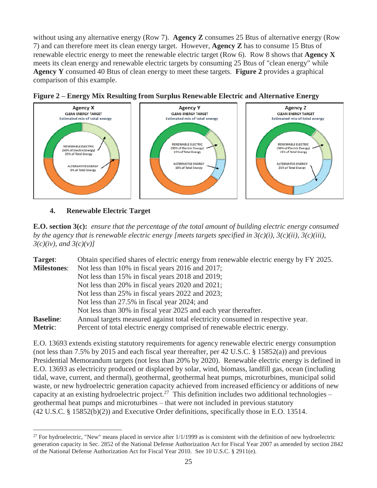without using any alternative energy (Row 7). **Agency Z** consumes 25 Btus of alternative energy (Row 7) and can therefore meet its clean energy target. However, **Agency Z** has to consume 15 Btus of renewable electric energy to meet the renewable electric target (Row 6). Row 8 shows that **Agency X** meets its clean energy and renewable electric targets by consuming 25 Btus of "clean energy" while **Agency Y** consumed 40 Btus of clean energy to meet these targets. **Figure 2** provides a graphical comparison of this example.





**4. Renewable Electric Target** 

 $\overline{a}$ 

**E.O. section 3(c):** *ensure that the percentage of the total amount of building electric energy consumed by the agency that is renewable electric energy [meets targets specified in*  $3(c)(i)$ *,*  $3(c)(ii)$ *,*  $3(c)(iii)$ *, 3(c)(iv), and 3(c)(v)]*

| Target:            | Obtain specified shares of electric energy from renewable electric energy by FY 2025. |
|--------------------|---------------------------------------------------------------------------------------|
| <b>Milestones:</b> | Not less than 10% in fiscal years 2016 and 2017;                                      |
|                    | Not less than 15% in fiscal years 2018 and 2019;                                      |
|                    | Not less than 20% in fiscal years 2020 and 2021;                                      |
|                    | Not less than 25% in fiscal years 2022 and 2023;                                      |
|                    | Not less than 27.5% in fiscal year 2024; and                                          |
|                    | Not less than 30% in fiscal year 2025 and each year thereafter.                       |
| <b>Baseline:</b>   | Annual targets measured against total electricity consumed in respective year.        |
| Metric:            | Percent of total electric energy comprised of renewable electric energy.              |

E.O. 13693 extends existing statutory requirements for agency renewable electric energy consumption (not less than 7.5% by 2015 and each fiscal year thereafter, per 42 U.S.C. § 15852(a)) and previous Presidential Memorandum targets (not less than 20% by 2020). Renewable electric energy is defined in E.O. 13693 as electricity produced or displaced by solar, wind, biomass, landfill gas, ocean (including tidal, wave, current, and thermal), geothermal, geothermal heat pumps, microturbines, municipal solid waste, or new hydroelectric generation capacity achieved from increased efficiency or additions of new capacity at an existing hydroelectric project.<sup>27</sup> This definition includes two additional technologies – geothermal heat pumps and microturbines – that were not included in previous statutory (42 U.S.C. § 15852(b)(2)) and Executive Order definitions, specifically those in E.O. 13514.

 $27$  For hydroelectric, "New" means placed in service after  $1/1/1999$  as is consistent with the definition of new hydroelectric generation capacity in Sec. 2852 of the National Defense Authorization Act for Fiscal Year 2007 as amended by section 2842 of the National Defense Authorization Act for Fiscal Year 2010. See 10 U.S.C. § 2911(e).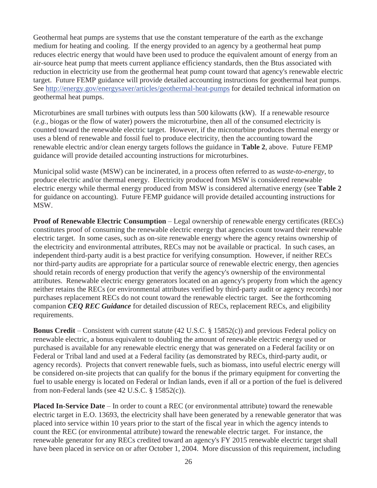Geothermal heat pumps are systems that use the constant temperature of the earth as the exchange medium for heating and cooling. If the energy provided to an agency by a geothermal heat pump reduces electric energy that would have been used to produce the equivalent amount of energy from an air-source heat pump that meets current appliance efficiency standards, then the Btus associated with reduction in electricity use from the geothermal heat pump count toward that agency's renewable electric target. Future FEMP guidance will provide detailed accounting instructions for geothermal heat pumps. See http://energy.gov/energysaver/articles/geothermal-heat-pumps for detailed technical information on geothermal heat pumps.

Microturbines are small turbines with outputs less than 500 kilowatts (kW). If a renewable resource (*e.g.*, biogas or the flow of water) powers the microturbine, then all of the consumed electricity is counted toward the renewable electric target. However, if the microturbine produces thermal energy or uses a blend of renewable and fossil fuel to produce electricity, then the accounting toward the renewable electric and/or clean energy targets follows the guidance in **Table 2**, above. Future FEMP guidance will provide detailed accounting instructions for microturbines.

Municipal solid waste (MSW) can be incinerated, in a process often referred to as *waste-to-energy*, to produce electric and/or thermal energy. Electricity produced from MSW is considered renewable electric energy while thermal energy produced from MSW is considered alternative energy (see **Table 2** for guidance on accounting). Future FEMP guidance will provide detailed accounting instructions for MSW.

**Proof of Renewable Electric Consumption** – Legal ownership of renewable energy certificates (RECs) constitutes proof of consuming the renewable electric energy that agencies count toward their renewable electric target. In some cases, such as on-site renewable energy where the agency retains ownership of the electricity and environmental attributes, RECs may not be available or practical. In such cases, an independent third-party audit is a best practice for verifying consumption. However, if neither RECs nor third-party audits are appropriate for a particular source of renewable electric energy, then agencies should retain records of energy production that verify the agency's ownership of the environmental attributes. Renewable electric energy generators located on an agency's property from which the agency neither retains the RECs (or environmental attributes verified by third-party audit or agency records) nor purchases replacement RECs do not count toward the renewable electric target. See the forthcoming companion *CEQ REC Guidance* for detailed discussion of RECs, replacement RECs, and eligibility requirements.

**Bonus Credit** – Consistent with current statute (42 U.S.C. § 15852(c)) and previous Federal policy on renewable electric, a bonus equivalent to doubling the amount of renewable electric energy used or purchased is available for any renewable electric energy that was generated on a Federal facility or on Federal or Tribal land and used at a Federal facility (as demonstrated by RECs, third-party audit, or agency records). Projects that convert renewable fuels, such as biomass, into useful electric energy will be considered on-site projects that can qualify for the bonus if the primary equipment for converting the fuel to usable energy is located on Federal or Indian lands, even if all or a portion of the fuel is delivered from non-Federal lands (see 42 U.S.C. § 15852(c)).

**Placed In-Service Date** – In order to count a REC (or environmental attribute) toward the renewable electric target in E.O. 13693, the electricity shall have been generated by a renewable generator that was placed into service within 10 years prior to the start of the fiscal year in which the agency intends to count the REC (or environmental attribute) toward the renewable electric target. For instance, the renewable generator for any RECs credited toward an agency's FY 2015 renewable electric target shall have been placed in service on or after October 1, 2004. More discussion of this requirement, including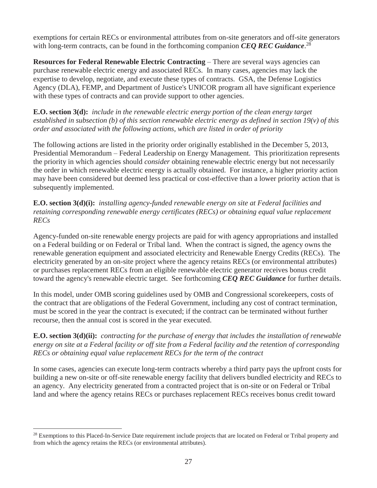exemptions for certain RECs or environmental attributes from on-site generators and off-site generators with long-term contracts, can be found in the forthcoming companion *CEQ REC Guidance*.<sup>28</sup>

**Resources for Federal Renewable Electric Contracting** – There are several ways agencies can purchase renewable electric energy and associated RECs. In many cases, agencies may lack the expertise to develop, negotiate, and execute these types of contracts. GSA, the Defense Logistics Agency (DLA), FEMP, and Department of Justice's UNICOR program all have significant experience with these types of contracts and can provide support to other agencies.

**E.O. section 3(d):** *include in the renewable electric energy portion of the clean energy target established in subsection (b) of this section renewable electric energy as defined in section 19(v) of this order and associated with the following actions, which are listed in order of priority*

The following actions are listed in the priority order originally established in the December 5, 2013, Presidential Memorandum – Federal Leadership on Energy Management. This prioritization represents the priority in which agencies should *consider* obtaining renewable electric energy but not necessarily the order in which renewable electric energy is actually obtained. For instance, a higher priority action may have been considered but deemed less practical or cost-effective than a lower priority action that is subsequently implemented.

**E.O. section 3(d)(i):** *installing agency-funded renewable energy on site at Federal facilities and retaining corresponding renewable energy certificates (RECs) or obtaining equal value replacement RECs*

Agency-funded on-site renewable energy projects are paid for with agency appropriations and installed on a Federal building or on Federal or Tribal land. When the contract is signed, the agency owns the renewable generation equipment and associated electricity and Renewable Energy Credits (RECs). The electricity generated by an on-site project where the agency retains RECs (or environmental attributes) or purchases replacement RECs from an eligible renewable electric generator receives bonus credit toward the agency's renewable electric target. See forthcoming *CEQ REC Guidance* for further details.

In this model, under OMB scoring guidelines used by OMB and Congressional scorekeepers, costs of the contract that are obligations of the Federal Government, including any cost of contract termination, must be scored in the year the contract is executed; if the contract can be terminated without further recourse, then the annual cost is scored in the year executed.

**E.O. section 3(d)(ii):** *contracting for the purchase of energy that includes the installation of renewable energy on site at a Federal facility or off site from a Federal facility and the retention of corresponding RECs or obtaining equal value replacement RECs for the term of the contract*

In some cases, agencies can execute long-term contracts whereby a third party pays the upfront costs for building a new on-site or off-site renewable energy facility that delivers bundled electricity and RECs to an agency. Any electricity generated from a contracted project that is on-site or on Federal or Tribal land and where the agency retains RECs or purchases replacement RECs receives bonus credit toward

 $\overline{a}$ <sup>28</sup> Exemptions to this Placed-In-Service Date requirement include projects that are located on Federal or Tribal property and from which the agency retains the RECs (or environmental attributes).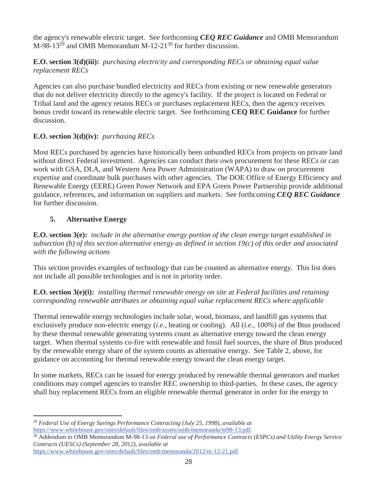the agency's renewable electric target. See forthcoming *CEQ REC Guidance* and OMB Memorandum M-98-13<sup>29</sup> and OMB Memorandum M-12-21<sup>30</sup> for further discussion.

# **E.O. section 3(d)(iii):** *purchasing electricity and corresponding RECs or obtaining equal value replacement RECs*

Agencies can also purchase bundled electricity and RECs from existing or new renewable generators that do not deliver electricity directly to the agency's facility. If the project is located on Federal or Tribal land and the agency retains RECs or purchases replacement RECs, then the agency receives bonus credit toward its renewable electric target. See forthcoming **CEQ REC Guidance** for further discussion.

# **E.O. section 3(d)(iv):** *purchasing RECs*

Most RECs purchased by agencies have historically been unbundled RECs from projects on private land without direct Federal investment. Agencies can conduct their own procurement for these RECs or can work with GSA, DLA, and Western Area Power Administration (WAPA) to draw on procurement expertise and coordinate bulk purchases with other agencies. The DOE Office of Energy Efficiency and Renewable Energy (EERE) Green Power Network and EPA Green Power Partnership provide additional guidance, references, and information on suppliers and markets. See forthcoming *CEQ REC Guidance*  for further discussion.

# **5. Alternative Energy**

**E.O. section 3(e):** *include in the alternative energy portion of the clean energy target established in subsection (b) of this section alternative energy as defined in section 19(c) of this order and associated with the following actions*

This section provides examples of technology that can be counted as alternative energy. This list does not include all possible technologies and is not in priority order.

### **E.O. section 3(e)(i):** *installing thermal renewable energy on site at Federal facilities and retaining corresponding renewable attributes or obtaining equal value replacement RECs where applicable*

Thermal renewable energy technologies include solar, wood, biomass, and landfill gas systems that exclusively produce non-electric energy (*i.e.*, heating or cooling). All (*i.e.*, 100%) of the Btus produced by these thermal renewable generating systems count as alternative energy toward the clean energy target. When thermal systems co-fire with renewable and fossil fuel sources, the share of Btus produced by the renewable energy share of the system counts as alternative energy. See Table 2, above, for guidance on accounting for thermal renewable energy toward the clean energy target.

In some markets, RECs can be issued for energy produced by renewable thermal generators and market conditions may compel agencies to transfer REC ownership to third-parties. In these cases, the agency shall buy replacement RECs from an eligible renewable thermal generator in order for the energy to

 $\overline{a}$ <sup>29</sup> *Federal Use of Energy Savings Performance Contracting (July 25, 1998), available at*

https://www.whitehouse.gov/sites/default/files/omb/assets/omb/memoranda/m98-13.pdf. 30 Addendum to OMB Memorandum M-98-13 on *Federal use of Performance Contracts (ESPCs) and Utility Energy Service Contracts (UESCs) (September 28, 2012), available at*

https://www.whitehouse.gov/sites/default/files/omb/memoranda/2012/m-12-21.pdf.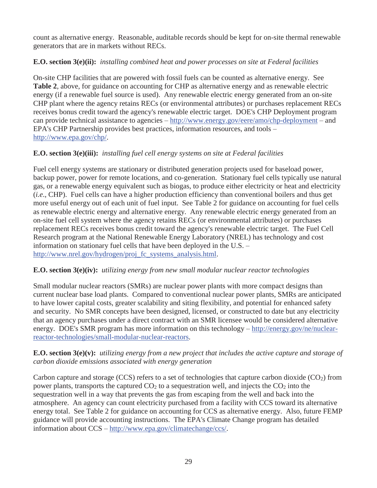count as alternative energy. Reasonable, auditable records should be kept for on-site thermal renewable generators that are in markets without RECs.

# **E.O. section 3(e)(ii):** *installing combined heat and power processes on site at Federal facilities*

On-site CHP facilities that are powered with fossil fuels can be counted as alternative energy. See **Table 2**, above, for guidance on accounting for CHP as alternative energy and as renewable electric energy (if a renewable fuel source is used). Any renewable electric energy generated from an on-site CHP plant where the agency retains RECs (or environmental attributes) or purchases replacement RECs receives bonus credit toward the agency's renewable electric target. DOE's CHP Deployment program can provide technical assistance to agencies – http://www.energy.gov/eere/amo/chp-deployment – and EPA's CHP Partnership provides best practices, information resources, and tools – http://www.epa.gov/chp/.

# **E.O. section 3(e)(iii):** *installing fuel cell energy systems on site at Federal facilities*

Fuel cell energy systems are stationary or distributed generation projects used for baseload power, backup power, power for remote locations, and co-generation. Stationary fuel cells typically use natural gas, or a renewable energy equivalent such as biogas, to produce either electricity or heat and electricity (*i.e*., CHP). Fuel cells can have a higher production efficiency than conventional boilers and thus get more useful energy out of each unit of fuel input. See Table 2 for guidance on accounting for fuel cells as renewable electric energy and alternative energy. Any renewable electric energy generated from an on-site fuel cell system where the agency retains RECs (or environmental attributes) or purchases replacement RECs receives bonus credit toward the agency's renewable electric target. The Fuel Cell Research program at the National Renewable Energy Laboratory (NREL) has technology and cost information on stationary fuel cells that have been deployed in the U.S. – http://www.nrel.gov/hydrogen/proj\_fc\_systems\_analysis.html.

# **E.O. section 3(e)(iv):** *utilizing energy from new small modular nuclear reactor technologies*

Small modular nuclear reactors (SMRs) are nuclear power plants with more compact designs than current nuclear base load plants. Compared to conventional nuclear power plants, SMRs are anticipated to have lower capital costs, greater scalability and siting flexibility, and potential for enhanced safety and security. No SMR concepts have been designed, licensed, or constructed to date but any electricity that an agency purchases under a direct contract with an SMR licensee would be considered alternative energy. DOE's SMR program has more information on this technology – http://energy.gov/ne/nuclearreactor-technologies/small-modular-nuclear-reactors.

#### **E.O. section 3(e)(v):** *utilizing energy from a new project that includes the active capture and storage of carbon dioxide emissions associated with energy generation*

Carbon capture and storage (CCS) refers to a set of technologies that capture carbon dioxide ( $CO<sub>2</sub>$ ) from power plants, transports the captured  $CO<sub>2</sub>$  to a sequestration well, and injects the  $CO<sub>2</sub>$  into the sequestration well in a way that prevents the gas from escaping from the well and back into the atmosphere. An agency can count electricity purchased from a facility with CCS toward its alternative energy total. See Table 2 for guidance on accounting for CCS as alternative energy. Also, future FEMP guidance will provide accounting instructions. The EPA's Climate Change program has detailed information about CCS – http://www.epa.gov/climatechange/ccs/.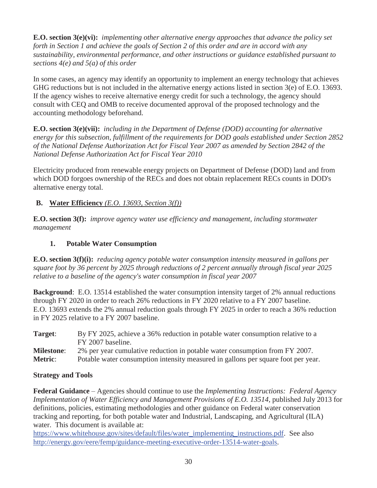**E.O. section 3(e)(vi):** *implementing other alternative energy approaches that advance the policy set forth in Section 1 and achieve the goals of Section 2 of this order and are in accord with any sustainability, environmental performance, and other instructions or guidance established pursuant to sections 4(e) and 5(a) of this order*

In some cases, an agency may identify an opportunity to implement an energy technology that achieves GHG reductions but is not included in the alternative energy actions listed in section 3(e) of E.O. 13693. If the agency wishes to receive alternative energy credit for such a technology, the agency should consult with CEQ and OMB to receive documented approval of the proposed technology and the accounting methodology beforehand.

**E.O. section 3(e)(vii):** *including in the Department of Defense (DOD) accounting for alternative energy for this subsection, fulfillment of the requirements for DOD goals established under Section 2852 of the National Defense Authorization Act for Fiscal Year 2007 as amended by Section 2842 of the National Defense Authorization Act for Fiscal Year 2010*

Electricity produced from renewable energy projects on Department of Defense (DOD) land and from which DOD forgoes ownership of the RECs and does not obtain replacement RECs counts in DOD's alternative energy total.

### **B. Water Efficiency** *(E.O. 13693, Section 3(f))*

**E.O. section 3(f):** *improve agency water use efficiency and management, including stormwater management*

### **1. Potable Water Consumption**

**E.O. section 3(f)(i):** *reducing agency potable water consumption intensity measured in gallons per square foot by 36 percent by 2025 through reductions of 2 percent annually through fiscal year 2025 relative to a baseline of the agency's water consumption in fiscal year 2007*

**Background**: E.O. 13514 established the water consumption intensity target of 2% annual reductions through FY 2020 in order to reach 26% reductions in FY 2020 relative to a FY 2007 baseline. E.O. 13693 extends the 2% annual reduction goals through FY 2025 in order to reach a 36% reduction in FY 2025 relative to a FY 2007 baseline.

**Target**: By FY 2025, achieve a 36% reduction in potable water consumption relative to a FY 2007 baseline. **Milestone**: 2% per year cumulative reduction in potable water consumption from FY 2007. **Metric**: Potable water consumption intensity measured in gallons per square foot per year.

#### **Strategy and Tools**

**Federal Guidance** – Agencies should continue to use the *Implementing Instructions: Federal Agency Implementation of Water Efficiency and Management Provisions of E.O. 13514*, published July 2013 for definitions, policies, estimating methodologies and other guidance on Federal water conservation tracking and reporting, for both potable water and Industrial, Landscaping, and Agricultural (ILA) water. This document is available at:

https://www.whitehouse.gov/sites/default/files/water\_implementing\_instructions.pdf. See also http://energy.gov/eere/femp/guidance-meeting-executive-order-13514-water-goals.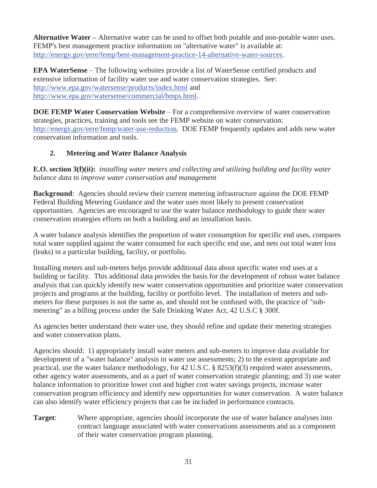**Alternative Water – Alternative water can be used to offset both potable and non-potable water uses.** FEMP's best management practice information on "alternative water" is available at: http://energy.gov/eere/femp/best-management-practice-14-alternative-water-sources.

**EPA WaterSense** – The following websites provide a list of WaterSense certified products and extensive information of facility water use and water conservation strategies. See: http://www.epa.gov/watersense/products/index.html and http://www.epa.gov/watersense/commercial/bmps.html.

**DOE FEMP Water Conservation Website** – For a comprehensive overview of water conservation strategies, practices, training and tools see the FEMP website on water conservation: http://energy.gov/eere/femp/water-use-reduction. DOE FEMP frequently updates and adds new water conservation information and tools.

# **2. Metering and Water Balance Analysis**

**E.O. section 3(f)(ii):** *installing water meters and collecting and utilizing building and facility water balance data to improve water conservation and management*

**Background**: Agencies should review their current metering infrastructure against the DOE FEMP Federal Building Metering Guidance and the water uses most likely to present conservation opportunities. Agencies are encouraged to use the water balance methodology to guide their water conservation strategies efforts on both a building and an installation basis.

A water balance analysis identifies the proportion of water consumption for specific end uses, compares total water supplied against the water consumed for each specific end use, and nets out total water loss (leaks) in a particular building, facility, or portfolio.

Installing meters and sub-meters helps provide additional data about specific water end uses at a building or facility. This additional data provides the basis for the development of robust water balance analysis that can quickly identify new water conservation opportunities and prioritize water conservation projects and programs at the building, facility or portfolio level. The installation of meters and submeters for these purposes is not the same as, and should not be confused with, the practice of "submetering" as a billing process under the Safe Drinking Water Act, 42 U.S.C § 300f.

As agencies better understand their water use, they should refine and update their metering strategies and water conservation plans.

Agencies should: 1) appropriately install water meters and sub-meters to improve data available for development of a "water balance" analysis in water use assessments; 2) to the extent appropriate and practical, use the water balance methodology, for 42 U.S.C. § 8253(f)(3) required water assessments, other agency water assessments, and as a part of water conservation strategic planning; and 3) use water balance information to prioritize lower cost and higher cost water savings projects, increase water conservation program efficiency and identify new opportunities for water conservation. A water balance can also identify water efficiency projects that can be included in performance contracts.

**Target**: Where appropriate, agencies should incorporate the use of water balance analyses into contract language associated with water conservations assessments and as a component of their water conservation program planning.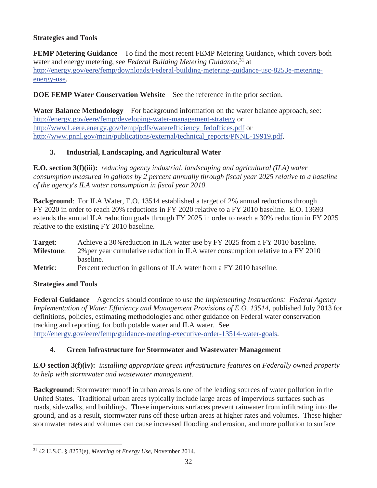# **Strategies and Tools**

**FEMP Metering Guidance** – To find the most recent FEMP Metering Guidance, which covers both water and energy metering, see *Federal Building Metering Guidance*, 31 at http://energy.gov/eere/femp/downloads/Federal-building-metering-guidance-usc-8253e-meteringenergy-use.

### **DOE FEMP Water Conservation Website** – See the reference in the prior section.

**Water Balance Methodology** – For background information on the water balance approach, see: http://energy.gov/eere/femp/developing-water-management-strategy or http://www1.eere.energy.gov/femp/pdfs/waterefficiency\_fedoffices.pdf or http://www.pnnl.gov/main/publications/external/technical\_reports/PNNL-19919.pdf.

# **3. Industrial, Landscaping, and Agricultural Water**

**E.O. section 3(f)(iii):** *reducing agency industrial, landscaping and agricultural (ILA) water consumption measured in gallons by 2 percent annually through fiscal year 2025 relative to a baseline of the agency's ILA water consumption in fiscal year 2010.*

**Background**: For ILA Water, E.O. 13514 established a target of 2% annual reductions through FY 2020 in order to reach 20% reductions in FY 2020 relative to a FY 2010 baseline. E.O. 13693 extends the annual ILA reduction goals through FY 2025 in order to reach a 30% reduction in FY 2025 relative to the existing FY 2010 baseline.

| Target:           | Achieve a 30% reduction in ILA water use by FY 2025 from a FY 2010 baseline.    |
|-------------------|---------------------------------------------------------------------------------|
| <b>Milestone:</b> | 2% per year cumulative reduction in ILA water consumption relative to a FY 2010 |
|                   | baseline.                                                                       |
| <b>Metric:</b>    | Percent reduction in gallons of ILA water from a FY 2010 baseline.              |

#### **Strategies and Tools**

 $\overline{a}$ 

**Federal Guidance** – Agencies should continue to use the *Implementing Instructions: Federal Agency Implementation of Water Efficiency and Management Provisions of E.O. 13514*, published July 2013 for definitions, policies, estimating methodologies and other guidance on Federal water conservation tracking and reporting, for both potable water and ILA water. See http://energy.gov/eere/femp/guidance-meeting-executive-order-13514-water-goals.

# **4. Green Infrastructure for Stormwater and Wastewater Management**

**E.O section 3(f)(iv):** *installing appropriate green infrastructure features on Federally owned property to help with stormwater and wastewater management.*

**Background**: Stormwater runoff in urban areas is one of the leading sources of water pollution in the United States. Traditional urban areas typically include large areas of impervious surfaces such as roads, sidewalks, and buildings. These impervious surfaces prevent rainwater from infiltrating into the ground, and as a result, stormwater runs off these urban areas at higher rates and volumes. These higher stormwater rates and volumes can cause increased flooding and erosion, and more pollution to surface

<sup>31 42</sup> U.S.C. § 8253(e), *Metering of Energy Use*, November 2014.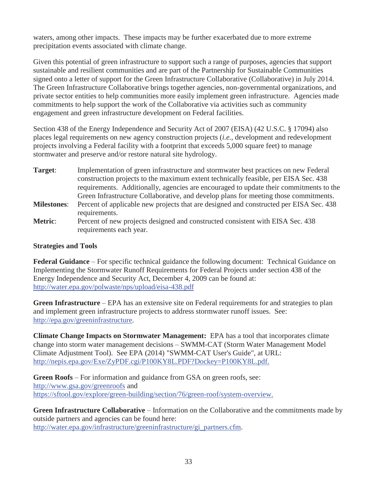waters, among other impacts. These impacts may be further exacerbated due to more extreme precipitation events associated with climate change.

Given this potential of green infrastructure to support such a range of purposes, agencies that support sustainable and resilient communities and are part of the Partnership for Sustainable Communities signed onto a letter of support for the Green Infrastructure Collaborative (Collaborative) in July 2014. The Green Infrastructure Collaborative brings together agencies, non-governmental organizations, and private sector entities to help communities more easily implement green infrastructure. Agencies made commitments to help support the work of the Collaborative via activities such as community engagement and green infrastructure development on Federal facilities.

Section 438 of the Energy Independence and Security Act of 2007 (EISA) (42 U.S.C. § 17094) also places legal requirements on new agency construction projects (*i.e.*, development and redevelopment projects involving a Federal facility with a footprint that exceeds 5,000 square feet) to manage stormwater and preserve and/or restore natural site hydrology.

**Target**: Implementation of green infrastructure and stormwater best practices on new Federal construction projects to the maximum extent technically feasible, per EISA Sec. 438 requirements. Additionally, agencies are encouraged to update their commitments to the Green Infrastructure Collaborative, and develop plans for meeting those commitments. **Milestones**: Percent of applicable new projects that are designed and constructed per EISA Sec. 438 requirements. Metric: Percent of new projects designed and constructed consistent with EISA Sec. 438 requirements each year.

#### **Strategies and Tools**

**Federal Guidance** – For specific technical guidance the following document: Technical Guidance on Implementing the Stormwater Runoff Requirements for Federal Projects under section 438 of the Energy Independence and Security Act, December 4, 2009 can be found at: http://water.epa.gov/polwaste/nps/upload/eisa-438.pdf

**Green Infrastructure** – EPA has an extensive site on Federal requirements for and strategies to plan and implement green infrastructure projects to address stormwater runoff issues. See: http://epa.gov/greeninfrastructure.

**Climate Change Impacts on Stormwater Management:** EPA has a tool that incorporates climate change into storm water management decisions – SWMM-CAT (Storm Water Management Model Climate Adjustment Tool). See EPA (2014) "SWMM-CAT User's Guide", at URL: http://nepis.epa.gov/Exe/ZyPDF.cgi/P100KY8L.PDF?Dockey=P100KY8L.pdf.

**Green Roofs** – For information and guidance from GSA on green roofs, see: http://www.gsa.gov/greenroofs and https://sftool.gov/explore/green-building/section/76/green-roof/system-overview.

**Green Infrastructure Collaborative** – Information on the Collaborative and the commitments made by outside partners and agencies can be found here: http://water.epa.gov/infrastructure/greeninfrastructure/gi\_partners.cfm.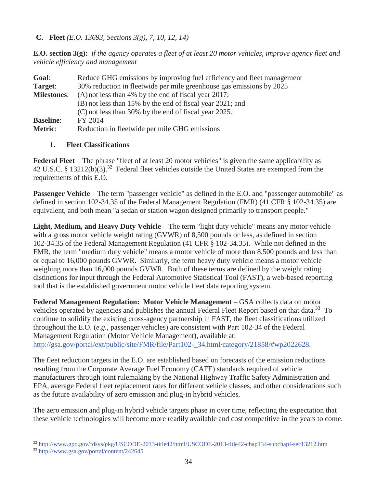**C. Fleet** *(E.O. 13693, Sections 3(g), 7, 10, 12, 14)*

**E.O. section 3(g):** *if the agency operates a fleet of at least 20 motor vehicles, improve agency fleet and vehicle efficiency and management*

| Goal:              | Reduce GHG emissions by improving fuel efficiency and fleet management |  |  |  |
|--------------------|------------------------------------------------------------------------|--|--|--|
| Target:            | 30% reduction in fleetwide per mile greenhouse gas emissions by 2025   |  |  |  |
| <b>Milestones:</b> | $(A)$ not less than 4% by the end of fiscal year 2017;                 |  |  |  |
|                    | (B) not less than 15% by the end of fiscal year 2021; and              |  |  |  |
|                    | (C) not less than 30% by the end of fiscal year 2025.                  |  |  |  |
| <b>Baseline:</b>   | FY 2014                                                                |  |  |  |
| <b>Metric:</b>     | Reduction in fleetwide per mile GHG emissions                          |  |  |  |

#### **1. Fleet Classifications**

**Federal Fleet** – The phrase "fleet of at least 20 motor vehicles" is given the same applicability as 42 U.S.C. § 13212(b)(3).<sup>32</sup> Federal fleet vehicles outside the United States are exempted from the requirements of this E.O.

**Passenger Vehicle** – The term "passenger vehicle" as defined in the E.O. and "passenger automobile" as defined in section 102-34.35 of the Federal Management Regulation (FMR) (41 CFR § 102-34.35) are equivalent, and both mean "a sedan or station wagon designed primarily to transport people."

**Light, Medium, and Heavy Duty Vehicle** – The term "light duty vehicle" means any motor vehicle with a gross motor vehicle weight rating (GVWR) of 8,500 pounds or less, as defined in section 102-34.35 of the Federal Management Regulation (41 CFR § 102-34.35). While not defined in the FMR, the term "medium duty vehicle" means a motor vehicle of more than 8,500 pounds and less than or equal to 16,000 pounds GVWR. Similarly, the term heavy duty vehicle means a motor vehicle weighing more than 16,000 pounds GVWR. Both of these terms are defined by the weight rating distinctions for input through the Federal Automotive Statistical Tool (FAST), a web-based reporting tool that is the established government motor vehicle fleet data reporting system.

**Federal Management Regulation: Motor Vehicle Management** – GSA collects data on motor vehicles operated by agencies and publishes the annual Federal Fleet Report based on that data.<sup>33</sup> To continue to solidify the existing cross-agency partnership in FAST, the fleet classifications utilized throughout the E.O. (*e.g.*, passenger vehicles) are consistent with Part 102-34 of the Federal Management Regulation (Motor Vehicle Management), available at: http://gsa.gov/portal/ext/public/site/FMR/file/Part102-\_34.html/category/21858/#wp2022628.

The fleet reduction targets in the E.O. are established based on forecasts of the emission reductions resulting from the Corporate Average Fuel Economy (CAFE) standards required of vehicle manufacturers through joint rulemaking by the National Highway Traffic Safety Administration and EPA, average Federal fleet replacement rates for different vehicle classes, and other considerations such as the future availability of zero emission and plug-in hybrid vehicles.

The zero emission and plug-in hybrid vehicle targets phase in over time, reflecting the expectation that these vehicle technologies will become more readily available and cost competitive in the years to come.

 $\overline{a}$ <sup>32</sup> http://www.gpo.gov/fdsys/pkg/USCODE-2013-title42/html/USCODE-2013-title42-chap134-subchapI-sec13212.htm

<sup>33</sup> http://www.gsa.gov/portal/content/242645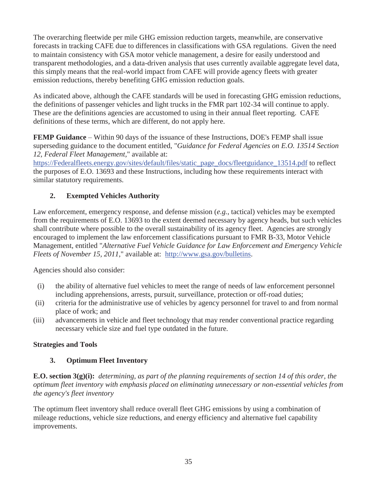The overarching fleetwide per mile GHG emission reduction targets, meanwhile, are conservative forecasts in tracking CAFE due to differences in classifications with GSA regulations. Given the need to maintain consistency with GSA motor vehicle management, a desire for easily understood and transparent methodologies, and a data-driven analysis that uses currently available aggregate level data, this simply means that the real-world impact from CAFE will provide agency fleets with greater emission reductions, thereby benefiting GHG emission reduction goals.

As indicated above, although the CAFE standards will be used in forecasting GHG emission reductions, the definitions of passenger vehicles and light trucks in the FMR part 102-34 will continue to apply. These are the definitions agencies are accustomed to using in their annual fleet reporting. CAFE definitions of these terms, which are different, do not apply here.

**FEMP Guidance** – Within 90 days of the issuance of these Instructions, DOE's FEMP shall issue superseding guidance to the document entitled, "*Guidance for Federal Agencies on E.O. 13514 Section 12, Federal Fleet Management,*" available at:

https://Federalfleets.energy.gov/sites/default/files/static\_page\_docs/fleetguidance\_13514.pdf to reflect the purposes of E.O. 13693 and these Instructions, including how these requirements interact with similar statutory requirements.

## **2. Exempted Vehicles Authority**

Law enforcement, emergency response, and defense mission (*e.g.*, tactical) vehicles may be exempted from the requirements of E.O. 13693 to the extent deemed necessary by agency heads, but such vehicles shall contribute where possible to the overall sustainability of its agency fleet. Agencies are strongly encouraged to implement the law enforcement classifications pursuant to FMR B-33, Motor Vehicle Management, entitled "*Alternative Fuel Vehicle Guidance for Law Enforcement and Emergency Vehicle Fleets of November 15, 2011,*" available at: http://www.gsa.gov/bulletins.

Agencies should also consider:

- (i) the ability of alternative fuel vehicles to meet the range of needs of law enforcement personnel including apprehensions, arrests, pursuit, surveillance, protection or off-road duties;
- (ii) criteria for the administrative use of vehicles by agency personnel for travel to and from normal place of work; and
- (iii) advancements in vehicle and fleet technology that may render conventional practice regarding necessary vehicle size and fuel type outdated in the future.

### **Strategies and Tools**

### **3. Optimum Fleet Inventory**

**E.O. section 3(g)(i):** *determining, as part of the planning requirements of section 14 of this order, the optimum fleet inventory with emphasis placed on eliminating unnecessary or non-essential vehicles from the agency's fleet inventory*

The optimum fleet inventory shall reduce overall fleet GHG emissions by using a combination of mileage reductions, vehicle size reductions, and energy efficiency and alternative fuel capability improvements.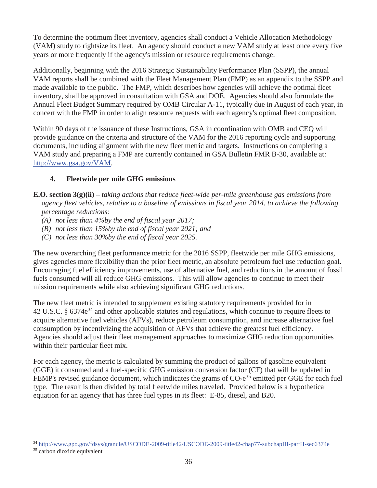To determine the optimum fleet inventory, agencies shall conduct a Vehicle Allocation Methodology (VAM) study to rightsize its fleet. An agency should conduct a new VAM study at least once every five years or more frequently if the agency's mission or resource requirements change.

Additionally, beginning with the 2016 Strategic Sustainability Performance Plan (SSPP), the annual VAM reports shall be combined with the Fleet Management Plan (FMP) as an appendix to the SSPP and made available to the public. The FMP, which describes how agencies will achieve the optimal fleet inventory, shall be approved in consultation with GSA and DOE. Agencies should also formulate the Annual Fleet Budget Summary required by OMB Circular A-11, typically due in August of each year, in concert with the FMP in order to align resource requests with each agency's optimal fleet composition.

Within 90 days of the issuance of these Instructions, GSA in coordination with OMB and CEQ will provide guidance on the criteria and structure of the VAM for the 2016 reporting cycle and supporting documents, including alignment with the new fleet metric and targets. Instructions on completing a VAM study and preparing a FMP are currently contained in GSA Bulletin FMR B-30, available at: http://www.gsa.gov/VAM.

## **4. Fleetwide per mile GHG emissions**

- **E.O. section 3(g)(ii) –** *taking actions that reduce fleet-wide per-mile greenhouse gas emissions from agency fleet vehicles, relative to a baseline of emissions in fiscal year 2014, to achieve the following percentage reductions:* 
	- *(A) not less than 4%by the end of fiscal year 2017;*
	- *(B) not less than 15%by the end of fiscal year 2021; and*
	- *(C) not less than 30%by the end of fiscal year 2025.*

The new overarching fleet performance metric for the 2016 SSPP, fleetwide per mile GHG emissions, gives agencies more flexibility than the prior fleet metric, an absolute petroleum fuel use reduction goal. Encouraging fuel efficiency improvements, use of alternative fuel, and reductions in the amount of fossil fuels consumed will all reduce GHG emissions. This will allow agencies to continue to meet their mission requirements while also achieving significant GHG reductions.

The new fleet metric is intended to supplement existing statutory requirements provided for in 42 U.S.C. § 6374e<sup>34</sup> and other applicable statutes and regulations, which continue to require fleets to acquire alternative fuel vehicles (AFVs), reduce petroleum consumption, and increase alternative fuel consumption by incentivizing the acquisition of AFVs that achieve the greatest fuel efficiency. Agencies should adjust their fleet management approaches to maximize GHG reduction opportunities within their particular fleet mix.

For each agency, the metric is calculated by summing the product of gallons of gasoline equivalent (GGE) it consumed and a fuel-specific GHG emission conversion factor (CF) that will be updated in FEMP's revised guidance document, which indicates the grams of  $CO_2e^{35}$  emitted per GGE for each fuel type. The result is then divided by total fleetwide miles traveled. Provided below is a hypothetical equation for an agency that has three fuel types in its fleet: E-85, diesel, and B20.

 $\overline{a}$ <sup>34</sup> http://www.gpo.gov/fdsys/granule/USCODE-2009-title42/USCODE-2009-title42-chap77-subchapIII-partH-sec6374e

<sup>35</sup> carbon dioxide equivalent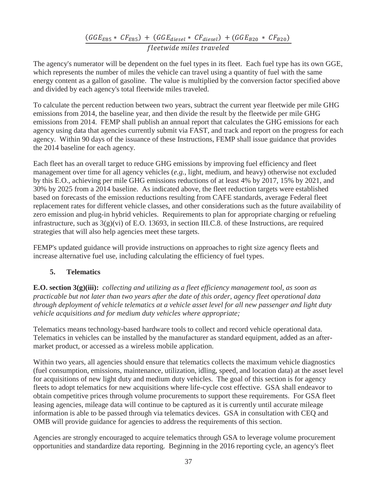$(GGE_{E85} * CF_{E85}) + (GGE_{diesel} * CF_{diesel}) + (GGE_{B20} * CF_{B20})$ fleetwide miles traveled

The agency's numerator will be dependent on the fuel types in its fleet. Each fuel type has its own GGE, which represents the number of miles the vehicle can travel using a quantity of fuel with the same energy content as a gallon of gasoline. The value is multiplied by the conversion factor specified above and divided by each agency's total fleetwide miles traveled.

To calculate the percent reduction between two years, subtract the current year fleetwide per mile GHG emissions from 2014, the baseline year, and then divide the result by the fleetwide per mile GHG emissions from 2014. FEMP shall publish an annual report that calculates the GHG emissions for each agency using data that agencies currently submit via FAST, and track and report on the progress for each agency. Within 90 days of the issuance of these Instructions, FEMP shall issue guidance that provides the 2014 baseline for each agency.

Each fleet has an overall target to reduce GHG emissions by improving fuel efficiency and fleet management over time for all agency vehicles (*e.g.*, light, medium, and heavy) otherwise not excluded by this E.O., achieving per mile GHG emissions reductions of at least 4% by 2017, 15% by 2021, and 30% by 2025 from a 2014 baseline. As indicated above, the fleet reduction targets were established based on forecasts of the emission reductions resulting from CAFE standards, average Federal fleet replacement rates for different vehicle classes, and other considerations such as the future availability of zero emission and plug-in hybrid vehicles. Requirements to plan for appropriate charging or refueling infrastructure, such as 3(g)(vi) of E.O. 13693, in section III.C.8. of these Instructions, are required strategies that will also help agencies meet these targets.

FEMP's updated guidance will provide instructions on approaches to right size agency fleets and increase alternative fuel use, including calculating the efficiency of fuel types.

#### **5. Telematics**

**E.O. section 3(g)(iii):** *collecting and utilizing as a fleet efficiency management tool, as soon as practicable but not later than two years after the date of this order, agency fleet operational data through deployment of vehicle telematics at a vehicle asset level for all new passenger and light duty vehicle acquisitions and for medium duty vehicles where appropriate;*

Telematics means technology-based hardware tools to collect and record vehicle operational data. Telematics in vehicles can be installed by the manufacturer as standard equipment, added as an aftermarket product, or accessed as a wireless mobile application.

Within two years, all agencies should ensure that telematics collects the maximum vehicle diagnostics (fuel consumption, emissions, maintenance, utilization, idling, speed, and location data) at the asset level for acquisitions of new light duty and medium duty vehicles. The goal of this section is for agency fleets to adopt telematics for new acquisitions where life-cycle cost effective. GSA shall endeavor to obtain competitive prices through volume procurements to support these requirements. For GSA fleet leasing agencies, mileage data will continue to be captured as it is currently until accurate mileage information is able to be passed through via telematics devices. GSA in consultation with CEQ and OMB will provide guidance for agencies to address the requirements of this section.

Agencies are strongly encouraged to acquire telematics through GSA to leverage volume procurement opportunities and standardize data reporting. Beginning in the 2016 reporting cycle, an agency's fleet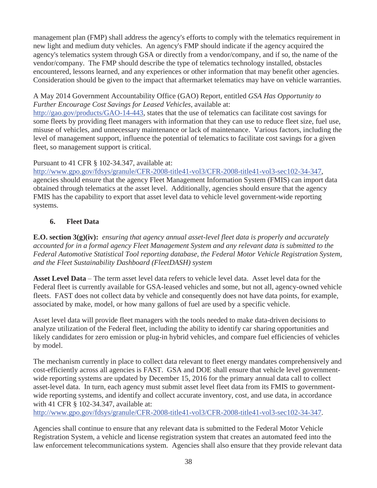management plan (FMP) shall address the agency's efforts to comply with the telematics requirement in new light and medium duty vehicles. An agency's FMP should indicate if the agency acquired the agency's telematics system through GSA or directly from a vendor/company, and if so, the name of the vendor/company. The FMP should describe the type of telematics technology installed, obstacles encountered, lessons learned, and any experiences or other information that may benefit other agencies. Consideration should be given to the impact that aftermarket telematics may have on vehicle warranties.

#### A May 2014 Government Accountability Office (GAO) Report, entitled *GSA Has Opportunity to Further Encourage Cost Savings for Leased Vehicles*, available at:

http://gao.gov/products/GAO-14-443, states that the use of telematics can facilitate cost savings for some fleets by providing fleet managers with information that they can use to reduce fleet size, fuel use, misuse of vehicles, and unnecessary maintenance or lack of maintenance. Various factors, including the level of management support, influence the potential of telematics to facilitate cost savings for a given fleet, so management support is critical.

### Pursuant to 41 CFR § 102-34.347, available at:

http://www.gpo.gov/fdsys/granule/CFR-2008-title41-vol3/CFR-2008-title41-vol3-sec102-34-347, agencies should ensure that the agency Fleet Management Information System (FMIS) can import data obtained through telematics at the asset level. Additionally, agencies should ensure that the agency FMIS has the capability to export that asset level data to vehicle level government-wide reporting systems.

### **6. Fleet Data**

**E.O. section 3(g)(iv):** *ensuring that agency annual asset-level fleet data is properly and accurately accounted for in a formal agency Fleet Management System and any relevant data is submitted to the Federal Automotive Statistical Tool reporting database, the Federal Motor Vehicle Registration System, and the Fleet Sustainability Dashboard (FleetDASH) system*

**Asset Level Data** – The term asset level data refers to vehicle level data. Asset level data for the Federal fleet is currently available for GSA-leased vehicles and some, but not all, agency-owned vehicle fleets. FAST does not collect data by vehicle and consequently does not have data points, for example, associated by make, model, or how many gallons of fuel are used by a specific vehicle.

Asset level data will provide fleet managers with the tools needed to make data-driven decisions to analyze utilization of the Federal fleet, including the ability to identify car sharing opportunities and likely candidates for zero emission or plug-in hybrid vehicles, and compare fuel efficiencies of vehicles by model.

The mechanism currently in place to collect data relevant to fleet energy mandates comprehensively and cost-efficiently across all agencies is FAST. GSA and DOE shall ensure that vehicle level governmentwide reporting systems are updated by December 15, 2016 for the primary annual data call to collect asset-level data. In turn, each agency must submit asset level fleet data from its FMIS to governmentwide reporting systems, and identify and collect accurate inventory, cost, and use data, in accordance with 41 CFR § 102-34.347, available at:

http://www.gpo.gov/fdsys/granule/CFR-2008-title41-vol3/CFR-2008-title41-vol3-sec102-34-347.

Agencies shall continue to ensure that any relevant data is submitted to the Federal Motor Vehicle Registration System, a vehicle and license registration system that creates an automated feed into the law enforcement telecommunications system. Agencies shall also ensure that they provide relevant data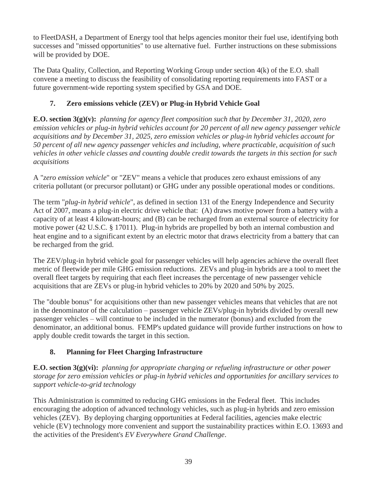to FleetDASH, a Department of Energy tool that helps agencies monitor their fuel use, identifying both successes and "missed opportunities" to use alternative fuel. Further instructions on these submissions will be provided by DOE.

The Data Quality, Collection, and Reporting Working Group under section 4(k) of the E.O. shall convene a meeting to discuss the feasibility of consolidating reporting requirements into FAST or a future government-wide reporting system specified by GSA and DOE.

# **7. Zero emissions vehicle (ZEV) or Plug-in Hybrid Vehicle Goal**

**E.O. section 3(g)(v):** *planning for agency fleet composition such that by December 31, 2020, zero emission vehicles or plug-in hybrid vehicles account for 20 percent of all new agency passenger vehicle acquisitions and by December 31, 2025, zero emission vehicles or plug-in hybrid vehicles account for 50 percent of all new agency passenger vehicles and including, where practicable, acquisition of such vehicles in other vehicle classes and counting double credit towards the targets in this section for such acquisitions*

A "*zero emission vehicle*" or "ZEV" means a vehicle that produces zero exhaust emissions of any criteria pollutant (or precursor pollutant) or GHG under any possible operational modes or conditions.

The term "*plug-in hybrid vehicle*", as defined in section 131 of the Energy Independence and Security Act of 2007, means a plug-in electric drive vehicle that: (A) draws motive power from a battery with a capacity of at least 4 kilowatt-hours; and (B) can be recharged from an external source of electricity for motive power (42 U.S.C. § 17011). Plug-in hybrids are propelled by both an internal combustion and heat engine and to a significant extent by an electric motor that draws electricity from a battery that can be recharged from the grid.

The ZEV/plug-in hybrid vehicle goal for passenger vehicles will help agencies achieve the overall fleet metric of fleetwide per mile GHG emission reductions. ZEVs and plug-in hybrids are a tool to meet the overall fleet targets by requiring that each fleet increases the percentage of new passenger vehicle acquisitions that are ZEVs or plug-in hybrid vehicles to 20% by 2020 and 50% by 2025.

The "double bonus" for acquisitions other than new passenger vehicles means that vehicles that are not in the denominator of the calculation – passenger vehicle ZEVs/plug-in hybrids divided by overall new passenger vehicles – will continue to be included in the numerator (bonus) and excluded from the denominator, an additional bonus. FEMP's updated guidance will provide further instructions on how to apply double credit towards the target in this section.

# **8. Planning for Fleet Charging Infrastructure**

**E.O. section 3(g)(vi):** *planning for appropriate charging or refueling infrastructure or other power storage for zero emission vehicles or plug-in hybrid vehicles and opportunities for ancillary services to support vehicle-to-grid technology*

This Administration is committed to reducing GHG emissions in the Federal fleet. This includes encouraging the adoption of advanced technology vehicles, such as plug-in hybrids and zero emission vehicles (ZEV). By deploying charging opportunities at Federal facilities, agencies make electric vehicle (EV) technology more convenient and support the sustainability practices within E.O. 13693 and the activities of the President's *EV Everywhere Grand Challenge*.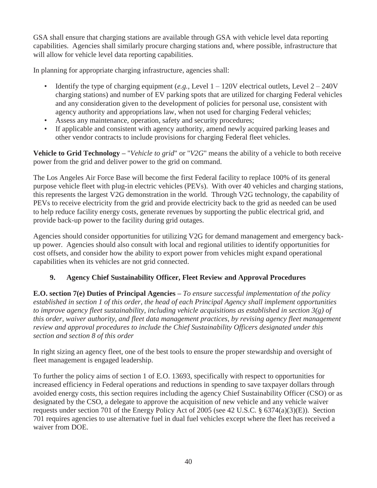GSA shall ensure that charging stations are available through GSA with vehicle level data reporting capabilities. Agencies shall similarly procure charging stations and, where possible, infrastructure that will allow for vehicle level data reporting capabilities.

In planning for appropriate charging infrastructure, agencies shall:

- Identify the type of charging equipment (*e.g.*, Level  $1 120V$  electrical outlets, Level  $2 240V$ charging stations) and number of EV parking spots that are utilized for charging Federal vehicles and any consideration given to the development of policies for personal use, consistent with agency authority and appropriations law, when not used for charging Federal vehicles;
- Assess any maintenance, operation, safety and security procedures;
- If applicable and consistent with agency authority, amend newly acquired parking leases and other vendor contracts to include provisions for charging Federal fleet vehicles.

**Vehicle to Grid Technology –** "*Vehicle to grid*" or "*V2G*" means the ability of a vehicle to both receive power from the grid and deliver power to the grid on command.

The Los Angeles Air Force Base will become the first Federal facility to replace 100% of its general purpose vehicle fleet with plug-in electric vehicles (PEVs). With over 40 vehicles and charging stations, this represents the largest V2G demonstration in the world. Through V2G technology, the capability of PEVs to receive electricity from the grid and provide electricity back to the grid as needed can be used to help reduce facility energy costs, generate revenues by supporting the public electrical grid, and provide back-up power to the facility during grid outages.

Agencies should consider opportunities for utilizing V2G for demand management and emergency backup power. Agencies should also consult with local and regional utilities to identify opportunities for cost offsets, and consider how the ability to export power from vehicles might expand operational capabilities when its vehicles are not grid connected.

### **9. Agency Chief Sustainability Officer, Fleet Review and Approval Procedures**

**E.O. section 7(e) Duties of Principal Agencies –** *To ensure successful implementation of the policy established in section 1 of this order, the head of each Principal Agency shall implement opportunities to improve agency fleet sustainability, including vehicle acquisitions as established in section 3(g) of this order, waiver authority, and fleet data management practices, by revising agency fleet management review and approval procedures to include the Chief Sustainability Officers designated under this section and section 8 of this order*

In right sizing an agency fleet, one of the best tools to ensure the proper stewardship and oversight of fleet management is engaged leadership.

To further the policy aims of section 1 of E.O. 13693, specifically with respect to opportunities for increased efficiency in Federal operations and reductions in spending to save taxpayer dollars through avoided energy costs, this section requires including the agency Chief Sustainability Officer (CSO) or as designated by the CSO, a delegate to approve the acquisition of new vehicle and any vehicle waiver requests under section 701 of the Energy Policy Act of 2005 (see 42 U.S.C. § 6374(a)(3)(E)). Section 701 requires agencies to use alternative fuel in dual fuel vehicles except where the fleet has received a waiver from DOE.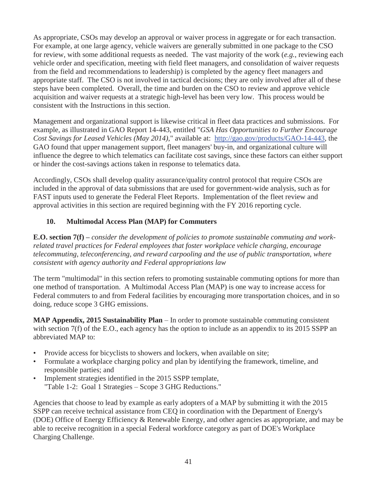As appropriate, CSOs may develop an approval or waiver process in aggregate or for each transaction. For example, at one large agency, vehicle waivers are generally submitted in one package to the CSO for review, with some additional requests as needed. The vast majority of the work (*e.g.*, reviewing each vehicle order and specification, meeting with field fleet managers, and consolidation of waiver requests from the field and recommendations to leadership) is completed by the agency fleet managers and appropriate staff. The CSO is not involved in tactical decisions; they are only involved after all of these steps have been completed. Overall, the time and burden on the CSO to review and approve vehicle acquisition and waiver requests at a strategic high-level has been very low. This process would be consistent with the Instructions in this section.

Management and organizational support is likewise critical in fleet data practices and submissions. For example, as illustrated in GAO Report 14-443, entitled "*GSA Has Opportunities to Further Encourage Cost Savings for Leased Vehicles (May 2014)*," available at: http://gao.gov/products/GAO-14-443, the GAO found that upper management support, fleet managers' buy-in, and organizational culture will influence the degree to which telematics can facilitate cost savings, since these factors can either support or hinder the cost-savings actions taken in response to telematics data.

Accordingly, CSOs shall develop quality assurance/quality control protocol that require CSOs are included in the approval of data submissions that are used for government-wide analysis, such as for FAST inputs used to generate the Federal Fleet Reports. Implementation of the fleet review and approval activities in this section are required beginning with the FY 2016 reporting cycle.

### **10. Multimodal Access Plan (MAP) for Commuters**

**E.O. section 7(f)** – *consider the development of policies to promote sustainable commuting and workrelated travel practices for Federal employees that foster workplace vehicle charging, encourage telecommuting, teleconferencing, and reward carpooling and the use of public transportation, where consistent with agency authority and Federal appropriations law*

The term "multimodal" in this section refers to promoting sustainable commuting options for more than one method of transportation. A Multimodal Access Plan (MAP) is one way to increase access for Federal commuters to and from Federal facilities by encouraging more transportation choices, and in so doing, reduce scope 3 GHG emissions.

**MAP Appendix, 2015 Sustainability Plan** – In order to promote sustainable commuting consistent with section 7(f) of the E.O., each agency has the option to include as an appendix to its 2015 SSPP an abbreviated MAP to:

- Provide access for bicyclists to showers and lockers, when available on site;
- Formulate a workplace charging policy and plan by identifying the framework, timeline, and responsible parties; and
- Implement strategies identified in the 2015 SSPP template, "Table 1-2: Goal 1 Strategies – Scope 3 GHG Reductions."

Agencies that choose to lead by example as early adopters of a MAP by submitting it with the 2015 SSPP can receive technical assistance from CEQ in coordination with the Department of Energy's (DOE) Office of Energy Efficiency & Renewable Energy, and other agencies as appropriate, and may be able to receive recognition in a special Federal workforce category as part of DOE's Workplace Charging Challenge.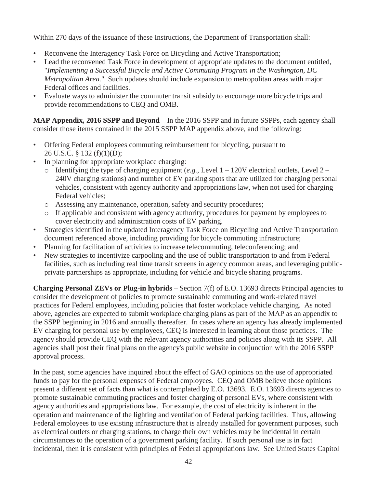Within 270 days of the issuance of these Instructions, the Department of Transportation shall:

- Reconvene the Interagency Task Force on Bicycling and Active Transportation;
- Lead the reconvened Task Force in development of appropriate updates to the document entitled, "*Implementing a Successful Bicycle and Active Commuting Program in the Washington, DC Metropolitan Area.*" Such updates should include expansion to metropolitan areas with major Federal offices and facilities.
- Evaluate ways to administer the commuter transit subsidy to encourage more bicycle trips and provide recommendations to CEQ and OMB.

**MAP Appendix, 2016 SSPP and Beyond** – In the 2016 SSPP and in future SSPPs, each agency shall consider those items contained in the 2015 SSPP MAP appendix above, and the following:

- Offering Federal employees commuting reimbursement for bicycling, pursuant to 26 U.S.C. § 132 (f)(1)(D);
- In planning for appropriate workplace charging:
	- o Identifying the type of charging equipment (*e.g.*, Level 1 120V electrical outlets, Level 2 240V charging stations) and number of EV parking spots that are utilized for charging personal vehicles, consistent with agency authority and appropriations law, when not used for charging Federal vehicles;
	- o Assessing any maintenance, operation, safety and security procedures;
	- o If applicable and consistent with agency authority, procedures for payment by employees to cover electricity and administration costs of EV parking.
- Strategies identified in the updated Interagency Task Force on Bicycling and Active Transportation document referenced above, including providing for bicycle commuting infrastructure;
- Planning for facilitation of activities to increase telecommuting, teleconferencing; and
- New strategies to incentivize carpooling and the use of public transportation to and from Federal facilities, such as including real time transit screens in agency common areas, and leveraging publicprivate partnerships as appropriate, including for vehicle and bicycle sharing programs.

**Charging Personal ZEVs or Plug-in hybrids** – Section 7(f) of E.O. 13693 directs Principal agencies to consider the development of policies to promote sustainable commuting and work-related travel practices for Federal employees, including policies that foster workplace vehicle charging. As noted above, agencies are expected to submit workplace charging plans as part of the MAP as an appendix to the SSPP beginning in 2016 and annually thereafter. In cases where an agency has already implemented EV charging for personal use by employees, CEQ is interested in learning about those practices. The agency should provide CEQ with the relevant agency authorities and policies along with its SSPP. All agencies shall post their final plans on the agency's public website in conjunction with the 2016 SSPP approval process.

In the past, some agencies have inquired about the effect of GAO opinions on the use of appropriated funds to pay for the personal expenses of Federal employees. CEQ and OMB believe those opinions present a different set of facts than what is contemplated by E.O. 13693. E.O. 13693 directs agencies to promote sustainable commuting practices and foster charging of personal EVs, where consistent with agency authorities and appropriations law. For example, the cost of electricity is inherent in the operation and maintenance of the lighting and ventilation of Federal parking facilities. Thus, allowing Federal employees to use existing infrastructure that is already installed for government purposes, such as electrical outlets or charging stations, to charge their own vehicles may be incidental in certain circumstances to the operation of a government parking facility. If such personal use is in fact incidental, then it is consistent with principles of Federal appropriations law. See United States Capitol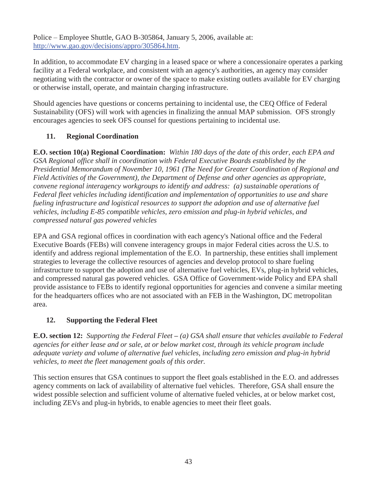Police – Employee Shuttle, GAO B-305864, January 5, 2006, available at: http://www.gao.gov/decisions/appro/305864.htm.

In addition, to accommodate EV charging in a leased space or where a concessionaire operates a parking facility at a Federal workplace, and consistent with an agency's authorities, an agency may consider negotiating with the contractor or owner of the space to make existing outlets available for EV charging or otherwise install, operate, and maintain charging infrastructure.

Should agencies have questions or concerns pertaining to incidental use, the CEQ Office of Federal Sustainability (OFS) will work with agencies in finalizing the annual MAP submission. OFS strongly encourages agencies to seek OFS counsel for questions pertaining to incidental use.

### **11. Regional Coordination**

**E.O. section 10(a) Regional Coordination:** *Within 180 days of the date of this order, each EPA and GSA Regional office shall in coordination with Federal Executive Boards established by the Presidential Memorandum of November 10, 1961 (The Need for Greater Coordination of Regional and Field Activities of the Government), the Department of Defense and other agencies as appropriate, convene regional interagency workgroups to identify and address: (a) sustainable operations of Federal fleet vehicles including identification and implementation of opportunities to use and share fueling infrastructure and logistical resources to support the adoption and use of alternative fuel vehicles, including E-85 compatible vehicles, zero emission and plug-in hybrid vehicles, and compressed natural gas powered vehicles*

EPA and GSA regional offices in coordination with each agency's National office and the Federal Executive Boards (FEBs) will convene interagency groups in major Federal cities across the U.S. to identify and address regional implementation of the E.O. In partnership, these entities shall implement strategies to leverage the collective resources of agencies and develop protocol to share fueling infrastructure to support the adoption and use of alternative fuel vehicles, EVs, plug-in hybrid vehicles, and compressed natural gas powered vehicles. GSA Office of Government-wide Policy and EPA shall provide assistance to FEBs to identify regional opportunities for agencies and convene a similar meeting for the headquarters offices who are not associated with an FEB in the Washington, DC metropolitan area.

# **12. Supporting the Federal Fleet**

**E.O. section 12:** *Supporting the Federal Fleet* **–** *(a) GSA shall ensure that vehicles available to Federal agencies for either lease and or sale, at or below market cost, through its vehicle program include adequate variety and volume of alternative fuel vehicles, including zero emission and plug-in hybrid vehicles, to meet the fleet management goals of this order.*

This section ensures that GSA continues to support the fleet goals established in the E.O. and addresses agency comments on lack of availability of alternative fuel vehicles. Therefore, GSA shall ensure the widest possible selection and sufficient volume of alternative fueled vehicles, at or below market cost, including ZEVs and plug-in hybrids, to enable agencies to meet their fleet goals.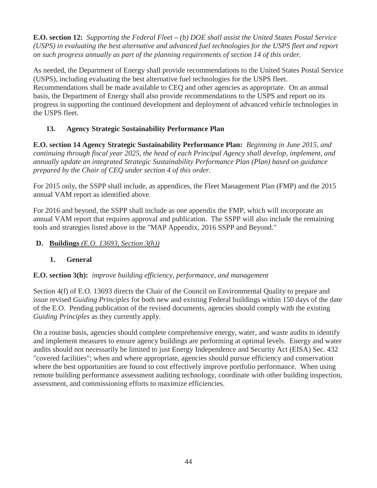**E.O. section 12:** *Supporting the Federal Fleet* **–** *(b) DOE shall assist the United States Postal Service (USPS) in evaluating the best alternative and advanced fuel technologies for the USPS fleet and report on such progress annually as part of the planning requirements of section 14 of this order.*

As needed, the Department of Energy shall provide recommendations to the United States Postal Service (USPS), including evaluating the best alternative fuel technologies for the USPS fleet. Recommendations shall be made available to CEQ and other agencies as appropriate. On an annual basis, the Department of Energy shall also provide recommendations to the USPS and report on its progress in supporting the continued development and deployment of advanced vehicle technologies in the USPS fleet.

# **13. Agency Strategic Sustainability Performance Plan**

**E.O. section 14 Agency Strategic Sustainability Performance Plan:** *Beginning in June 2015, and continuing through fiscal year 2025, the head of each Principal Agency shall develop, implement, and annually update an integrated Strategic Sustainability Performance Plan (Plan) based on guidance prepared by the Chair of CEQ under section 4 of this order.*

For 2015 only, the SSPP shall include, as appendices, the Fleet Management Plan (FMP) and the 2015 annual VAM report as identified above.

For 2016 and beyond, the SSPP shall include as one appendix the FMP, which will incorporate an annual VAM report that requires approval and publication. The SSPP will also include the remaining tools and strategies listed above in the "MAP Appendix, 2016 SSPP and Beyond."

## **D. Buildings** *(E.O. 13693, Section 3(h))*

# **1. General**

### **E.O. section 3(h):** *improve building efficiency, performance, and management*

Section 4(f) of E.O. 13693 directs the Chair of the Council on Environmental Quality to prepare and issue revised *Guiding Principles* for both new and existing Federal buildings within 150 days of the date of the E.O. Pending publication of the revised documents, agencies should comply with the existing *Guiding Principles* as they currently apply.

On a routine basis, agencies should complete comprehensive energy, water, and waste audits to identify and implement measures to ensure agency buildings are performing at optimal levels. Energy and water audits should not necessarily be limited to just Energy Independence and Security Act (EISA) Sec. 432 "covered facilities"; when and where appropriate, agencies should pursue efficiency and conservation where the best opportunities are found to cost effectively improve portfolio performance. When using remote building performance assessment auditing technology, coordinate with other building inspection, assessment, and commissioning efforts to maximize efficiencies.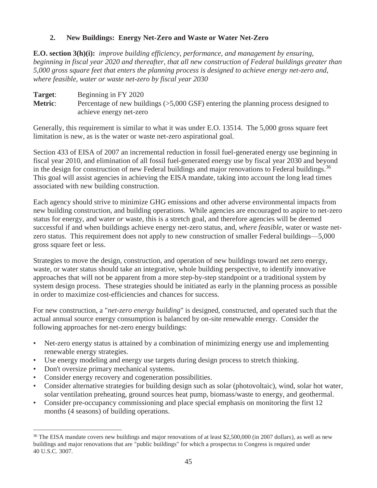### **2. New Buildings: Energy Net-Zero and Waste or Water Net-Zero**

**E.O. section 3(h)(i):** *improve building efficiency, performance, and management by ensuring, beginning in fiscal year 2020 and thereafter, that all new construction of Federal buildings greater than 5,000 gross square feet that enters the planning process is designed to achieve energy net-zero and, where feasible, water or waste net-zero by fiscal year 2030*

**Target**: Beginning in FY 2020 **Metric:** Percentage of new buildings ( $>5,000$  GSF) entering the planning process designed to achieve energy net-zero

Generally, this requirement is similar to what it was under E.O. 13514. The 5,000 gross square feet limitation is new, as is the water or waste net-zero aspirational goal.

Section 433 of EISA of 2007 an incremental reduction in fossil fuel-generated energy use beginning in fiscal year 2010, and elimination of all fossil fuel-generated energy use by fiscal year 2030 and beyond in the design for construction of new Federal buildings and major renovations to Federal buildings.<sup>36</sup> This goal will assist agencies in achieving the EISA mandate, taking into account the long lead times associated with new building construction.

Each agency should strive to minimize GHG emissions and other adverse environmental impacts from new building construction, and building operations. While agencies are encouraged to aspire to net-zero status for energy, and water *or* waste, this is a stretch goal, and therefore agencies will be deemed successful if and when buildings achieve energy net-zero status, and, *where feasible*, water or waste netzero status. This requirement does not apply to new construction of smaller Federal buildings—5,000 gross square feet or less.

Strategies to move the design, construction, and operation of new buildings toward net zero energy, waste, or water status should take an integrative, whole building perspective, to identify innovative approaches that will not be apparent from a more step-by-step standpoint or a traditional system by system design process. These strategies should be initiated as early in the planning process as possible in order to maximize cost-efficiencies and chances for success.

For new construction, a "*net-zero energy building*" is designed, constructed, and operated such that the actual annual source energy consumption is balanced by on-site renewable energy. Consider the following approaches for net-zero energy buildings:

- Net-zero energy status is attained by a combination of minimizing energy use and implementing renewable energy strategies.
- Use energy modeling and energy use targets during design process to stretch thinking.
- Don't oversize primary mechanical systems.

- Consider energy recovery and cogeneration possibilities.
- Consider alternative strategies for building design such as solar (photovoltaic), wind, solar hot water, solar ventilation preheating, ground sources heat pump, biomass/waste to energy, and geothermal.
- Consider pre-occupancy commissioning and place special emphasis on monitoring the first 12 months (4 seasons) of building operations.

<sup>&</sup>lt;sup>36</sup> The EISA mandate covers new buildings and major renovations of at least \$2,500,000 (in 2007 dollars), as well as new buildings and major renovations that are "public buildings" for which a prospectus to Congress is required under 40 U.S.C. 3007.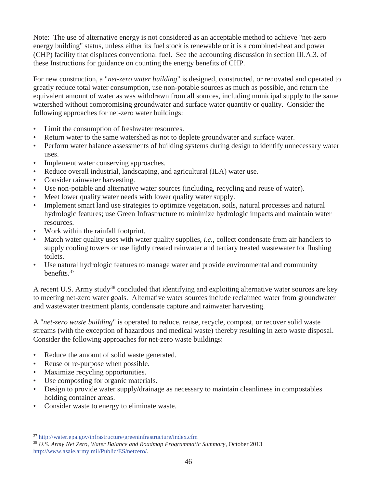Note: The use of alternative energy is not considered as an acceptable method to achieve "net-zero energy building" status, unless either its fuel stock is renewable or it is a combined-heat and power (CHP) facility that displaces conventional fuel. See the accounting discussion in section III.A.3. of these Instructions for guidance on counting the energy benefits of CHP.

For new construction, a "*net-zero water building*" is designed, constructed, or renovated and operated to greatly reduce total water consumption, use non-potable sources as much as possible, and return the equivalent amount of water as was withdrawn from all sources, including municipal supply to the same watershed without compromising groundwater and surface water quantity or quality. Consider the following approaches for net-zero water buildings:

- Limit the consumption of freshwater resources.
- Return water to the same watershed as not to deplete groundwater and surface water.
- Perform water balance assessments of building systems during design to identify unnecessary water uses.
- Implement water conserving approaches.
- Reduce overall industrial, landscaping, and agricultural (ILA) water use.
- Consider rainwater harvesting.
- Use non-potable and alternative water sources (including, recycling and reuse of water).
- Meet lower quality water needs with lower quality water supply.
- Implement smart land use strategies to optimize vegetation, soils, natural processes and natural hydrologic features; use Green Infrastructure to minimize hydrologic impacts and maintain water resources.
- Work within the rainfall footprint.
- Match water quality uses with water quality supplies, *i.e.*, collect condensate from air handlers to supply cooling towers or use lightly treated rainwater and tertiary treated wastewater for flushing toilets.
- Use natural hydrologic features to manage water and provide environmental and community benefits.<sup>37</sup>

A recent U.S. Army study<sup>38</sup> concluded that identifying and exploiting alternative water sources are key to meeting net-zero water goals. Alternative water sources include reclaimed water from groundwater and wastewater treatment plants, condensate capture and rainwater harvesting.

A "*net-zero waste building*" is operated to reduce, reuse, recycle, compost, or recover solid waste streams (with the exception of hazardous and medical waste) thereby resulting in zero waste disposal. Consider the following approaches for net-zero waste buildings:

- Reduce the amount of solid waste generated.
- Reuse or re-purpose when possible.
- Maximize recycling opportunities.
- Use composting for organic materials.
- Design to provide water supply/drainage as necessary to maintain cleanliness in compostables holding container areas.
- Consider waste to energy to eliminate waste.

 $\overline{a}$ <sup>37</sup> http://water.epa.gov/infrastructure/greeninfrastructure/index.cfm

<sup>38</sup> *U.S. Army Net Zero, Water Balance and Roadmap Programmatic Summary*, October 2013 http://www.asaie.army.mil/Public/ES/netzero/.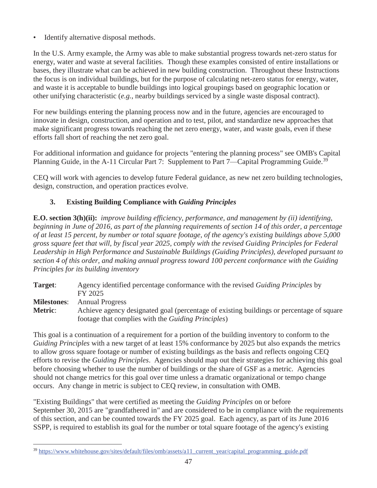Identify alternative disposal methods.

In the U.S. Army example, the Army was able to make substantial progress towards net-zero status for energy, water and waste at several facilities. Though these examples consisted of entire installations or bases, they illustrate what can be achieved in new building construction. Throughout these Instructions the focus is on individual buildings, but for the purpose of calculating net-zero status for energy, water, and waste it is acceptable to bundle buildings into logical groupings based on geographic location or other unifying characteristic (*e.g.*, nearby buildings serviced by a single waste disposal contract).

For new buildings entering the planning process now and in the future, agencies are encouraged to innovate in design, construction, and operation and to test, pilot, and standardize new approaches that make significant progress towards reaching the net zero energy, water, and waste goals, even if these efforts fall short of reaching the net zero goal.

For additional information and guidance for projects "entering the planning process" see OMB's Capital Planning Guide, in the A-11 Circular Part 7: Supplement to Part 7—Capital Programming Guide.<sup>39</sup>

CEQ will work with agencies to develop future Federal guidance, as new net zero building technologies, design, construction, and operation practices evolve.

## **3. Existing Building Compliance with** *Guiding Principles*

**E.O. section 3(h)(ii):** *improve building efficiency, performance, and management by (ii) identifying, beginning in June of 2016, as part of the planning requirements of section 14 of this order, a percentage of at least 15 percent, by number or total square footage, of the agency's existing buildings above 5,000 gross square feet that will, by fiscal year 2025, comply with the revised Guiding Principles for Federal Leadership in High Performance and Sustainable Buildings (Guiding Principles), developed pursuant to section 4 of this order, and making annual progress toward 100 percent conformance with the Guiding Principles for its building inventory*

| Target:            | Agency identified percentage conformance with the revised <i>Guiding Principles</i> by   |
|--------------------|------------------------------------------------------------------------------------------|
|                    | FY 2025                                                                                  |
| <b>Milestones:</b> | <b>Annual Progress</b>                                                                   |
| <b>Metric:</b>     | Achieve agency designated goal (percentage of existing buildings or percentage of square |
|                    | footage that complies with the <i>Guiding Principles</i> )                               |

This goal is a continuation of a requirement for a portion of the building inventory to conform to the *Guiding Principles* with a new target of at least 15% conformance by 2025 but also expands the metrics to allow gross square footage or number of existing buildings as the basis and reflects ongoing CEQ efforts to revise the *Guiding Principles*. Agencies should map out their strategies for achieving this goal before choosing whether to use the number of buildings or the share of GSF as a metric. Agencies should not change metrics for this goal over time unless a dramatic organizational or tempo change occurs. Any change in metric is subject to CEQ review, in consultation with OMB.

"Existing Buildings" that were certified as meeting the *Guiding Principles* on or before September 30, 2015 are "grandfathered in" and are considered to be in compliance with the requirements of this section, and can be counted towards the FY 2025 goal. Each agency, as part of its June 2016 SSPP, is required to establish its goal for the number or total square footage of the agency's existing

<sup>&</sup>lt;sup>39</sup> https://www.whitehouse.gov/sites/default/files/omb/assets/a11\_current\_year/capital\_programming\_guide.pdf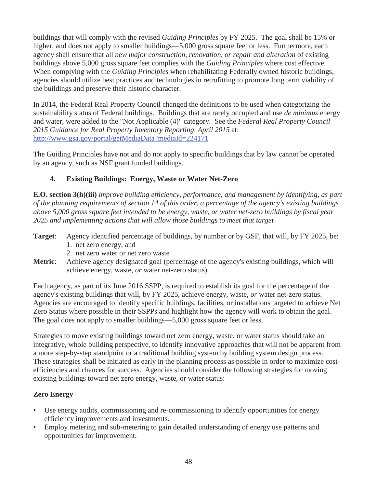buildings that will comply with the revised *Guiding Principles* by FY 2025. The goal shall be 15% or higher, and does not apply to smaller buildings—5,000 gross square feet or less. Furthermore, each agency shall ensure that all *new major construction, renovation, or repair and alteration* of existing buildings above 5,000 gross square feet complies with the *Guiding Principles* where cost effective. When complying with the *Guiding Principles* when rehabilitating Federally owned historic buildings, agencies should utilize best practices and technologies in retrofitting to promote long term viability of the buildings and preserve their historic character.

In 2014, the Federal Real Property Council changed the definitions to be used when categorizing the sustainability status of Federal buildings. Buildings that are rarely occupied and use *de minimus* energy and water, were added to the "Not Applicable (4)" category. See the *Federal Real Property Council 2015 Guidance for Real Property Inventory Reporting, April 2015* at: http://www.gsa.gov/portal/getMediaData?mediaId=224171

The Guiding Principles have not and do not apply to specific buildings that by law cannot be operated by an agency, such as NSF grant funded buildings.

## **4. Existing Buildings: Energy, Waste or Water Net-Zero**

**E.O. section 3(h)(iii)** *improve building efficiency, performance, and management by identifying, as part of the planning requirements of section 14 of this order, a percentage of the agency's existing buildings above 5,000 gross square feet intended to be energy, waste, or water net-zero buildings by fiscal year 2025 and implementing actions that will allow those buildings to meet that target*

- **Target**: Agency identified percentage of buildings, by number or by GSF, that will, by FY 2025, be: 1. net zero energy, and
	- 2. net zero water or net zero waste
- **Metric**: Achieve agency designated goal (percentage of the agency's existing buildings, which will achieve energy, waste, *or* water net-zero status)

Each agency, as part of its June 2016 SSPP, is required to establish its goal for the percentage of the agency's existing buildings that will, by FY 2025, achieve energy, waste, *or* water net-zero status. Agencies are encouraged to identify specific buildings, facilities, or installations targeted to achieve Net Zero Status where possible in their SSPPs and highlight how the agency will work to obtain the goal. The goal does not apply to smaller buildings—5,000 gross square feet or less.

Strategies to move existing buildings toward net zero energy, waste, or water status should take an integrative, whole building perspective, to identify innovative approaches that will not be apparent from a more step-by-step standpoint or a traditional building system by building system design process. These strategies shall be initiated as early in the planning process as possible in order to maximize costefficiencies and chances for success. Agencies should consider the following strategies for moving existing buildings toward net zero energy, waste, or water status:

### **Zero Energy**

- Use energy audits, commissioning and re-commissioning to identify opportunities for energy efficiency improvements and investments.
- Employ metering and sub-metering to gain detailed understanding of energy use patterns and opportunities for improvement.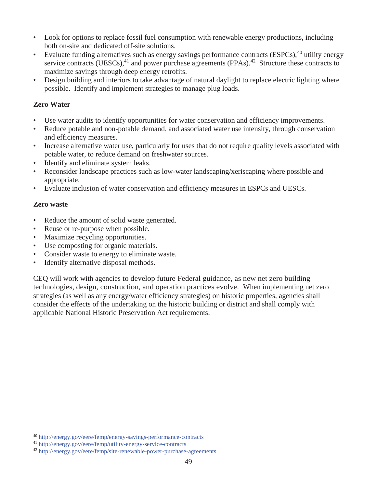- Look for options to replace fossil fuel consumption with renewable energy productions, including both on-site and dedicated off-site solutions.
- Evaluate funding alternatives such as energy savings performance contracts (ESPCs),<sup>40</sup> utility energy service contracts (UESCs), $41$  and power purchase agreements (PPAs). $42$  Structure these contracts to maximize savings through deep energy retrofits.
- Design building and interiors to take advantage of natural daylight to replace electric lighting where possible. Identify and implement strategies to manage plug loads.

## **Zero Water**

- Use water audits to identify opportunities for water conservation and efficiency improvements.
- Reduce potable and non-potable demand, and associated water use intensity, through conservation and efficiency measures.
- Increase alternative water use, particularly for uses that do not require quality levels associated with potable water, to reduce demand on freshwater sources.
- Identify and eliminate system leaks.
- Reconsider landscape practices such as low-water landscaping/xeriscaping where possible and appropriate.
- Evaluate inclusion of water conservation and efficiency measures in ESPCs and UESCs.

### **Zero waste**

 $\overline{a}$ 

- Reduce the amount of solid waste generated.
- Reuse or re-purpose when possible.
- Maximize recycling opportunities.
- Use composting for organic materials.
- Consider waste to energy to eliminate waste.
- Identify alternative disposal methods.

CEQ will work with agencies to develop future Federal guidance, as new net zero building technologies, design, construction, and operation practices evolve. When implementing net zero strategies (as well as any energy/water efficiency strategies) on historic properties, agencies shall consider the effects of the undertaking on the historic building or district and shall comply with applicable National Historic Preservation Act requirements.

<sup>40</sup> http://energy.gov/eere/femp/energy-savings-performance-contracts

<sup>41</sup> http://energy.gov/eere/femp/utility-energy-service-contracts

<sup>42</sup> http://energy.gov/eere/femp/site-renewable-power-purchase-agreements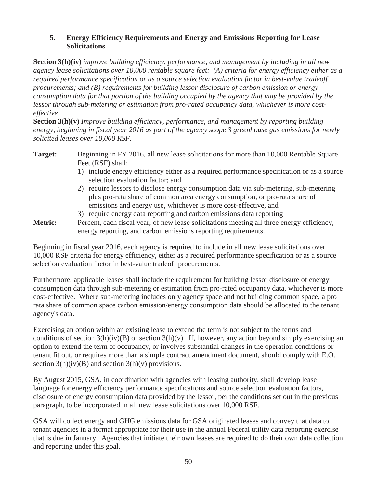#### **5. Energy Efficiency Requirements and Energy and Emissions Reporting for Lease Solicitations**

**Section 3(h)(iv)** *improve building efficiency, performance, and management by including in all new agency lease solicitations over 10,000 rentable square feet: (A) criteria for energy efficiency either as a required performance specification or as a source selection evaluation factor in best-value tradeoff procurements; and (B) requirements for building lessor disclosure of carbon emission or energy consumption data for that portion of the building occupied by the agency that may be provided by the lessor through sub-metering or estimation from pro-rated occupancy data, whichever is more costeffective*

**Section 3(h)(v)** *Improve building efficiency, performance, and management by reporting building energy, beginning in fiscal year 2016 as part of the agency scope 3 greenhouse gas emissions for newly solicited leases over 10,000 RSF.*

**Target:** Beginning in FY 2016, all new lease solicitations for more than 10,000 Rentable Square Feet (RSF) shall:

- 1) include energy efficiency either as a required performance specification or as a source selection evaluation factor; and
- 2) require lessors to disclose energy consumption data via sub-metering, sub-metering plus pro-rata share of common area energy consumption, or pro-rata share of emissions and energy use, whichever is more cost-effective, and

#### 3) require energy data reporting and carbon emissions data reporting

**Metric:** Percent, each fiscal year, of new lease solicitations meeting all three energy efficiency, energy reporting, and carbon emissions reporting requirements.

Beginning in fiscal year 2016, each agency is required to include in all new lease solicitations over 10,000 RSF criteria for energy efficiency, either as a required performance specification or as a source selection evaluation factor in best-value tradeoff procurements.

Furthermore, applicable leases shall include the requirement for building lessor disclosure of energy consumption data through sub-metering or estimation from pro-rated occupancy data, whichever is more cost-effective. Where sub-metering includes only agency space and not building common space, a pro rata share of common space carbon emission/energy consumption data should be allocated to the tenant agency's data.

Exercising an option within an existing lease to extend the term is not subject to the terms and conditions of section  $3(h)(iv)(B)$  or section  $3(h)(v)$ . If, however, any action beyond simply exercising an option to extend the term of occupancy, or involves substantial changes in the operation conditions or tenant fit out, or requires more than a simple contract amendment document, should comply with E.O. section  $3(h)(iv)(B)$  and section  $3(h)(v)$  provisions.

By August 2015, GSA, in coordination with agencies with leasing authority, shall develop lease language for energy efficiency performance specifications and source selection evaluation factors, disclosure of energy consumption data provided by the lessor, per the conditions set out in the previous paragraph, to be incorporated in all new lease solicitations over 10,000 RSF.

GSA will collect energy and GHG emissions data for GSA originated leases and convey that data to tenant agencies in a format appropriate for their use in the annual Federal utility data reporting exercise that is due in January. Agencies that initiate their own leases are required to do their own data collection and reporting under this goal.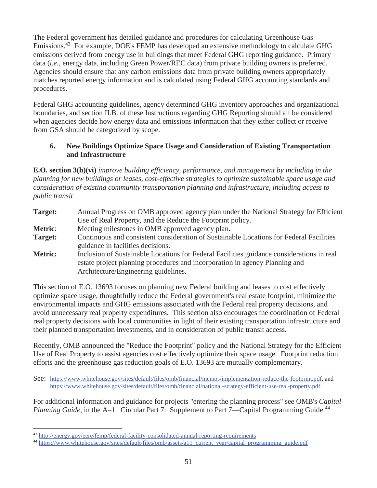The Federal government has detailed guidance and procedures for calculating Greenhouse Gas Emissions.<sup>43</sup> For example, DOE's FEMP has developed an extensive methodology to calculate GHG emissions derived from energy use in buildings that meet Federal GHG reporting guidance. Primary data (*i.e.*, energy data, including Green Power/REC data) from private building owners is preferred. Agencies should ensure that any carbon emissions data from private building owners appropriately matches reported energy information and is calculated using Federal GHG accounting standards and procedures.

Federal GHG accounting guidelines, agency determined GHG inventory approaches and organizational boundaries, and section II.B. of these Instructions regarding GHG Reporting should all be considered when agencies decide how energy data and emissions information that they either collect or receive from GSA should be categorized by scope.

### **6. New Buildings Optimize Space Usage and Consideration of Existing Transportation and Infrastructure**

**E.O. section 3(h)(vi)** *improve building efficiency, performance, and management by including in the planning for new buildings or leases, cost-effective strategies to optimize sustainable space usage and consideration of existing community transportation planning and infrastructure, including access to public transit*

| Target:        | Annual Progress on OMB approved agency plan under the National Strategy for Efficient<br>Use of Real Property, and the Reduce the Footprint policy.                                                              |
|----------------|------------------------------------------------------------------------------------------------------------------------------------------------------------------------------------------------------------------|
| <b>Metric:</b> | Meeting milestones in OMB approved agency plan.                                                                                                                                                                  |
| Target:        | Continuous and consistent consideration of Sustainable Locations for Federal Facilities<br>guidance in facilities decisions.                                                                                     |
| <b>Metric:</b> | Inclusion of Sustainable Locations for Federal Facilities guidance considerations in real<br>estate project planning procedures and incorporation in agency Planning and<br>Architecture/Engineering guidelines. |

This section of E.O. 13693 focuses on planning new Federal building and leases to cost effectively optimize space usage, thoughtfully reduce the Federal government's real estate footprint, minimize the environmental impacts and GHG emissions associated with the Federal real property decisions, and avoid unnecessary real property expenditures. This section also encourages the coordination of Federal real property decisions with local communities in light of their existing transportation infrastructure and their planned transportation investments, and in consideration of public transit access.

Recently, OMB announced the "Reduce the Footprint" policy and the National Strategy for the Efficient Use of Real Property to assist agencies cost effectively optimize their space usage. Footprint reduction efforts and the greenhouse gas reduction goals of E.O. 13693 are mutually complementary.

See: https://www.whitehouse.gov/sites/default/files/omb/financial/memos/implementation-reduce-the-footprint.pdf, and https://www.whitehouse.gov/sites/default/files/omb/financial/national-strategy-efficient-use-real-property.pdf.

For additional information and guidance for projects "entering the planning process" see OMB's *Capital Planning Guide*, in the A–11 Circular Part 7: Supplement to Part 7—Capital Programming Guide.<sup>44</sup>

<sup>43</sup> http://energy.gov/eere/femp/federal-facility-consolidated-annual-reporting-requirements

<sup>&</sup>lt;sup>44</sup> https://www.whitehouse.gov/sites/default/files/omb/assets/a11\_current\_year/capital\_programming\_guide.pdf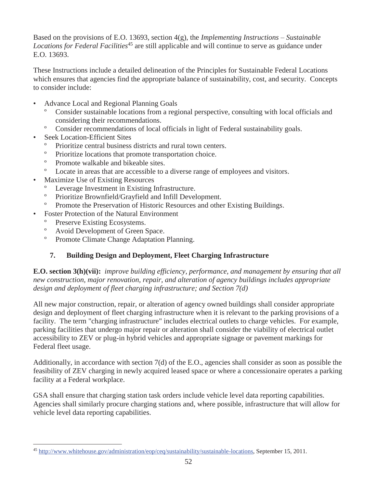Based on the provisions of E.O. 13693, section 4(g), the *Implementing Instructions – Sustainable Locations for Federal Facilities*<sup>45</sup> are still applicable and will continue to serve as guidance under E.O. 13693.

These Instructions include a detailed delineation of the Principles for Sustainable Federal Locations which ensures that agencies find the appropriate balance of sustainability, cost, and security. Concepts to consider include:

- Advance Local and Regional Planning Goals
	- Consider sustainable locations from a regional perspective, consulting with local officials and considering their recommendations.
	- º Consider recommendations of local officials in light of Federal sustainability goals.
- Seek Location-Efficient Sites
	- Prioritize central business districts and rural town centers.
	- º Prioritize locations that promote transportation choice.
	- º Promote walkable and bikeable sites.
- º Locate in areas that are accessible to a diverse range of employees and visitors.
- Maximize Use of Existing Resources
	- Leverage Investment in Existing Infrastructure.
	- º Prioritize Brownfield/Grayfield and Infill Development.
	- º Promote the Preservation of Historic Resources and other Existing Buildings.
- Foster Protection of the Natural Environment
	- Preserve Existing Ecosystems.
	- º Avoid Development of Green Space.
	- º Promote Climate Change Adaptation Planning.

# **7. Building Design and Deployment, Fleet Charging Infrastructure**

**E.O. section 3(h)(vii):** *improve building efficiency, performance, and management by ensuring that all new construction, major renovation, repair, and alteration of agency buildings includes appropriate design and deployment of fleet charging infrastructure; and Section 7(d)*

All new major construction, repair, or alteration of agency owned buildings shall consider appropriate design and deployment of fleet charging infrastructure when it is relevant to the parking provisions of a facility. The term "charging infrastructure" includes electrical outlets to charge vehicles. For example, parking facilities that undergo major repair or alteration shall consider the viability of electrical outlet accessibility to ZEV or plug-in hybrid vehicles and appropriate signage or pavement markings for Federal fleet usage.

Additionally, in accordance with section 7(d) of the E.O., agencies shall consider as soon as possible the feasibility of ZEV charging in newly acquired leased space or where a concessionaire operates a parking facility at a Federal workplace.

GSA shall ensure that charging station task orders include vehicle level data reporting capabilities. Agencies shall similarly procure charging stations and, where possible, infrastructure that will allow for vehicle level data reporting capabilities.

<sup>-</sup><sup>45</sup> http://www.whitehouse.gov/administration/eop/ceq/sustainability/sustainable-locations, September 15, 2011.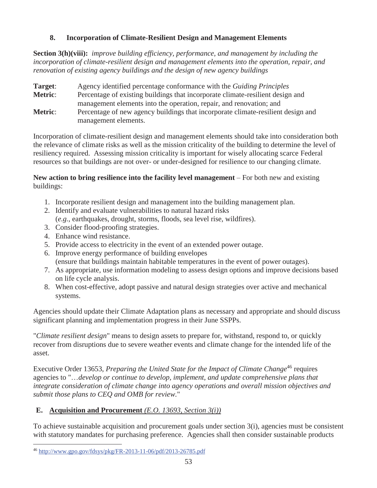### **8. Incorporation of Climate-Resilient Design and Management Elements**

**Section 3(h)(viii):** *improve building efficiency, performance, and management by including the incorporation of climate-resilient design and management elements into the operation, repair, and renovation of existing agency buildings and the design of new agency buildings*

**Target**: Agency identified percentage conformance with the *Guiding Principles* **Metric:** Percentage of existing buildings that incorporate climate-resilient design and management elements into the operation, repair, and renovation; and **Metric**: Percentage of new agency buildings that incorporate climate-resilient design and management elements.

Incorporation of climate-resilient design and management elements should take into consideration both the relevance of climate risks as well as the mission criticality of the building to determine the level of resiliency required. Assessing mission criticality is important for wisely allocating scarce Federal resources so that buildings are not over- or under-designed for resilience to our changing climate.

**New action to bring resilience into the facility level management** – For both new and existing buildings:

- 1. Incorporate resilient design and management into the building management plan.
- 2. Identify and evaluate vulnerabilities to natural hazard risks (*e.g.*, earthquakes, drought, storms, floods, sea level rise, wildfires).
- 3. Consider flood-proofing strategies.
- 4. Enhance wind resistance.
- 5. Provide access to electricity in the event of an extended power outage.
- 6. Improve energy performance of building envelopes (ensure that buildings maintain habitable temperatures in the event of power outages).
- 7. As appropriate, use information modeling to assess design options and improve decisions based on life cycle analysis.
- 8. When cost-effective, adopt passive and natural design strategies over active and mechanical systems.

Agencies should update their Climate Adaptation plans as necessary and appropriate and should discuss significant planning and implementation progress in their June SSPPs.

"*Climate resilient design*" means to design assets to prepare for, withstand, respond to, or quickly recover from disruptions due to severe weather events and climate change for the intended life of the asset.

Executive Order 13653, *Preparing the United State for the Impact of Climate Change*<sup>46</sup> requires agencies to "…*develop or continue to develop, implement, and update comprehensive plans that integrate consideration of climate change into agency operations and overall mission objectives and submit those plans to CEQ and OMB for review.*"

### **E. Acquisition and Procurement** *(E.O. 13693, Section 3(i))*

To achieve sustainable acquisition and procurement goals under section 3(i), agencies must be consistent with statutory mandates for purchasing preference. Agencies shall then consider sustainable products

<sup>46</sup> http://www.gpo.gov/fdsys/pkg/FR-2013-11-06/pdf/2013-26785.pdf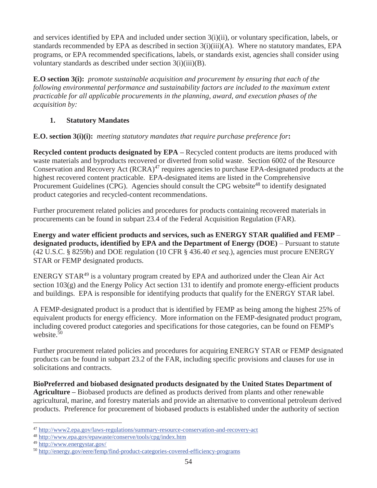and services identified by EPA and included under section 3(i)(ii), or voluntary specification, labels, or standards recommended by EPA as described in section  $3(i)(iii)(A)$ . Where no statutory mandates, EPA programs, or EPA recommended specifications, labels, or standards exist, agencies shall consider using voluntary standards as described under section 3(i)(iii)(B).

**E.O section 3(i):** *promote sustainable acquisition and procurement by ensuring that each of the following environmental performance and sustainability factors are included to the maximum extent practicable for all applicable procurements in the planning, award, and execution phases of the acquisition by:*

### **1. Statutory Mandates**

**E.O. section 3(i)(i):** *meeting statutory mandates that require purchase preference for***:** 

**Recycled content products designated by EPA – Recycled content products are items produced with** waste materials and byproducts recovered or diverted from solid waste. Section 6002 of the Resource Conservation and Recovery Act  $(RCRA)^{47}$  requires agencies to purchase EPA-designated products at the highest recovered content practicable. EPA-designated items are listed in the Comprehensive Procurement Guidelines (CPG). Agencies should consult the CPG website<sup>48</sup> to identify designated product categories and recycled-content recommendations.

Further procurement related policies and procedures for products containing recovered materials in procurements can be found in subpart 23.4 of the Federal Acquisition Regulation (FAR).

**Energy and water efficient products and services, such as ENERGY STAR qualified and FEMP** – **designated products, identified by EPA and the Department of Energy (DOE)** – Pursuant to statute (42 U.S.C. § 8259b) and DOE regulation (10 CFR § 436.40 *et seq*.), agencies must procure ENERGY STAR or FEMP designated products.

ENERGY STAR<sup>49</sup> is a voluntary program created by EPA and authorized under the Clean Air Act section 103(g) and the Energy Policy Act section 131 to identify and promote energy-efficient products and buildings. EPA is responsible for identifying products that qualify for the ENERGY STAR label.

A FEMP-designated product is a product that is identified by FEMP as being among the highest 25% of equivalent products for energy efficiency. More information on the FEMP-designated product program, including covered product categories and specifications for those categories, can be found on FEMP's website. $50$ 

Further procurement related policies and procedures for acquiring ENERGY STAR or FEMP designated products can be found in subpart 23.2 of the FAR, including specific provisions and clauses for use in solicitations and contracts.

**BioPreferred and biobased designated products designated by the United States Department of Agriculture –** Biobased products are defined as products derived from plants and other renewable agricultural, marine, and forestry materials and provide an alternative to conventional petroleum derived products. Preference for procurement of biobased products is established under the authority of section

<sup>47</sup> http://www2.epa.gov/laws-regulations/summary-resource-conservation-and-recovery-act

<sup>48</sup> http://www.epa.gov/epawaste/conserve/tools/cpg/index.htm

<sup>49</sup> http://www.energystar.gov/

<sup>50</sup> http://energy.gov/eere/femp/find-product-categories-covered-efficiency-programs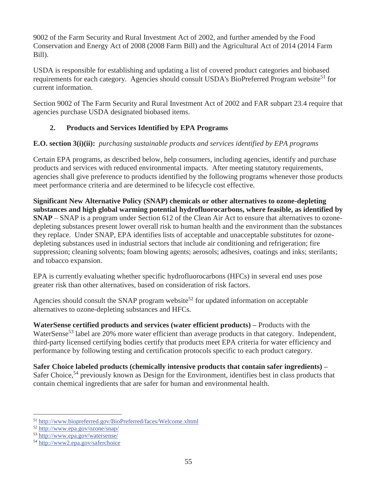9002 of the Farm Security and Rural Investment Act of 2002, and further amended by the Food Conservation and Energy Act of 2008 (2008 Farm Bill) and the Agricultural Act of 2014 (2014 Farm Bill).

USDA is responsible for establishing and updating a list of covered product categories and biobased requirements for each category. Agencies should consult USDA's BioPreferred Program website<sup>51</sup> for current information.

Section 9002 of The Farm Security and Rural Investment Act of 2002 and FAR subpart 23.4 require that agencies purchase USDA designated biobased items.

## **2. Products and Services Identified by EPA Programs**

## **E.O. section 3(i)(ii):** *purchasing sustainable products and services identified by EPA programs*

Certain EPA programs, as described below, help consumers, including agencies, identify and purchase products and services with reduced environmental impacts. After meeting statutory requirements, agencies shall give preference to products identified by the following programs whenever those products meet performance criteria and are determined to be lifecycle cost effective.

**Significant New Alternative Policy (SNAP) chemicals or other alternatives to ozone-depleting substances and high global warming potential hydrofluorocarbons, where feasible, as identified by SNAP** – SNAP is a program under Section 612 of the Clean Air Act to ensure that alternatives to ozonedepleting substances present lower overall risk to human health and the environment than the substances they replace. Under SNAP, EPA identifies lists of acceptable and unacceptable substitutes for ozonedepleting substances used in industrial sectors that include air conditioning and refrigeration; fire suppression; cleaning solvents; foam blowing agents; aerosols; adhesives, coatings and inks; sterilants; and tobacco expansion.

EPA is currently evaluating whether specific hydrofluorocarbons (HFCs) in several end uses pose greater risk than other alternatives, based on consideration of risk factors.

Agencies should consult the SNAP program website<sup>52</sup> for updated information on acceptable alternatives to ozone-depleting substances and HFCs.

**WaterSense certified products and services (water efficient products) –** Products with the WaterSense<sup>53</sup> label are 20% more water efficient than average products in that category. Independent, third-party licensed certifying bodies certify that products meet EPA criteria for water efficiency and performance by following testing and certification protocols specific to each product category.

**Safer Choice labeled products (chemically intensive products that contain safer ingredients) –** Safer Choice,<sup>54</sup> previously known as Design for the Environment, identifies best in class products that contain chemical ingredients that are safer for human and environmental health.

 $\overline{a}$ <sup>51</sup> http://www.biopreferred.gov/BioPreferred/faces/Welcome.xhtml

<sup>52</sup> http://www.epa.gov/ozone/snap/

<sup>53</sup> http://www.epa.gov/watersense/

<sup>54</sup> http://www2.epa.gov/saferchoice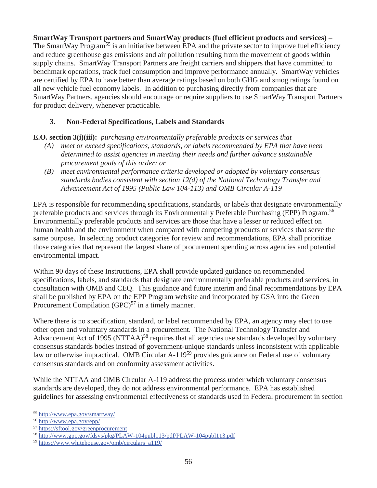**SmartWay Transport partners and SmartWay products (fuel efficient products and services) –** The SmartWay Program<sup>55</sup> is an initiative between EPA and the private sector to improve fuel efficiency and reduce greenhouse gas emissions and air pollution resulting from the movement of goods within supply chains. SmartWay Transport Partners are freight carriers and shippers that have committed to benchmark operations, track fuel consumption and improve performance annually. SmartWay vehicles are certified by EPA to have better than average ratings based on both GHG and smog ratings found on all new vehicle fuel economy labels. In addition to purchasing directly from companies that are SmartWay Partners, agencies should encourage or require suppliers to use SmartWay Transport Partners for product delivery, whenever practicable.

### **3. Non-Federal Specifications, Labels and Standards**

**E.O. section 3(i)(iii):** *purchasing environmentally preferable products or services that*

- *(A) meet or exceed specifications, standards, or labels recommended by EPA that have been determined to assist agencies in meeting their needs and further advance sustainable procurement goals of this order; or*
- *(B) meet environmental performance criteria developed or adopted by voluntary consensus standards bodies consistent with section 12(d) of the National Technology Transfer and Advancement Act of 1995 (Public Law 104-113) and OMB Circular A-119*

EPA is responsible for recommending specifications, standards, or labels that designate environmentally preferable products and services through its Environmentally Preferable Purchasing (EPP) Program.<sup>56</sup> Environmentally preferable products and services are those that have a lesser or reduced effect on human health and the environment when compared with competing products or services that serve the same purpose. In selecting product categories for review and recommendations, EPA shall prioritize those categories that represent the largest share of procurement spending across agencies and potential environmental impact.

Within 90 days of these Instructions, EPA shall provide updated guidance on recommended specifications, labels, and standards that designate environmentally preferable products and services, in consultation with OMB and CEQ. This guidance and future interim and final recommendations by EPA shall be published by EPA on the EPP Program website and incorporated by GSA into the Green Procurement Compilation  $(GPC)^{57}$  in a timely manner.

Where there is no specification, standard, or label recommended by EPA, an agency may elect to use other open and voluntary standards in a procurement. The National Technology Transfer and Advancement Act of 1995 (NTTAA)<sup>58</sup> requires that all agencies use standards developed by voluntary consensus standards bodies instead of government-unique standards unless inconsistent with applicable law or otherwise impractical. OMB Circular A-119<sup>59</sup> provides guidance on Federal use of voluntary consensus standards and on conformity assessment activities.

While the NTTAA and OMB Circular A-119 address the process under which voluntary consensus standards are developed, they do not address environmental performance. EPA has established guidelines for assessing environmental effectiveness of standards used in Federal procurement in section

<sup>55</sup> http://www.epa.gov/smartway/

<sup>56</sup> http://www.epa.gov/epp/

<sup>57</sup> https://sftool.gov/greenprocurement

<sup>58</sup> http://www.gpo.gov/fdsys/pkg/PLAW-104publ113/pdf/PLAW-104publ113.pdf

<sup>59</sup> https://www.whitehouse.gov/omb/circulars\_a119/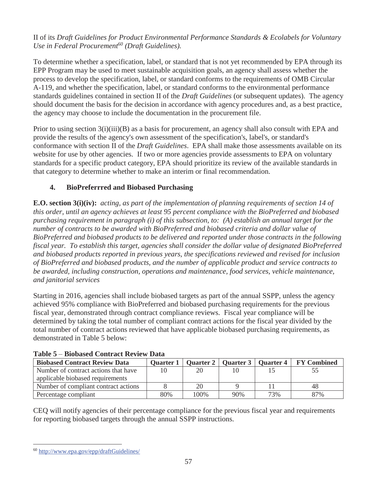### II of its *Draft Guidelines for Product Environmental Performance Standards & Ecolabels for Voluntary Use in Federal Procurement*<sup>60</sup> (Draft Guidelines).

To determine whether a specification, label, or standard that is not yet recommended by EPA through its EPP Program may be used to meet sustainable acquisition goals, an agency shall assess whether the process to develop the specification, label, or standard conforms to the requirements of OMB Circular A-119, and whether the specification, label, or standard conforms to the environmental performance standards guidelines contained in section II of the *Draft Guidelines* (or subsequent updates). The agency should document the basis for the decision in accordance with agency procedures and, as a best practice, the agency may choose to include the documentation in the procurement file.

Prior to using section 3(i)(iii)(B) as a basis for procurement, an agency shall also consult with EPA and provide the results of the agency's own assessment of the specification's, label's, or standard's conformance with section II of the *Draft Guidelines*. EPA shall make those assessments available on its website for use by other agencies. If two or more agencies provide assessments to EPA on voluntary standards for a specific product category, EPA should prioritize its review of the available standards in that category to determine whether to make an interim or final recommendation.

# **4. BioPreferrred and Biobased Purchasing**

**E.O. section 3(i)(iv):** *acting, as part of the implementation of planning requirements of section 14 of this order, until an agency achieves at least 95 percent compliance with the BioPreferred and biobased purchasing requirement in paragraph (i) of this subsection, to: (A) establish an annual target for the number of contracts to be awarded with BioPreferred and biobased criteria and dollar value of BioPreferred and biobased products to be delivered and reported under those contracts in the following fiscal year. To establish this target, agencies shall consider the dollar value of designated BioPreferred and biobased products reported in previous years, the specifications reviewed and revised for inclusion of BioPreferred and biobased products, and the number of applicable product and service contracts to be awarded, including construction, operations and maintenance, food services, vehicle maintenance, and janitorial services*

Starting in 2016, agencies shall include biobased targets as part of the annual SSPP, unless the agency achieved 95% compliance with BioPreferred and biobased purchasing requirements for the previous fiscal year, demonstrated through contract compliance reviews. Fiscal year compliance will be determined by taking the total number of compliant contract actions for the fiscal year divided by the total number of contract actions reviewed that have applicable biobased purchasing requirements, as demonstrated in Table 5 below:

| <b>Biobased Contract Review Data</b> | <b>Ouarter 1</b> |      | Quarter 2   Quarter 3   Quarter 4 |     | <b>FY Combined</b> |
|--------------------------------------|------------------|------|-----------------------------------|-----|--------------------|
| Number of contract actions that have |                  | 20   |                                   |     |                    |
| applicable biobased requirements     |                  |      |                                   |     |                    |
| Number of compliant contract actions |                  | 20   |                                   |     | 48                 |
| Percentage compliant                 | 80%              | 100% | 90%                               | 73% | 87%                |

### **Table 5** – **Biobased Contract Review Data**

CEQ will notify agencies of their percentage compliance for the previous fiscal year and requirements for reporting biobased targets through the annual SSPP instructions.

<sup>60</sup> http://www.epa.gov/epp/draftGuidelines/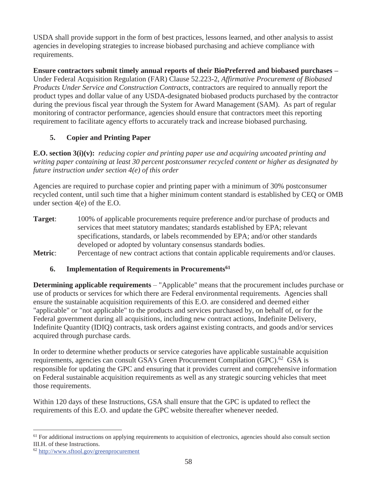USDA shall provide support in the form of best practices, lessons learned, and other analysis to assist agencies in developing strategies to increase biobased purchasing and achieve compliance with requirements.

**Ensure contractors submit timely annual reports of their BioPreferred and biobased purchases –** Under Federal Acquisition Regulation (FAR) Clause 52.223-2, *Affirmative Procurement of Biobased Products Under Service and Construction Contracts*, contractors are required to annually report the product types and dollar value of any USDA-designated biobased products purchased by the contractor during the previous fiscal year through the System for Award Management (SAM). As part of regular monitoring of contractor performance, agencies should ensure that contractors meet this reporting requirement to facilitate agency efforts to accurately track and increase biobased purchasing.

# **5. Copier and Printing Paper**

**E.O. section 3(i)(v):** *reducing copier and printing paper use and acquiring uncoated printing and writing paper containing at least 30 percent postconsumer recycled content or higher as designated by future instruction under section 4(e) of this order*

Agencies are required to purchase copier and printing paper with a minimum of 30% postconsumer recycled content, until such time that a higher minimum content standard is established by CEQ or OMB under section 4(e) of the E.O.

- **Target**: 100% of applicable procurements require preference and/or purchase of products and services that meet statutory mandates; standards established by EPA; relevant specifications, standards, or labels recommended by EPA; and/or other standards developed or adopted by voluntary consensus standards bodies.
- **Metric:** Percentage of new contract actions that contain applicable requirements and/or clauses.

# **6. Implementation of Requirements in Procurements61**

**Determining applicable requirements** – "Applicable" means that the procurement includes purchase or use of products or services for which there are Federal environmental requirements. Agencies shall ensure the sustainable acquisition requirements of this E.O. are considered and deemed either "applicable" or "not applicable" to the products and services purchased by, on behalf of, or for the Federal government during all acquisitions, including new contract actions, Indefinite Delivery, Indefinite Quantity (IDIQ) contracts, task orders against existing contracts, and goods and/or services acquired through purchase cards.

In order to determine whether products or service categories have applicable sustainable acquisition requirements, agencies can consult GSA's Green Procurement Compilation (GPC).<sup>62</sup> GSA is responsible for updating the GPC and ensuring that it provides current and comprehensive information on Federal sustainable acquisition requirements as well as any strategic sourcing vehicles that meet those requirements.

Within 120 days of these Instructions, GSA shall ensure that the GPC is updated to reflect the requirements of this E.O. and update the GPC website thereafter whenever needed.

 $\overline{a}$ <sup>61</sup> For additional instructions on applying requirements to acquisition of electronics, agencies should also consult section III.H. of these Instructions.

<sup>62</sup> http://www.sftool.gov/greenprocurement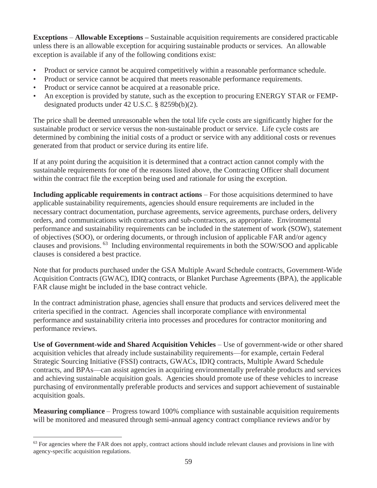**Exceptions** – **Allowable Exceptions –** Sustainable acquisition requirements are considered practicable unless there is an allowable exception for acquiring sustainable products or services. An allowable exception is available if any of the following conditions exist:

- Product or service cannot be acquired competitively within a reasonable performance schedule.
- Product or service cannot be acquired that meets reasonable performance requirements.
- Product or service cannot be acquired at a reasonable price.
- An exception is provided by statute, such as the exception to procuring ENERGY STAR or FEMPdesignated products under 42 U.S.C. § 8259b(b)(2).

The price shall be deemed unreasonable when the total life cycle costs are significantly higher for the sustainable product or service versus the non-sustainable product or service. Life cycle costs are determined by combining the initial costs of a product or service with any additional costs or revenues generated from that product or service during its entire life.

If at any point during the acquisition it is determined that a contract action cannot comply with the sustainable requirements for one of the reasons listed above, the Contracting Officer shall document within the contract file the exception being used and rationale for using the exception.

**Including applicable requirements in contract actions** – For those acquisitions determined to have applicable sustainability requirements, agencies should ensure requirements are included in the necessary contract documentation, purchase agreements, service agreements, purchase orders, delivery orders, and communications with contractors and sub-contractors, as appropriate. Environmental performance and sustainability requirements can be included in the statement of work (SOW), statement of objectives (SOO), or ordering documents, or through inclusion of applicable FAR and/or agency clauses and provisions. 63 Including environmental requirements in both the SOW/SOO and applicable clauses is considered a best practice.

Note that for products purchased under the GSA Multiple Award Schedule contracts, Government-Wide Acquisition Contracts (GWAC), IDIQ contracts, or Blanket Purchase Agreements (BPA), the applicable FAR clause might be included in the base contract vehicle.

In the contract administration phase, agencies shall ensure that products and services delivered meet the criteria specified in the contract. Agencies shall incorporate compliance with environmental performance and sustainability criteria into processes and procedures for contractor monitoring and performance reviews.

**Use of Government-wide and Shared Acquisition Vehicles** – Use of government-wide or other shared acquisition vehicles that already include sustainability requirements—for example, certain Federal Strategic Sourcing Initiative (FSSI) contracts, GWACs, IDIQ contracts, Multiple Award Schedule contracts, and BPAs—can assist agencies in acquiring environmentally preferable products and services and achieving sustainable acquisition goals. Agencies should promote use of these vehicles to increase purchasing of environmentally preferable products and services and support achievement of sustainable acquisition goals.

**Measuring compliance** – Progress toward 100% compliance with sustainable acquisition requirements will be monitored and measured through semi-annual agency contract compliance reviews and/or by

 $<sup>63</sup>$  For agencies where the FAR does not apply, contract actions should include relevant clauses and provisions in line with</sup> agency-specific acquisition regulations.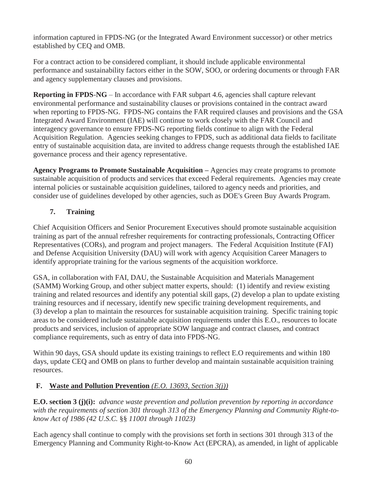information captured in FPDS-NG (or the Integrated Award Environment successor) or other metrics established by CEQ and OMB.

For a contract action to be considered compliant, it should include applicable environmental performance and sustainability factors either in the SOW, SOO, or ordering documents or through FAR and agency supplementary clauses and provisions.

**Reporting in FPDS**-**NG** – In accordance with FAR subpart 4.6, agencies shall capture relevant environmental performance and sustainability clauses or provisions contained in the contract award when reporting to FPDS-NG. FPDS-NG contains the FAR required clauses and provisions and the GSA Integrated Award Environment (IAE) will continue to work closely with the FAR Council and interagency governance to ensure FPDS-NG reporting fields continue to align with the Federal Acquisition Regulation. Agencies seeking changes to FPDS, such as additional data fields to facilitate entry of sustainable acquisition data, are invited to address change requests through the established IAE governance process and their agency representative.

Agency Programs to Promote Sustainable Acquisition – Agencies may create programs to promote sustainable acquisition of products and services that exceed Federal requirements. Agencies may create internal policies or sustainable acquisition guidelines, tailored to agency needs and priorities, and consider use of guidelines developed by other agencies, such as DOE's Green Buy Awards Program.

# **7. Training**

Chief Acquisition Officers and Senior Procurement Executives should promote sustainable acquisition training as part of the annual refresher requirements for contracting professionals, Contracting Officer Representatives (CORs), and program and project managers. The Federal Acquisition Institute (FAI) and Defense Acquisition University (DAU) will work with agency Acquisition Career Managers to identify appropriate training for the various segments of the acquisition workforce.

GSA, in collaboration with FAI, DAU, the Sustainable Acquisition and Materials Management (SAMM) Working Group, and other subject matter experts, should: (1) identify and review existing training and related resources and identify any potential skill gaps, (2) develop a plan to update existing training resources and if necessary, identify new specific training development requirements, and (3) develop a plan to maintain the resources for sustainable acquisition training. Specific training topic areas to be considered include sustainable acquisition requirements under this E.O., resources to locate products and services, inclusion of appropriate SOW language and contract clauses, and contract compliance requirements, such as entry of data into FPDS-NG.

Within 90 days, GSA should update its existing trainings to reflect E.O requirements and within 180 days, update CEQ and OMB on plans to further develop and maintain sustainable acquisition training resources.

# **F. Waste and Pollution Prevention** *(E.O. 13693, Section 3(j))*

**E.O. section 3 (j)(i):** *advance waste prevention and pollution prevention by reporting in accordance with the requirements of section 301 through 313 of the Emergency Planning and Community Right-toknow Act of 1986 (42 U.S.C.* §§ *11001 through 11023)*

Each agency shall continue to comply with the provisions set forth in sections 301 through 313 of the Emergency Planning and Community Right-to-Know Act (EPCRA), as amended, in light of applicable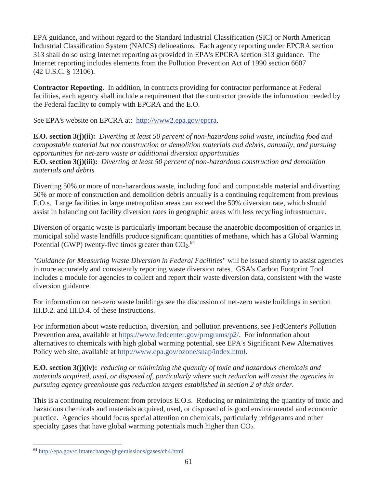EPA guidance, and without regard to the Standard Industrial Classification (SIC) or North American Industrial Classification System (NAICS) delineations. Each agency reporting under EPCRA section 313 shall do so using Internet reporting as provided in EPA's EPCRA section 313 guidance. The Internet reporting includes elements from the Pollution Prevention Act of 1990 section 6607 (42 U.S.C. § 13106).

**Contractor Reporting**. In addition, in contracts providing for contractor performance at Federal facilities, each agency shall include a requirement that the contractor provide the information needed by the Federal facility to comply with EPCRA and the E.O.

See EPA's website on EPCRA at: http://www2.epa.gov/epcra.

**E.O. section 3(j)(ii):** *Diverting at least 50 percent of non-hazardous solid waste, including food and compostable material but not construction or demolition materials and debris, annually, and pursuing opportunities for net-zero waste or additional diversion opportunities* **E.O. section 3(j)(iii):** *Diverting at least 50 percent of non-hazardous construction and demolition materials and debris*

Diverting 50% or more of non-hazardous waste, including food and compostable material and diverting 50% or more of construction and demolition debris annually is a continuing requirement from previous E.O.s. Large facilities in large metropolitan areas can exceed the 50% diversion rate, which should assist in balancing out facility diversion rates in geographic areas with less recycling infrastructure.

Diversion of organic waste is particularly important because the anaerobic decomposition of organics in municipal solid waste landfills produce significant quantities of methane, which has a Global Warming Potential (GWP) twenty-five times greater than  $CO<sub>2</sub>$ .<sup>64</sup>

"*Guidance for Measuring Waste Diversion in Federal Facilities*" will be issued shortly to assist agencies in more accurately and consistently reporting waste diversion rates. GSA's Carbon Footprint Tool includes a module for agencies to collect and report their waste diversion data, consistent with the waste diversion guidance.

For information on net-zero waste buildings see the discussion of net-zero waste buildings in section III.D.2. and III.D.4. of these Instructions.

For information about waste reduction, diversion, and pollution preventions, see FedCenter's Pollution Prevention area, available at https://www.fedcenter.gov/programs/p2/. For information about alternatives to chemicals with high global warming potential, see EPA's Significant New Alternatives Policy web site, available at http://www.epa.gov/ozone/snap/index.html.

**E.O. section 3(j)(iv):** *reducing or minimizing the quantity of toxic and hazardous chemicals and materials acquired, used, or disposed of, particularly where such reduction will assist the agencies in pursuing agency greenhouse gas reduction targets established in section 2 of this order.*

This is a continuing requirement from previous E.O.s. Reducing or minimizing the quantity of toxic and hazardous chemicals and materials acquired, used, or disposed of is good environmental and economic practice. Agencies should focus special attention on chemicals, particularly refrigerants and other specialty gases that have global warming potentials much higher than CO2.

<sup>64</sup> http://epa.gov/climatechange/ghgemissions/gases/ch4.html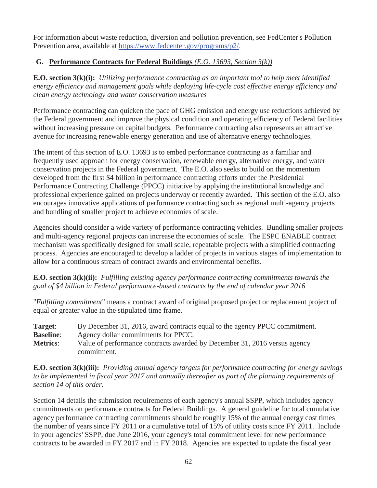For information about waste reduction, diversion and pollution prevention, see FedCenter's Pollution Prevention area, available at https://www.fedcenter.gov/programs/p2/.

### **G. Performance Contracts for Federal Buildings** *(E.O. 13693, Section 3(k))*

**E.O. section 3(k)(i):** *Utilizing performance contracting as an important tool to help meet identified energy efficiency and management goals while deploying life-cycle cost effective energy efficiency and clean energy technology and water conservation measures*

Performance contracting can quicken the pace of GHG emission and energy use reductions achieved by the Federal government and improve the physical condition and operating efficiency of Federal facilities without increasing pressure on capital budgets. Performance contracting also represents an attractive avenue for increasing renewable energy generation and use of alternative energy technologies.

The intent of this section of E.O. 13693 is to embed performance contracting as a familiar and frequently used approach for energy conservation, renewable energy, alternative energy, and water conservation projects in the Federal government. The E.O. also seeks to build on the momentum developed from the first \$4 billion in performance contracting efforts under the Presidential Performance Contracting Challenge (PPCC) initiative by applying the institutional knowledge and professional experience gained on projects underway or recently awarded. This section of the E.O. also encourages innovative applications of performance contracting such as regional multi-agency projects and bundling of smaller project to achieve economies of scale.

Agencies should consider a wide variety of performance contracting vehicles. Bundling smaller projects and multi-agency regional projects can increase the economies of scale. The ESPC ENABLE contract mechanism was specifically designed for small scale, repeatable projects with a simplified contracting process. Agencies are encouraged to develop a ladder of projects in various stages of implementation to allow for a continuous stream of contract awards and environmental benefits.

**E.O. section 3(k)(ii):** *Fulfilling existing agency performance contracting commitments towards the goal of \$4 billion in Federal performance-based contracts by the end of calendar year 2016*

"*Fulfilling commitment*" means a contract award of original proposed project or replacement project of equal or greater value in the stipulated time frame.

| Target:          | By December 31, 2016, award contracts equal to the agency PPCC commitment. |
|------------------|----------------------------------------------------------------------------|
| <b>Baseline:</b> | Agency dollar commitments for PPCC.                                        |
| <b>Metrics:</b>  | Value of performance contracts awarded by December 31, 2016 versus agency  |
|                  | commitment.                                                                |

**E.O. section 3(k)(iii):** *Providing annual agency targets for performance contracting for energy savings to be implemented in fiscal year 2017 and annually thereafter as part of the planning requirements of section 14 of this order.*

Section 14 details the submission requirements of each agency's annual SSPP, which includes agency commitments on performance contracts for Federal Buildings. A general guideline for total cumulative agency performance contracting commitments should be roughly 15% of the annual energy cost times the number of years since FY 2011 or a cumulative total of 15% of utility costs since FY 2011. Include in your agencies' SSPP, due June 2016, your agency's total commitment level for new performance contracts to be awarded in FY 2017 and in FY 2018. Agencies are expected to update the fiscal year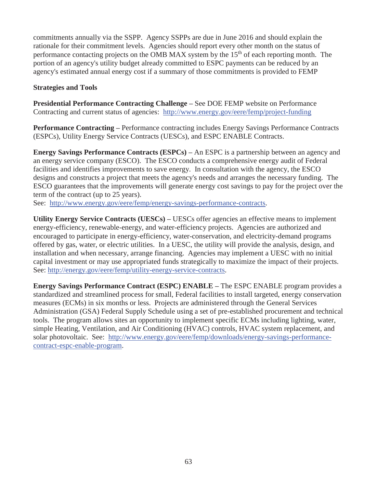commitments annually via the SSPP. Agency SSPPs are due in June 2016 and should explain the rationale for their commitment levels. Agencies should report every other month on the status of performance contacting projects on the OMB MAX system by the 15<sup>th</sup> of each reporting month. The portion of an agency's utility budget already committed to ESPC payments can be reduced by an agency's estimated annual energy cost if a summary of those commitments is provided to FEMP

#### **Strategies and Tools**

**Presidential Performance Contracting Challenge –** See DOE FEMP website on Performance Contracting and current status of agencies: http://www.energy.gov/eere/femp/project-funding

**Performance Contracting –** Performance contracting includes Energy Savings Performance Contracts (ESPCs), Utility Energy Service Contracts (UESCs), and ESPC ENABLE Contracts.

**Energy Savings Performance Contracts (ESPCs) – An ESPC is a partnership between an agency and** an energy service company (ESCO). The ESCO conducts a comprehensive energy audit of Federal facilities and identifies improvements to save energy. In consultation with the agency, the ESCO designs and constructs a project that meets the agency's needs and arranges the necessary funding. The ESCO guarantees that the improvements will generate energy cost savings to pay for the project over the term of the contract (up to 25 years).

See: http://www.energy.gov/eere/femp/energy-savings-performance-contracts.

**Utility Energy Service Contracts (UESCs) –** UESCs offer agencies an effective means to implement energy-efficiency, renewable-energy, and water-efficiency projects. Agencies are authorized and encouraged to participate in energy-efficiency, water-conservation, and electricity-demand programs offered by gas, water, or electric utilities. In a UESC, the utility will provide the analysis, design, and installation and when necessary, arrange financing. Agencies may implement a UESC with no initial capital investment or may use appropriated funds strategically to maximize the impact of their projects. See: http://energy.gov/eere/femp/utility-energy-service-contracts.

**Energy Savings Performance Contract (ESPC) ENABLE –** The ESPC ENABLE program provides a standardized and streamlined process for small, Federal facilities to install targeted, energy conservation measures (ECMs) in six months or less. Projects are administered through the General Services Administration (GSA) Federal Supply Schedule using a set of pre-established procurement and technical tools. The program allows sites an opportunity to implement specific ECMs including lighting, water, simple Heating, Ventilation, and Air Conditioning (HVAC) controls, HVAC system replacement, and solar photovoltaic. See: http://www.energy.gov/eere/femp/downloads/energy-savings-performancecontract-espc-enable-program.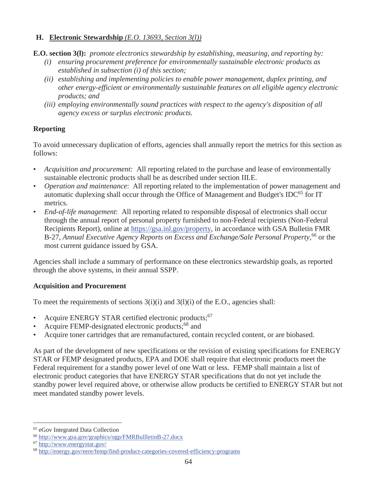### **H. Electronic Stewardship** *(E.O. 13693, Section 3(l))*

**E.O. section 3(l):** *promote electronics stewardship by establishing, measuring, and reporting by:*

- *(i) ensuring procurement preference for environmentally sustainable electronic products as established in subsection (i) of this section;*
- *(ii) establishing and implementing policies to enable power management, duplex printing, and other energy-efficient or environmentally sustainable features on all eligible agency electronic products; and*
- *(iii) employing environmentally sound practices with respect to the agency's disposition of all agency excess or surplus electronic products.*

## **Reporting**

To avoid unnecessary duplication of efforts, agencies shall annually report the metrics for this section as follows:

- *Acquisition and procurement:* All reporting related to the purchase and lease of environmentally sustainable electronic products shall be as described under section III.E.
- *Operation and maintenance*: All reporting related to the implementation of power management and automatic duplexing shall occur through the Office of Management and Budget's IDC $^{65}$  for IT metrics.
- *End-of-life management*: All reporting related to responsible disposal of electronics shall occur through the annual report of personal property furnished to non-Federal recipients (Non-Federal Recipients Report), online at https://gsa.inl.gov/property, in accordance with GSA Bulletin FMR B-27, *Annual Executive Agency Reports on Excess and Exchange/Sale Personal Property*,<sup>66</sup> or the most current guidance issued by GSA.

Agencies shall include a summary of performance on these electronics stewardship goals, as reported through the above systems, in their annual SSPP.

### **Acquisition and Procurement**

To meet the requirements of sections 3(i)(i) and 3(l)(i) of the E.O., agencies shall:

- Acquire ENERGY STAR certified electronic products;<sup>67</sup>
- Acquire FEMP-designated electronic products;<sup>68</sup> and
- Acquire toner cartridges that are remanufactured, contain recycled content, or are biobased.

As part of the development of new specifications or the revision of existing specifications for ENERGY STAR or FEMP designated products, EPA and DOE shall require that electronic products meet the Federal requirement for a standby power level of one Watt or less. FEMP shall maintain a list of electronic product categories that have ENERGY STAR specifications that do not yet include the standby power level required above, or otherwise allow products be certified to ENERGY STAR but not meet mandated standby power levels.

 $\overline{a}$ 65 eGov Integrated Data Collection

<sup>66</sup> http://www.gsa.gov/graphics/ogp/FMRBullletinB-27.docx

<sup>67</sup> http://www.energystar.gov/

<sup>68</sup> http://energy.gov/eere/femp/find-product-categories-covered-efficiency-programs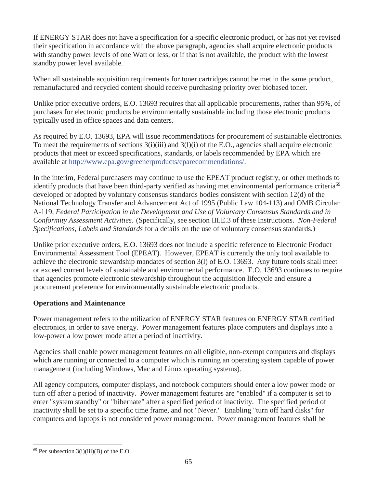If ENERGY STAR does not have a specification for a specific electronic product, or has not yet revised their specification in accordance with the above paragraph, agencies shall acquire electronic products with standby power levels of one Watt or less, or if that is not available, the product with the lowest standby power level available.

When all sustainable acquisition requirements for toner cartridges cannot be met in the same product, remanufactured and recycled content should receive purchasing priority over biobased toner.

Unlike prior executive orders, E.O. 13693 requires that all applicable procurements, rather than 95%, of purchases for electronic products be environmentally sustainable including those electronic products typically used in office spaces and data centers.

As required by E.O. 13693, EPA will issue recommendations for procurement of sustainable electronics. To meet the requirements of sections 3(i)(iii) and 3(l)(i) of the E.O., agencies shall acquire electronic products that meet or exceed specifications, standards, or labels recommended by EPA which are available at http://www.epa.gov/greenerproducts/eparecommendations/.

In the interim, Federal purchasers may continue to use the EPEAT product registry, or other methods to identify products that have been third-party verified as having met environmental performance criteria<sup>69</sup> developed or adopted by voluntary consensus standards bodies consistent with section 12(d) of the National Technology Transfer and Advancement Act of 1995 (Public Law 104-113) and OMB Circular A-119, *Federal Participation in the Development and Use of Voluntary Consensus Standards and in Conformity Assessment Activities*. (Specifically, see section III.E.3 of these Instructions. *Non-Federal Specifications, Labels and Standards* for a details on the use of voluntary consensus standards.)

Unlike prior executive orders, E.O. 13693 does not include a specific reference to Electronic Product Environmental Assessment Tool (EPEAT). However, EPEAT is currently the only tool available to achieve the electronic stewardship mandates of section 3(l) of E.O. 13693. Any future tools shall meet or exceed current levels of sustainable and environmental performance. E.O. 13693 continues to require that agencies promote electronic stewardship throughout the acquisition lifecycle and ensure a procurement preference for environmentally sustainable electronic products.

### **Operations and Maintenance**

Power management refers to the utilization of ENERGY STAR features on ENERGY STAR certified electronics, in order to save energy. Power management features place computers and displays into a low-power a low power mode after a period of inactivity.

Agencies shall enable power management features on all eligible, non-exempt computers and displays which are running or connected to a computer which is running an operating system capable of power management (including Windows, Mac and Linux operating systems).

All agency computers, computer displays, and notebook computers should enter a low power mode or turn off after a period of inactivity. Power management features are "enabled" if a computer is set to enter "system standby" or "hibernate" after a specified period of inactivity. The specified period of inactivity shall be set to a specific time frame, and not "Never." Enabling "turn off hard disks" for computers and laptops is not considered power management. Power management features shall be

 $\overline{a}$  $69$  Per subsection 3(i)(iii)(B) of the E.O.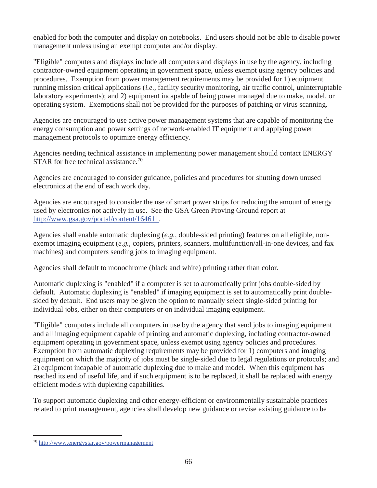enabled for both the computer and display on notebooks. End users should not be able to disable power management unless using an exempt computer and/or display.

"Eligible" computers and displays include all computers and displays in use by the agency, including contractor-owned equipment operating in government space, unless exempt using agency policies and procedures. Exemption from power management requirements may be provided for 1) equipment running mission critical applications (*i.e.*, facility security monitoring, air traffic control, uninterruptable laboratory experiments); and 2) equipment incapable of being power managed due to make, model, or operating system. Exemptions shall not be provided for the purposes of patching or virus scanning.

Agencies are encouraged to use active power management systems that are capable of monitoring the energy consumption and power settings of network-enabled IT equipment and applying power management protocols to optimize energy efficiency.

Agencies needing technical assistance in implementing power management should contact ENERGY STAR for free technical assistance.<sup>70</sup>

Agencies are encouraged to consider guidance, policies and procedures for shutting down unused electronics at the end of each work day.

Agencies are encouraged to consider the use of smart power strips for reducing the amount of energy used by electronics not actively in use. See the GSA Green Proving Ground report at http://www.gsa.gov/portal/content/164611.

Agencies shall enable automatic duplexing (*e.g.*, double-sided printing) features on all eligible, nonexempt imaging equipment (*e.g.*, copiers, printers, scanners, multifunction/all-in-one devices, and fax machines) and computers sending jobs to imaging equipment.

Agencies shall default to monochrome (black and white) printing rather than color.

Automatic duplexing is "enabled" if a computer is set to automatically print jobs double-sided by default. Automatic duplexing is "enabled" if imaging equipment is set to automatically print doublesided by default. End users may be given the option to manually select single-sided printing for individual jobs, either on their computers or on individual imaging equipment.

"Eligible" computers include all computers in use by the agency that send jobs to imaging equipment and all imaging equipment capable of printing and automatic duplexing, including contractor-owned equipment operating in government space, unless exempt using agency policies and procedures. Exemption from automatic duplexing requirements may be provided for 1) computers and imaging equipment on which the majority of jobs must be single-sided due to legal regulations or protocols; and 2) equipment incapable of automatic duplexing due to make and model. When this equipment has reached its end of useful life, and if such equipment is to be replaced, it shall be replaced with energy efficient models with duplexing capabilities.

To support automatic duplexing and other energy-efficient or environmentally sustainable practices related to print management, agencies shall develop new guidance or revise existing guidance to be

<sup>70</sup> http://www.energystar.gov/powermanagement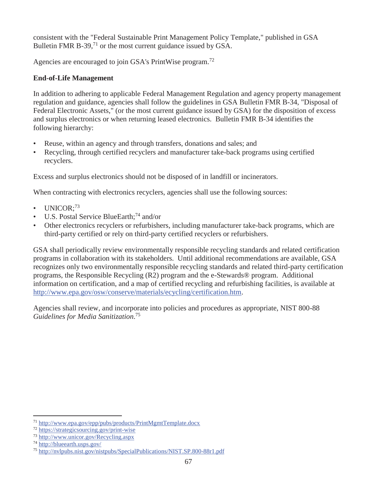consistent with the "Federal Sustainable Print Management Policy Template," published in GSA Bulletin FMR B-39, $^{71}$  or the most current guidance issued by GSA.

Agencies are encouraged to join GSA's PrintWise program.<sup>72</sup>

## **End-of-Life Management**

In addition to adhering to applicable Federal Management Regulation and agency property management regulation and guidance, agencies shall follow the guidelines in GSA Bulletin FMR B-34, "Disposal of Federal Electronic Assets," (or the most current guidance issued by GSA) for the disposition of excess and surplus electronics or when returning leased electronics. Bulletin FMR B-34 identifies the following hierarchy:

- Reuse, within an agency and through transfers, donations and sales; and
- Recycling, through certified recyclers and manufacturer take-back programs using certified recyclers.

Excess and surplus electronics should not be disposed of in landfill or incinerators.

When contracting with electronics recyclers, agencies shall use the following sources:

- UNICOR:<sup>73</sup>
- U.S. Postal Service BlueEarth;<sup>74</sup> and/or
- Other electronics recyclers or refurbishers, including manufacturer take-back programs, which are third-party certified or rely on third-party certified recyclers or refurbishers.

GSA shall periodically review environmentally responsible recycling standards and related certification programs in collaboration with its stakeholders. Until additional recommendations are available, GSA recognizes only two environmentally responsible recycling standards and related third-party certification programs, the Responsible Recycling (R2) program and the e-Stewards® program. Additional information on certification, and a map of certified recycling and refurbishing facilities, is available at http://www.epa.gov/osw/conserve/materials/ecycling/certification.htm.

Agencies shall review, and incorporate into policies and procedures as appropriate, NIST 800-88 *Guidelines for Media Sanitization*. 75

 $\overline{a}$ <sup>71</sup> http://www.epa.gov/epp/pubs/products/PrintMgmtTemplate.docx

<sup>72</sup> https://strategicsourcing.gov/print-wise

<sup>73</sup> http://www.unicor.gov/Recycling.aspx

<sup>74</sup> http://blueearth.usps.gov/

<sup>75</sup> http://nvlpubs.nist.gov/nistpubs/SpecialPublications/NIST.SP.800-88r1.pdf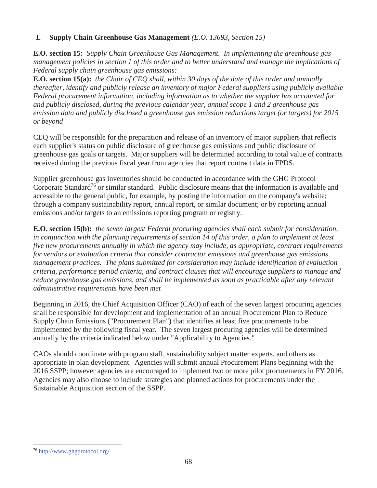### **I. Supply Chain Greenhouse Gas Management** *(E.O. 13693, Section 15)*

**E.O. section 15:** *Supply Chain Greenhouse Gas Management. In implementing the greenhouse gas management policies in section 1 of this order and to better understand and manage the implications of Federal supply chain greenhouse gas emissions:*

**E.O. section 15(a):** *the Chair of CEQ shall, within 30 days of the date of this order and annually thereafter, identify and publicly release an inventory of major Federal suppliers using publicly available Federal procurement information, including information as to whether the supplier has accounted for and publicly disclosed, during the previous calendar year, annual scope 1 and 2 greenhouse gas emission data and publicly disclosed a greenhouse gas emission reductions target (or targets) for 2015 or beyond*

CEQ will be responsible for the preparation and release of an inventory of major suppliers that reflects each supplier's status on public disclosure of greenhouse gas emissions and public disclosure of greenhouse gas goals or targets. Major suppliers will be determined according to total value of contracts received during the previous fiscal year from agencies that report contract data in FPDS.

Supplier greenhouse gas inventories should be conducted in accordance with the GHG Protocol Corporate Standard<sup>76</sup> or similar standard. Public disclosure means that the information is available and accessible to the general public, for example, by posting the information on the company's website; through a company sustainability report, annual report, or similar document; or by reporting annual emissions and/or targets to an emissions reporting program or registry.

**E.O. section 15(b):** *the seven largest Federal procuring agencies shall each submit for consideration, in conjunction with the planning requirements of section 14 of this order, a plan to implement at least five new procurements annually in which the agency may include, as appropriate, contract requirements for vendors or evaluation criteria that consider contractor emissions and greenhouse gas emissions management practices. The plans submitted for consideration may include identification of evaluation criteria, performance period criteria, and contract clauses that will encourage suppliers to manage and reduce greenhouse gas emissions, and shall be implemented as soon as practicable after any relevant administrative requirements have been met*

Beginning in 2016, the Chief Acquisition Officer (CAO) of each of the seven largest procuring agencies shall be responsible for development and implementation of an annual Procurement Plan to Reduce Supply Chain Emissions ("Procurement Plan") that identifies at least five procurements to be implemented by the following fiscal year. The seven largest procuring agencies will be determined annually by the criteria indicated below under "Applicability to Agencies."

CAOs should coordinate with program staff, sustainability subject matter experts, and others as appropriate in plan development. Agencies will submit annual Procurement Plans beginning with the 2016 SSPP; however agencies are encouraged to implement two or more pilot procurements in FY 2016. Agencies may also choose to include strategies and planned actions for procurements under the Sustainable Acquisition section of the SSPP.

-

<sup>76</sup> http://www.ghgprotocol.org/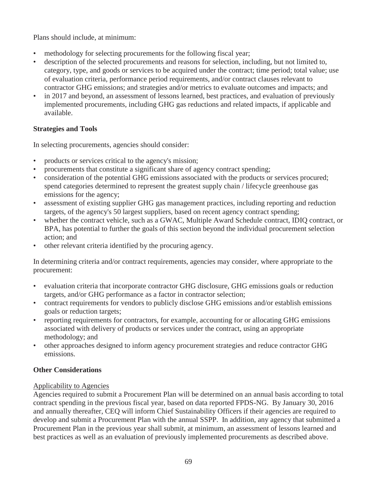Plans should include, at minimum:

- methodology for selecting procurements for the following fiscal year;
- description of the selected procurements and reasons for selection, including, but not limited to, category, type, and goods or services to be acquired under the contract; time period; total value; use of evaluation criteria, performance period requirements, and/or contract clauses relevant to contractor GHG emissions; and strategies and/or metrics to evaluate outcomes and impacts; and
- in 2017 and beyond, an assessment of lessons learned, best practices, and evaluation of previously implemented procurements, including GHG gas reductions and related impacts, if applicable and available.

### **Strategies and Tools**

In selecting procurements, agencies should consider:

- products or services critical to the agency's mission;
- procurements that constitute a significant share of agency contract spending;
- consideration of the potential GHG emissions associated with the products or services procured; spend categories determined to represent the greatest supply chain / lifecycle greenhouse gas emissions for the agency;
- assessment of existing supplier GHG gas management practices, including reporting and reduction targets, of the agency's 50 largest suppliers, based on recent agency contract spending;
- whether the contract vehicle, such as a GWAC, Multiple Award Schedule contract, IDIQ contract, or BPA, has potential to further the goals of this section beyond the individual procurement selection action; and
- other relevant criteria identified by the procuring agency.

In determining criteria and/or contract requirements, agencies may consider, where appropriate to the procurement:

- evaluation criteria that incorporate contractor GHG disclosure, GHG emissions goals or reduction targets, and/or GHG performance as a factor in contractor selection;
- contract requirements for vendors to publicly disclose GHG emissions and/or establish emissions goals or reduction targets;
- reporting requirements for contractors, for example, accounting for or allocating GHG emissions associated with delivery of products or services under the contract, using an appropriate methodology; and
- other approaches designed to inform agency procurement strategies and reduce contractor GHG emissions.

## **Other Considerations**

#### Applicability to Agencies

Agencies required to submit a Procurement Plan will be determined on an annual basis according to total contract spending in the previous fiscal year, based on data reported FPDS-NG. By January 30, 2016 and annually thereafter, CEQ will inform Chief Sustainability Officers if their agencies are required to develop and submit a Procurement Plan with the annual SSPP. In addition, any agency that submitted a Procurement Plan in the previous year shall submit, at minimum, an assessment of lessons learned and best practices as well as an evaluation of previously implemented procurements as described above.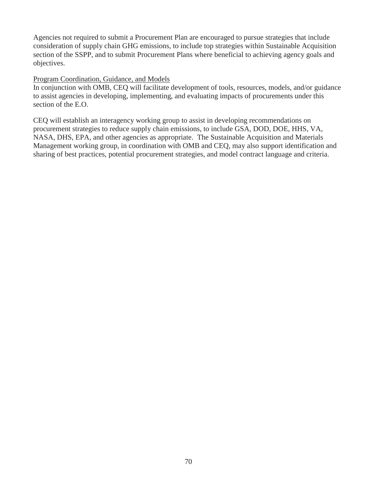Agencies not required to submit a Procurement Plan are encouraged to pursue strategies that include consideration of supply chain GHG emissions, to include top strategies within Sustainable Acquisition section of the SSPP, and to submit Procurement Plans where beneficial to achieving agency goals and objectives.

#### Program Coordination, Guidance, and Models

In conjunction with OMB, CEQ will facilitate development of tools, resources, models, and/or guidance to assist agencies in developing, implementing, and evaluating impacts of procurements under this section of the E.O.

CEQ will establish an interagency working group to assist in developing recommendations on procurement strategies to reduce supply chain emissions, to include GSA, DOD, DOE, HHS, VA, NASA, DHS, EPA, and other agencies as appropriate. The Sustainable Acquisition and Materials Management working group, in coordination with OMB and CEQ, may also support identification and sharing of best practices, potential procurement strategies, and model contract language and criteria.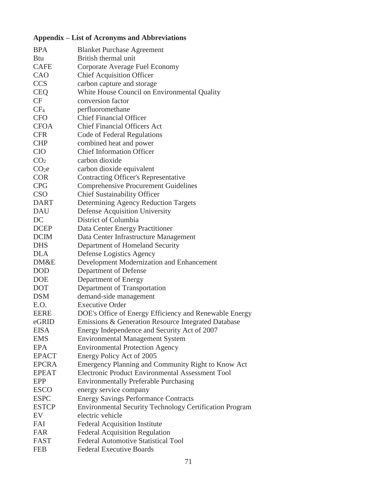# **Appendix – List of Acronyms and Abbreviations**

| <b>BPA</b>        | <b>Blanket Purchase Agreement</b>                              |
|-------------------|----------------------------------------------------------------|
| <b>Btu</b>        | British thermal unit                                           |
| <b>CAFE</b>       | Corporate Average Fuel Economy                                 |
| CAO               | <b>Chief Acquisition Officer</b>                               |
| <b>CCS</b>        | carbon capture and storage                                     |
| <b>CEQ</b>        | White House Council on Environmental Quality                   |
| CF                | conversion factor                                              |
| CF <sub>4</sub>   | perfluoromethane                                               |
| <b>CFO</b>        | <b>Chief Financial Officer</b>                                 |
| <b>CFOA</b>       | <b>Chief Financial Officers Act</b>                            |
| <b>CFR</b>        | Code of Federal Regulations                                    |
| <b>CHP</b>        | combined heat and power                                        |
| <b>CIO</b>        | <b>Chief Information Officer</b>                               |
| CO <sub>2</sub>   | carbon dioxide                                                 |
| CO <sub>2</sub> e | carbon dioxide equivalent                                      |
| <b>COR</b>        | <b>Contracting Officer's Representative</b>                    |
| <b>CPG</b>        | <b>Comprehensive Procurement Guidelines</b>                    |
| <b>CSO</b>        | <b>Chief Sustainability Officer</b>                            |
| <b>DART</b>       |                                                                |
|                   | Determining Agency Reduction Targets                           |
| <b>DAU</b>        | Defense Acquisition University<br>District of Columbia         |
| DC                |                                                                |
| <b>DCEP</b>       | Data Center Energy Practitioner                                |
| <b>DCIM</b>       | Data Center Infrastructure Management                          |
| <b>DHS</b>        | Department of Homeland Security                                |
| <b>DLA</b>        | Defense Logistics Agency                                       |
| DM&E              | Development Modernization and Enhancement                      |
| <b>DOD</b>        | Department of Defense                                          |
| <b>DOE</b>        | Department of Energy                                           |
| <b>DOT</b>        | Department of Transportation                                   |
| <b>DSM</b>        | demand-side management                                         |
| E.O.              | <b>Executive Order</b>                                         |
| <b>EERE</b>       | DOE's Office of Energy Efficiency and Renewable Energy         |
| eGRID             | Emissions & Generation Resource Integrated Database            |
| <b>EISA</b>       | Energy Independence and Security Act of 2007                   |
| <b>EMS</b>        | <b>Environmental Management System</b>                         |
| <b>EPA</b>        | <b>Environmental Protection Agency</b>                         |
| <b>EPACT</b>      | Energy Policy Act of 2005                                      |
| <b>EPCRA</b>      | Emergency Planning and Community Right to Know Act             |
| <b>EPEAT</b>      | Electronic Product Environmental Assessment Tool               |
| <b>EPP</b>        | <b>Environmentally Preferable Purchasing</b>                   |
| <b>ESCO</b>       | energy service company                                         |
| <b>ESPC</b>       | <b>Energy Savings Performance Contracts</b>                    |
| <b>ESTCP</b>      | <b>Environmental Security Technology Certification Program</b> |
| EV                | electric vehicle                                               |
| FAI               | <b>Federal Acquisition Institute</b>                           |
| <b>FAR</b>        | <b>Federal Acquisition Regulation</b>                          |
| FAST              | <b>Federal Automotive Statistical Tool</b>                     |
| <b>FEB</b>        | <b>Federal Executive Boards</b>                                |
|                   |                                                                |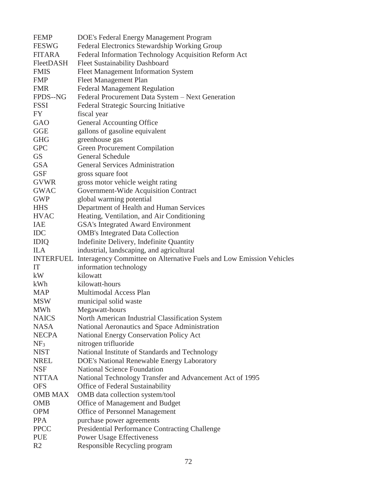| <b>FEMP</b>      | DOE's Federal Energy Management Program                              |
|------------------|----------------------------------------------------------------------|
| <b>FESWG</b>     | Federal Electronics Stewardship Working Group                        |
| <b>FITARA</b>    | Federal Information Technology Acquisition Reform Act                |
| FleetDASH        | <b>Fleet Sustainability Dashboard</b>                                |
| <b>FMIS</b>      | <b>Fleet Management Information System</b>                           |
| <b>FMP</b>       | <b>Fleet Management Plan</b>                                         |
| <b>FMR</b>       | <b>Federal Management Regulation</b>                                 |
| FPDS--NG         | Federal Procurement Data System - Next Generation                    |
| <b>FSSI</b>      | Federal Strategic Sourcing Initiative                                |
| FY               | fiscal year                                                          |
| GAO              | General Accounting Office                                            |
| <b>GGE</b>       | gallons of gasoline equivalent                                       |
| <b>GHG</b>       | greenhouse gas                                                       |
| <b>GPC</b>       | <b>Green Procurement Compilation</b>                                 |
| <b>GS</b>        | General Schedule                                                     |
| <b>GSA</b>       | <b>General Services Administration</b>                               |
| <b>GSF</b>       | gross square foot                                                    |
| <b>GVWR</b>      | gross motor vehicle weight rating                                    |
| <b>GWAC</b>      | Government-Wide Acquisition Contract                                 |
| <b>GWP</b>       | global warming potential                                             |
| <b>HHS</b>       | Department of Health and Human Services                              |
| <b>HVAC</b>      | Heating, Ventilation, and Air Conditioning                           |
| IAE              | GSA's Integrated Award Environment                                   |
| <b>IDC</b>       | <b>OMB's Integrated Data Collection</b>                              |
| <b>IDIQ</b>      | Indefinite Delivery, Indefinite Quantity                             |
| <b>ILA</b>       | industrial, landscaping, and agricultural                            |
| <b>INTERFUEL</b> | Interagency Committee on Alternative Fuels and Low Emission Vehicles |
| IT               | information technology                                               |
| kW               | kilowatt                                                             |
| kWh              | kilowatt-hours                                                       |
| <b>MAP</b>       | Multimodal Access Plan                                               |
| <b>MSW</b>       | municipal solid waste                                                |
| <b>MWh</b>       | Megawatt-hours                                                       |
| <b>NAICS</b>     | North American Industrial Classification System                      |
| <b>NASA</b>      | National Aeronautics and Space Administration                        |
| <b>NECPA</b>     | <b>National Energy Conservation Policy Act</b>                       |
| NF <sub>3</sub>  | nitrogen trifluoride                                                 |
| <b>NIST</b>      | National Institute of Standards and Technology                       |
| <b>NREL</b>      | DOE's National Renewable Energy Laboratory                           |
| <b>NSF</b>       | <b>National Science Foundation</b>                                   |
| <b>NTTAA</b>     | National Technology Transfer and Advancement Act of 1995             |
| <b>OFS</b>       | Office of Federal Sustainability                                     |
| <b>OMB MAX</b>   | OMB data collection system/tool                                      |
| <b>OMB</b>       | Office of Management and Budget                                      |
| <b>OPM</b>       | Office of Personnel Management                                       |
| <b>PPA</b>       | purchase power agreements                                            |
| <b>PPCC</b>      | <b>Presidential Performance Contracting Challenge</b>                |
| <b>PUE</b>       | <b>Power Usage Effectiveness</b>                                     |
| R <sub>2</sub>   | Responsible Recycling program                                        |